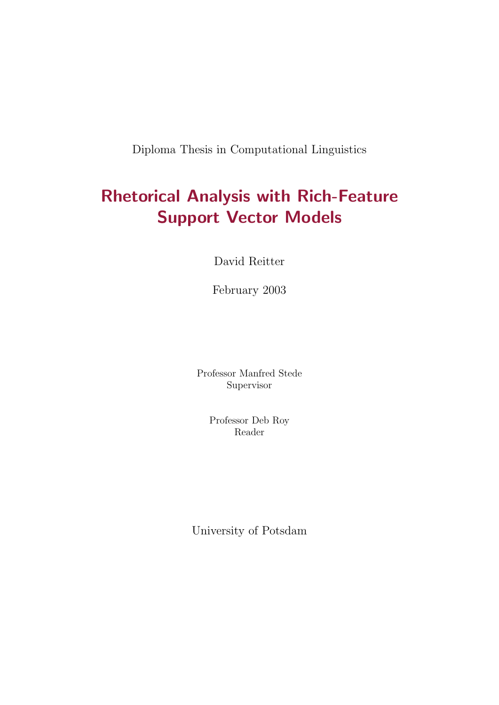Diploma Thesis in Computational Linguistics

# Rhetorical Analysis with Rich-Feature Support Vector Models

David Reitter

February 2003

Professor Manfred Stede Supervisor

> Professor Deb Roy Reader

University of Potsdam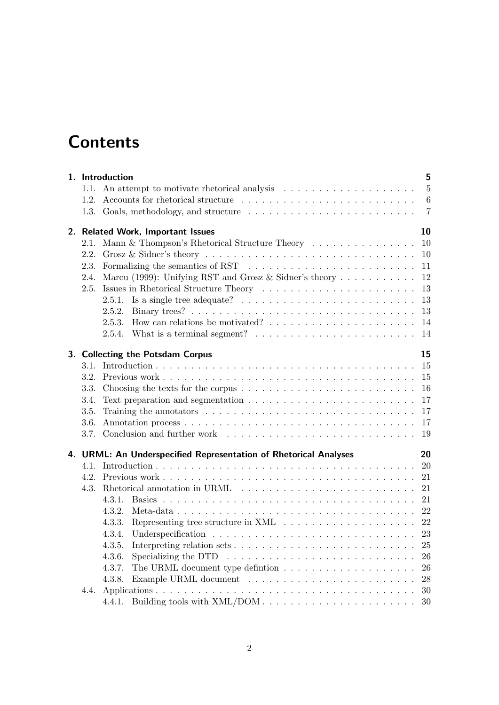# **Contents**

|      | 1. Introduction                                                                                 | 5              |
|------|-------------------------------------------------------------------------------------------------|----------------|
|      | 1.1. An attempt to motivate rhetorical analysis $\dots \dots \dots \dots \dots \dots \dots$     | $5\phantom{.}$ |
| 1.2. |                                                                                                 | $\,6\,$        |
|      |                                                                                                 | $\overline{7}$ |
|      | 2. Related Work, Important Issues                                                               | 10             |
| 2.1. | Mann & Thompson's Rhetorical Structure Theory                                                   | 10             |
| 2.2. |                                                                                                 | 10             |
| 2.3. |                                                                                                 | 11             |
| 2.4. | Marcu (1999): Unifying RST and Grosz & Sidner's theory                                          | 12             |
| 2.5. |                                                                                                 | 13             |
|      | 2.5.1. Is a single tree adequate? $\ldots \ldots \ldots \ldots \ldots \ldots \ldots \ldots$     | 13             |
|      |                                                                                                 | 13             |
|      |                                                                                                 | 14             |
|      | 2.5.4. What is a terminal segment? $\ldots \ldots \ldots \ldots \ldots \ldots \ldots \ldots$    | 14             |
|      | 3. Collecting the Potsdam Corpus                                                                | 15             |
| 3.1. |                                                                                                 | 15             |
| 3.2. |                                                                                                 | 15             |
| 3.3. | Choosing the texts for the corpus $\dots \dots \dots \dots \dots \dots \dots \dots \dots \dots$ | 16             |
| 3.4. | Text preparation and segmentation $\ldots \ldots \ldots \ldots \ldots \ldots \ldots \ldots$     | 17             |
| 3.5. |                                                                                                 | 17             |
| 3.6. |                                                                                                 | 17             |
| 3.7. |                                                                                                 | 19             |
|      | 4. URML: An Underspecified Representation of Rhetorical Analyses                                | 20             |
|      |                                                                                                 |                |
|      |                                                                                                 | 21             |
| 4.3. |                                                                                                 | 21             |
|      | 4.3.1.                                                                                          | 21             |
|      | 4.3.2.                                                                                          | 22             |
|      | 4.3.3.                                                                                          | 22             |
|      | 4.3.4.                                                                                          | 23             |
|      | 4.3.5.                                                                                          | 25             |
|      | 4.3.6.<br>Specializing the DTD $\ldots \ldots \ldots \ldots \ldots \ldots \ldots \ldots \ldots$ | 26             |
|      | 4.3.7.                                                                                          | 26             |
|      | 4.3.8.                                                                                          | 28             |
| 4.4. |                                                                                                 |                |
|      | 4.4.1.                                                                                          | 30             |
|      |                                                                                                 |                |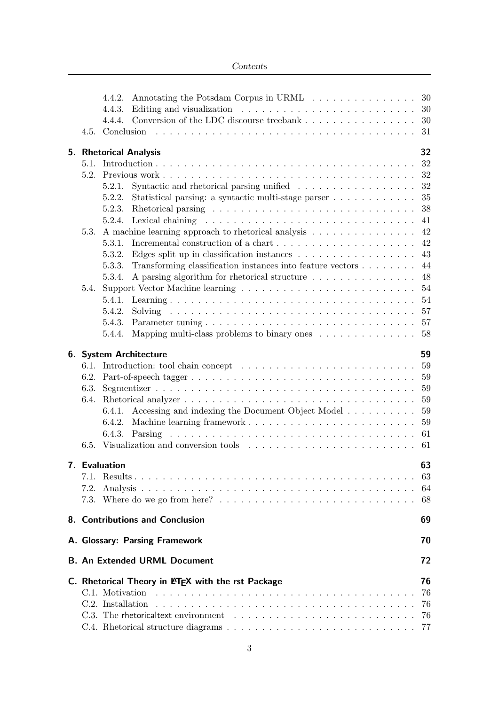| Contents |
|----------|
|----------|

|                                      | 4.4.2.<br>4.4.3.<br>4.4.4. | Annotating the Potsdam Corpus in URML<br>Editing and visualization $\ldots \ldots \ldots \ldots \ldots \ldots \ldots$<br>Conversion of the LDC discourse treebank |  |  |  |  | 30<br>30<br>30 |
|--------------------------------------|----------------------------|-------------------------------------------------------------------------------------------------------------------------------------------------------------------|--|--|--|--|----------------|
|                                      |                            |                                                                                                                                                                   |  |  |  |  | 31             |
|                                      |                            | 5. Rhetorical Analysis                                                                                                                                            |  |  |  |  | 32<br>32       |
|                                      |                            |                                                                                                                                                                   |  |  |  |  | 32             |
|                                      | 5.2.1.<br>5.2.2.           | Statistical parsing: a syntactic multi-stage parser                                                                                                               |  |  |  |  | 32<br>35       |
|                                      | 5.2.3.                     |                                                                                                                                                                   |  |  |  |  | 38             |
|                                      |                            |                                                                                                                                                                   |  |  |  |  | 41             |
| 5.3.                                 |                            | A machine learning approach to rhetorical analysis                                                                                                                |  |  |  |  | 42             |
|                                      | 5.3.1.                     |                                                                                                                                                                   |  |  |  |  | 42             |
|                                      | 5.3.2.                     | Edges split up in classification instances $\ldots \ldots \ldots \ldots \ldots$                                                                                   |  |  |  |  | 43             |
|                                      | 5.3.3.                     | Transforming classification instances into feature vectors                                                                                                        |  |  |  |  | 44             |
| 5.4.                                 | 5.3.4.                     | A parsing algorithm for rhetorical structure                                                                                                                      |  |  |  |  | 48<br>54       |
|                                      | 5.4.1.                     |                                                                                                                                                                   |  |  |  |  | 54             |
|                                      | 5.4.2.                     |                                                                                                                                                                   |  |  |  |  | 57             |
|                                      |                            |                                                                                                                                                                   |  |  |  |  | -57            |
|                                      | 5.4.4.                     | Mapping multi-class problems to binary ones $\ldots \ldots \ldots \ldots 58$                                                                                      |  |  |  |  |                |
|                                      |                            | 6. System Architecture                                                                                                                                            |  |  |  |  | 59             |
|                                      |                            |                                                                                                                                                                   |  |  |  |  | 59             |
|                                      |                            |                                                                                                                                                                   |  |  |  |  | 59<br>59       |
|                                      |                            |                                                                                                                                                                   |  |  |  |  | 59             |
|                                      | 6.4.1.                     | Accessing and indexing the Document Object Model                                                                                                                  |  |  |  |  | 59             |
|                                      |                            |                                                                                                                                                                   |  |  |  |  | 59             |
|                                      |                            |                                                                                                                                                                   |  |  |  |  | 61             |
|                                      |                            |                                                                                                                                                                   |  |  |  |  |                |
|                                      | 7. Evaluation              |                                                                                                                                                                   |  |  |  |  | 63             |
|                                      |                            |                                                                                                                                                                   |  |  |  |  | 63             |
| 7.2.                                 |                            |                                                                                                                                                                   |  |  |  |  | 64             |
|                                      |                            |                                                                                                                                                                   |  |  |  |  | 68             |
|                                      |                            | 8. Contributions and Conclusion                                                                                                                                   |  |  |  |  | 69             |
| A. Glossary: Parsing Framework<br>70 |                            |                                                                                                                                                                   |  |  |  |  |                |
|                                      |                            | <b>B. An Extended URML Document</b>                                                                                                                               |  |  |  |  | 72             |
|                                      |                            | C. Rhetorical Theory in LATEX with the rst Package                                                                                                                |  |  |  |  | 76             |
|                                      | C.1. Motivation            |                                                                                                                                                                   |  |  |  |  | 76             |
|                                      | C.2. Installation          |                                                                                                                                                                   |  |  |  |  | 76             |
|                                      |                            |                                                                                                                                                                   |  |  |  |  | 76             |
|                                      |                            |                                                                                                                                                                   |  |  |  |  | 77             |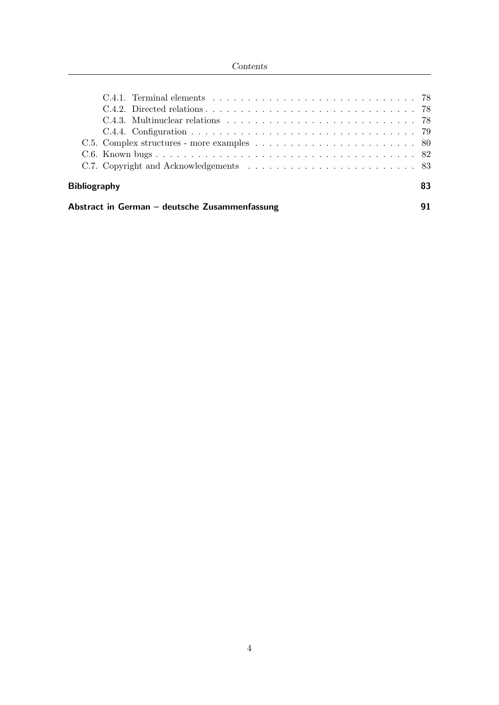## Contents

| <b>Bibliography</b> |                                                                                                       |  |  |  |  | 83 |
|---------------------|-------------------------------------------------------------------------------------------------------|--|--|--|--|----|
|                     |                                                                                                       |  |  |  |  |    |
|                     |                                                                                                       |  |  |  |  |    |
|                     |                                                                                                       |  |  |  |  |    |
|                     | C.4.3. Multinuclear relations $\ldots \ldots \ldots \ldots \ldots \ldots \ldots \ldots \ldots \ldots$ |  |  |  |  |    |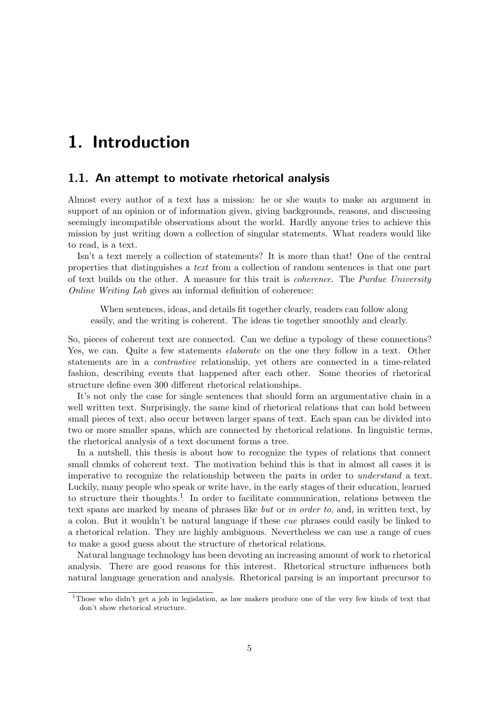# 1. Introduction

## 1.1. An attempt to motivate rhetorical analysis

Almost every author of a text has a mission: he or she wants to make an argument in support of an opinion or of information given, giving backgrounds, reasons, and discussing seemingly incompatible observations about the world. Hardly anyone tries to achieve this mission by just writing down a collection of singular statements. What readers would like to read, is a text.

Isn't a text merely a collection of statements? It is more than that! One of the central properties that distinguishes a text from a collection of random sentences is that one part of text builds on the other. A measure for this trait is coherence. The Purdue University Online Writing Lab gives an informal definition of coherence:

When sentences, ideas, and details fit together clearly, readers can follow along easily, and the writing is coherent. The ideas tie together smoothly and clearly.

So, pieces of coherent text are connected. Can we define a typology of these connections? Yes, we can. Quite a few statements *elaborate* on the one they follow in a text. Other statements are in a contrastive relationship, yet others are connected in a time-related fashion, describing events that happened after each other. Some theories of rhetorical structure define even 300 different rhetorical relationships.

It's not only the case for single sentences that should form an argumentative chain in a well written text. Surprisingly, the same kind of rhetorical relations that can hold between small pieces of text, also occur between larger spans of text. Each span can be divided into two or more smaller spans, which are connected by rhetorical relations. In linguistic terms, the rhetorical analysis of a text document forms a tree.

In a nutshell, this thesis is about how to recognize the types of relations that connect small chunks of coherent text. The motivation behind this is that in almost all cases it is imperative to recognize the relationship between the parts in order to understand a text. Luckily, many people who speak or write have, in the early stages of their education, learned to structure their thoughts.<sup>1</sup> In order to facilitate communication, relations between the text spans are marked by means of phrases like but or in order to, and, in written text, by a colon. But it wouldn't be natural language if these cue phrases could easily be linked to a rhetorical relation. They are highly ambiguous. Nevertheless we can use a range of cues to make a good guess about the structure of rhetorical relations.

Natural language technology has been devoting an increasing amount of work to rhetorical analysis. There are good reasons for this interest. Rhetorical structure influences both natural language generation and analysis. Rhetorical parsing is an important precursor to

<sup>1</sup>Those who didn't get a job in legislation, as law makers produce one of the very few kinds of text that don't show rhetorical structure.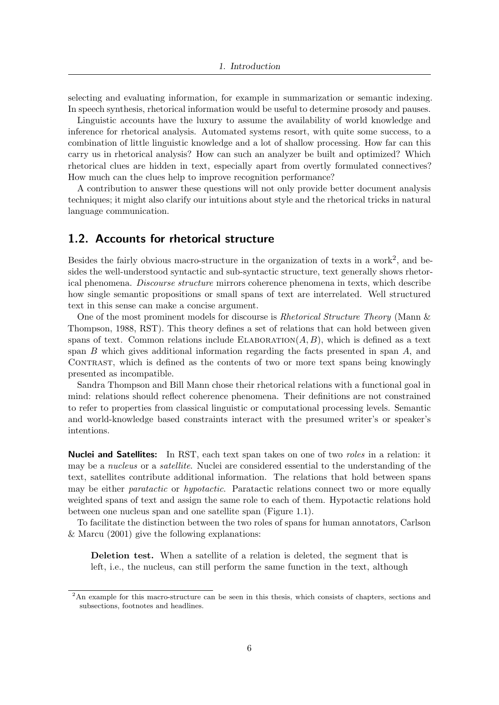selecting and evaluating information, for example in summarization or semantic indexing. In speech synthesis, rhetorical information would be useful to determine prosody and pauses.

Linguistic accounts have the luxury to assume the availability of world knowledge and inference for rhetorical analysis. Automated systems resort, with quite some success, to a combination of little linguistic knowledge and a lot of shallow processing. How far can this carry us in rhetorical analysis? How can such an analyzer be built and optimized? Which rhetorical clues are hidden in text, especially apart from overtly formulated connectives? How much can the clues help to improve recognition performance?

A contribution to answer these questions will not only provide better document analysis techniques; it might also clarify our intuitions about style and the rhetorical tricks in natural language communication.

## 1.2. Accounts for rhetorical structure

Besides the fairly obvious macro-structure in the organization of texts in a work<sup>2</sup>, and besides the well-understood syntactic and sub-syntactic structure, text generally shows rhetorical phenomena. Discourse structure mirrors coherence phenomena in texts, which describe how single semantic propositions or small spans of text are interrelated. Well structured text in this sense can make a concise argument.

One of the most prominent models for discourse is Rhetorical Structure Theory (Mann & Thompson, 1988, RST). This theory defines a set of relations that can hold between given spans of text. Common relations include ELABORATION $(A, B)$ , which is defined as a text span  $B$  which gives additional information regarding the facts presented in span  $A$ , and CONTRAST, which is defined as the contents of two or more text spans being knowingly presented as incompatible.

Sandra Thompson and Bill Mann chose their rhetorical relations with a functional goal in mind: relations should reflect coherence phenomena. Their definitions are not constrained to refer to properties from classical linguistic or computational processing levels. Semantic and world-knowledge based constraints interact with the presumed writer's or speaker's intentions.

**Nuclei and Satellites:** In RST, each text span takes on one of two *roles* in a relation: it may be a *nucleus* or a *satellite*. Nuclei are considered essential to the understanding of the text, satellites contribute additional information. The relations that hold between spans may be either *paratactic* or *hypotactic*. Paratactic relations connect two or more equally weighted spans of text and assign the same role to each of them. Hypotactic relations hold between one nucleus span and one satellite span (Figure 1.1).

To facilitate the distinction between the two roles of spans for human annotators, Carlson & Marcu (2001) give the following explanations:

Deletion test. When a satellite of a relation is deleted, the segment that is left, i.e., the nucleus, can still perform the same function in the text, although

<sup>&</sup>lt;sup>2</sup>An example for this macro-structure can be seen in this thesis, which consists of chapters, sections and subsections, footnotes and headlines.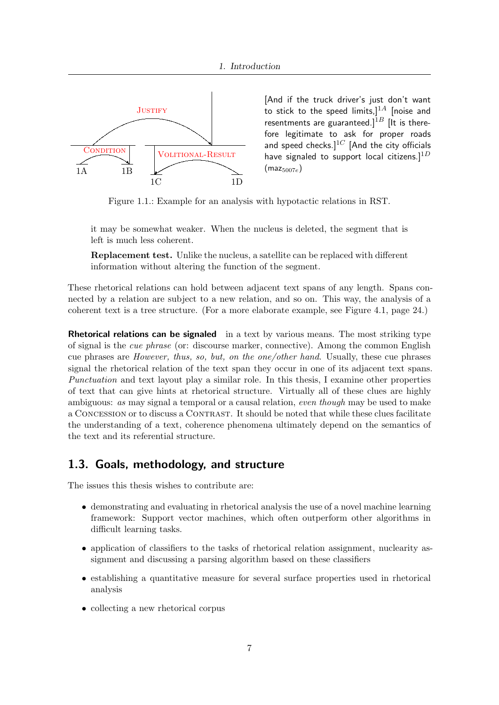

[And if the truck driver's just don't want to stick to the speed limits,] $1A$  [noise and resentments are guaranteed.]<sup>1B</sup> [It is therefore legitimate to ask for proper roads and speed checks. $]^{1C}$  [And the city officials have signaled to support local citizens.]<sup>1D</sup>  $(maz_{5007e})$ 

Figure 1.1.: Example for an analysis with hypotactic relations in RST.

it may be somewhat weaker. When the nucleus is deleted, the segment that is left is much less coherent.

Replacement test. Unlike the nucleus, a satellite can be replaced with different information without altering the function of the segment.

These rhetorical relations can hold between adjacent text spans of any length. Spans connected by a relation are subject to a new relation, and so on. This way, the analysis of a coherent text is a tree structure. (For a more elaborate example, see Figure 4.1, page 24.)

**Rhetorical relations can be signaled** in a text by various means. The most striking type of signal is the cue phrase (or: discourse marker, connective). Among the common English cue phrases are However, thus, so, but, on the one/other hand. Usually, these cue phrases signal the rhetorical relation of the text span they occur in one of its adjacent text spans. Punctuation and text layout play a similar role. In this thesis, I examine other properties of text that can give hints at rhetorical structure. Virtually all of these clues are highly ambiguous: as may signal a temporal or a causal relation, even though may be used to make a CONCESSION or to discuss a CONTRAST. It should be noted that while these clues facilitate the understanding of a text, coherence phenomena ultimately depend on the semantics of the text and its referential structure.

## 1.3. Goals, methodology, and structure

The issues this thesis wishes to contribute are:

- demonstrating and evaluating in rhetorical analysis the use of a novel machine learning framework: Support vector machines, which often outperform other algorithms in difficult learning tasks.
- application of classifiers to the tasks of rhetorical relation assignment, nuclearity assignment and discussing a parsing algorithm based on these classifiers
- establishing a quantitative measure for several surface properties used in rhetorical analysis
- collecting a new rhetorical corpus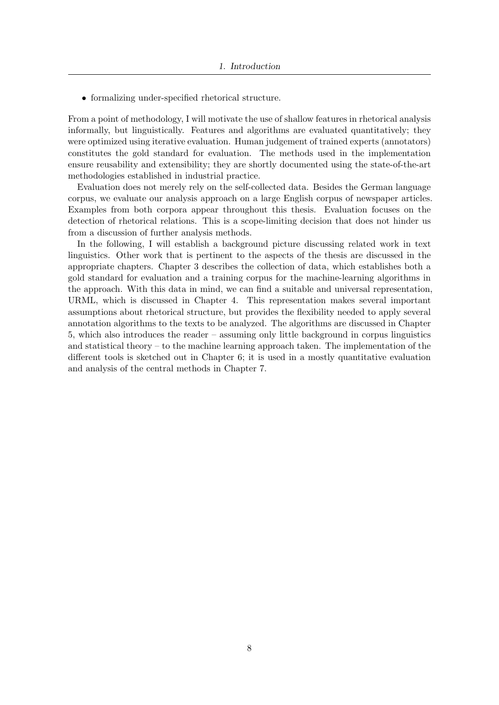• formalizing under-specified rhetorical structure.

From a point of methodology, I will motivate the use of shallow features in rhetorical analysis informally, but linguistically. Features and algorithms are evaluated quantitatively; they were optimized using iterative evaluation. Human judgement of trained experts (annotators) constitutes the gold standard for evaluation. The methods used in the implementation ensure reusability and extensibility; they are shortly documented using the state-of-the-art methodologies established in industrial practice.

Evaluation does not merely rely on the self-collected data. Besides the German language corpus, we evaluate our analysis approach on a large English corpus of newspaper articles. Examples from both corpora appear throughout this thesis. Evaluation focuses on the detection of rhetorical relations. This is a scope-limiting decision that does not hinder us from a discussion of further analysis methods.

In the following, I will establish a background picture discussing related work in text linguistics. Other work that is pertinent to the aspects of the thesis are discussed in the appropriate chapters. Chapter 3 describes the collection of data, which establishes both a gold standard for evaluation and a training corpus for the machine-learning algorithms in the approach. With this data in mind, we can find a suitable and universal representation, URML, which is discussed in Chapter 4. This representation makes several important assumptions about rhetorical structure, but provides the flexibility needed to apply several annotation algorithms to the texts to be analyzed. The algorithms are discussed in Chapter 5, which also introduces the reader – assuming only little background in corpus linguistics and statistical theory – to the machine learning approach taken. The implementation of the different tools is sketched out in Chapter 6; it is used in a mostly quantitative evaluation and analysis of the central methods in Chapter 7.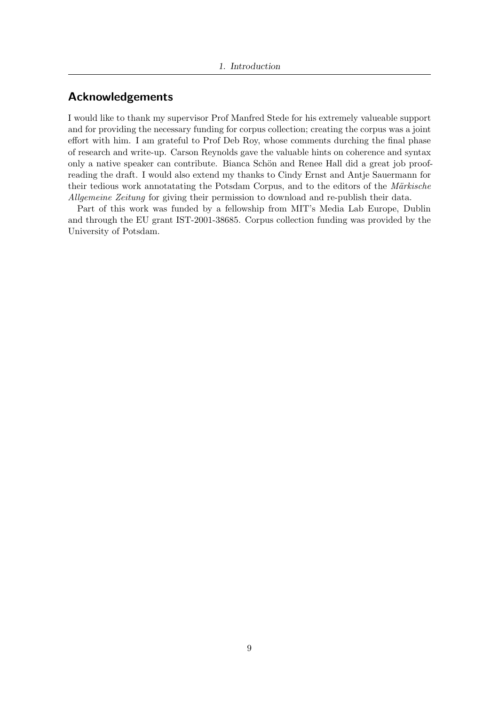# Acknowledgements

I would like to thank my supervisor Prof Manfred Stede for his extremely valueable support and for providing the necessary funding for corpus collection; creating the corpus was a joint effort with him. I am grateful to Prof Deb Roy, whose comments durching the final phase of research and write-up. Carson Reynolds gave the valuable hints on coherence and syntax only a native speaker can contribute. Bianca Schön and Renee Hall did a great job proofreading the draft. I would also extend my thanks to Cindy Ernst and Antje Sauermann for their tedious work annotatating the Potsdam Corpus, and to the editors of the Märkische Allgemeine Zeitung for giving their permission to download and re-publish their data.

Part of this work was funded by a fellowship from MIT's Media Lab Europe, Dublin and through the EU grant IST-2001-38685. Corpus collection funding was provided by the University of Potsdam.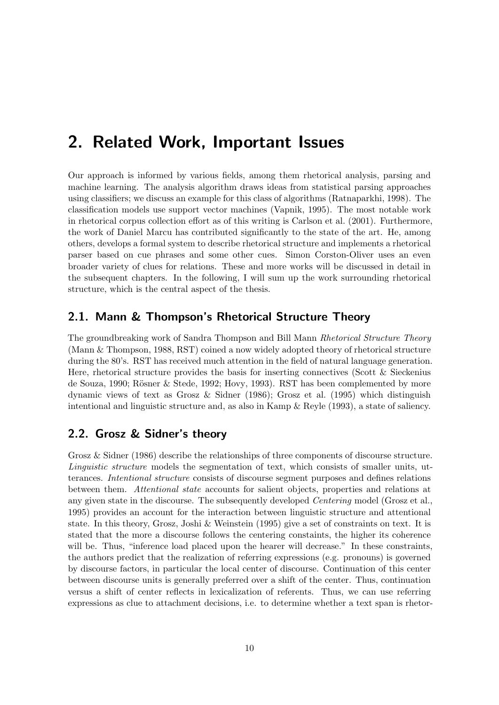# 2. Related Work, Important Issues

Our approach is informed by various fields, among them rhetorical analysis, parsing and machine learning. The analysis algorithm draws ideas from statistical parsing approaches using classifiers; we discuss an example for this class of algorithms (Ratnaparkhi, 1998). The classification models use support vector machines (Vapnik, 1995). The most notable work in rhetorical corpus collection effort as of this writing is Carlson et al. (2001). Furthermore, the work of Daniel Marcu has contributed significantly to the state of the art. He, among others, develops a formal system to describe rhetorical structure and implements a rhetorical parser based on cue phrases and some other cues. Simon Corston-Oliver uses an even broader variety of clues for relations. These and more works will be discussed in detail in the subsequent chapters. In the following, I will sum up the work surrounding rhetorical structure, which is the central aspect of the thesis.

## 2.1. Mann & Thompson's Rhetorical Structure Theory

The groundbreaking work of Sandra Thompson and Bill Mann Rhetorical Structure Theory (Mann & Thompson, 1988, RST) coined a now widely adopted theory of rhetorical structure during the 80's. RST has received much attention in the field of natural language generation. Here, rhetorical structure provides the basis for inserting connectives (Scott & Sieckenius de Souza, 1990; Rösner & Stede, 1992; Hovy, 1993). RST has been complemented by more dynamic views of text as Grosz & Sidner (1986); Grosz et al. (1995) which distinguish intentional and linguistic structure and, as also in Kamp & Reyle (1993), a state of saliency.

# 2.2. Grosz & Sidner's theory

Grosz & Sidner (1986) describe the relationships of three components of discourse structure. Linguistic structure models the segmentation of text, which consists of smaller units, utterances. Intentional structure consists of discourse segment purposes and defines relations between them. Attentional state accounts for salient objects, properties and relations at any given state in the discourse. The subsequently developed *Centering* model (Grosz et al., 1995) provides an account for the interaction between linguistic structure and attentional state. In this theory, Grosz, Joshi & Weinstein (1995) give a set of constraints on text. It is stated that the more a discourse follows the centering constaints, the higher its coherence will be. Thus, "inference load placed upon the hearer will decrease." In these constraints, the authors predict that the realization of referring expressions (e.g. pronouns) is governed by discourse factors, in particular the local center of discourse. Continuation of this center between discourse units is generally preferred over a shift of the center. Thus, continuation versus a shift of center reflects in lexicalization of referents. Thus, we can use referring expressions as clue to attachment decisions, i.e. to determine whether a text span is rhetor-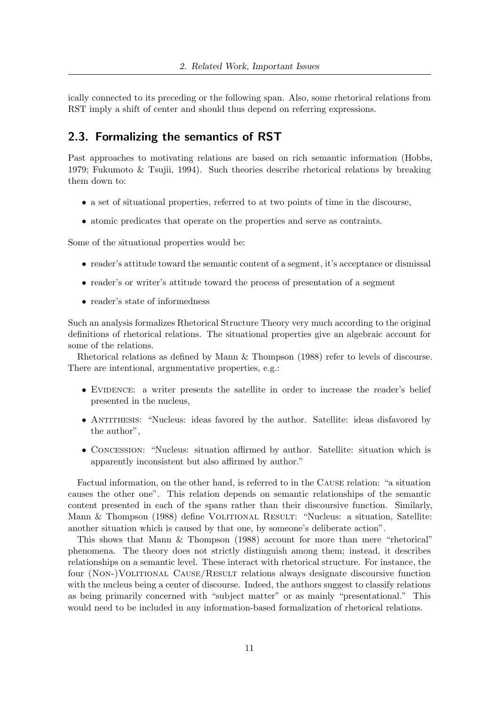ically connected to its preceding or the following span. Also, some rhetorical relations from RST imply a shift of center and should thus depend on referring expressions.

## 2.3. Formalizing the semantics of RST

Past approaches to motivating relations are based on rich semantic information (Hobbs, 1979; Fukumoto & Tsujii, 1994). Such theories describe rhetorical relations by breaking them down to:

- a set of situational properties, referred to at two points of time in the discourse,
- atomic predicates that operate on the properties and serve as contraints.

Some of the situational properties would be:

- reader's attitude toward the semantic content of a segment, it's acceptance or dismissal
- reader's or writer's attitude toward the process of presentation of a segment
- reader's state of informedness

Such an analysis formalizes Rhetorical Structure Theory very much according to the original definitions of rhetorical relations. The situational properties give an algebraic account for some of the relations.

Rhetorical relations as defined by Mann & Thompson (1988) refer to levels of discourse. There are intentional, argumentative properties, e.g.:

- EVIDENCE: a writer presents the satellite in order to increase the reader's belief presented in the nucleus,
- ANTITHESIS: "Nucleus: ideas favored by the author. Satellite: ideas disfavored by the author",
- CONCESSION: "Nucleus: situation affirmed by author. Satellite: situation which is apparently inconsistent but also affirmed by author."

Factual information, on the other hand, is referred to in the Cause relation: "a situation causes the other one". This relation depends on semantic relationships of the semantic content presented in each of the spans rather than their discoursive function. Similarly, Mann & Thompson (1988) define VOLITIONAL RESULT: "Nucleus: a situation, Satellite: another situation which is caused by that one, by someone's deliberate action".

This shows that Mann & Thompson (1988) account for more than mere "rhetorical" phenomena. The theory does not strictly distinguish among them; instead, it describes relationships on a semantic level. These interact with rhetorical structure. For instance, the four (Non-)Volitional Cause/Result relations always designate discoursive function with the nucleus being a center of discourse. Indeed, the authors suggest to classify relations as being primarily concerned with "subject matter" or as mainly "presentational." This would need to be included in any information-based formalization of rhetorical relations.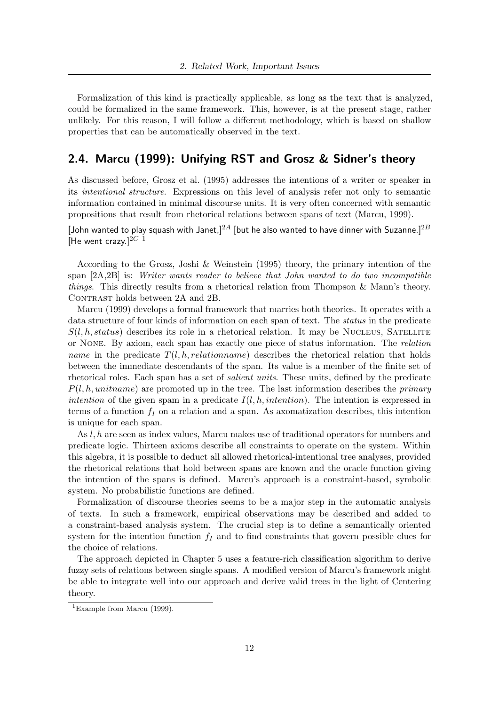Formalization of this kind is practically applicable, as long as the text that is analyzed, could be formalized in the same framework. This, however, is at the present stage, rather unlikely. For this reason, I will follow a different methodology, which is based on shallow properties that can be automatically observed in the text.

## 2.4. Marcu (1999): Unifying RST and Grosz & Sidner's theory

As discussed before, Grosz et al. (1995) addresses the intentions of a writer or speaker in its intentional structure. Expressions on this level of analysis refer not only to semantic information contained in minimal discourse units. It is very often concerned with semantic propositions that result from rhetorical relations between spans of text (Marcu, 1999).

[John wanted to play squash with Janet,]<sup>2A</sup> [but he also wanted to have dinner with Suzanne.]<sup>2B</sup> [He went crazy.]<sup>2C 1</sup>

According to the Grosz, Joshi & Weinstein (1995) theory, the primary intention of the span  $[2A,2B]$  is: Writer wants reader to believe that John wanted to do two incompatible things. This directly results from a rhetorical relation from Thompson & Mann's theory. CONTRAST holds between 2A and 2B.

Marcu (1999) develops a formal framework that marries both theories. It operates with a data structure of four kinds of information on each span of text. The *status* in the predicate  $S(l, h, status)$  describes its role in a rhetorical relation. It may be NUCLEUS, SATELLITE or None. By axiom, each span has exactly one piece of status information. The relation name in the predicate  $T(l, h, relationname)$  describes the rhetorical relation that holds between the immediate descendants of the span. Its value is a member of the finite set of rhetorical roles. Each span has a set of *salient units*. These units, defined by the predicate  $P(l, h, unitname)$  are promoted up in the tree. The last information describes the *primary* intention of the given spam in a predicate  $I(l, h, intention)$ . The intention is expressed in terms of a function  $f_I$  on a relation and a span. As axomatization describes, this intention is unique for each span.

As l, h are seen as index values, Marcu makes use of traditional operators for numbers and predicate logic. Thirteen axioms describe all constraints to operate on the system. Within this algebra, it is possible to deduct all allowed rhetorical-intentional tree analyses, provided the rhetorical relations that hold between spans are known and the oracle function giving the intention of the spans is defined. Marcu's approach is a constraint-based, symbolic system. No probabilistic functions are defined.

Formalization of discourse theories seems to be a major step in the automatic analysis of texts. In such a framework, empirical observations may be described and added to a constraint-based analysis system. The crucial step is to define a semantically oriented system for the intention function  $f_I$  and to find constraints that govern possible clues for the choice of relations.

The approach depicted in Chapter 5 uses a feature-rich classification algorithm to derive fuzzy sets of relations between single spans. A modified version of Marcu's framework might be able to integrate well into our approach and derive valid trees in the light of Centering theory.

<sup>&</sup>lt;sup>1</sup>Example from Marcu (1999).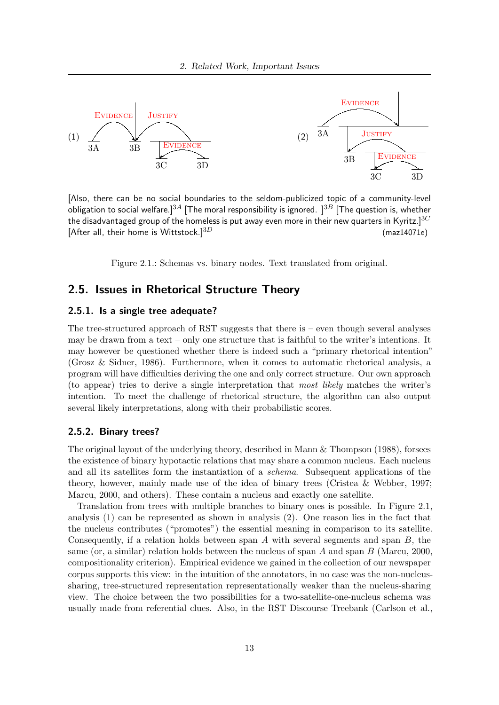

[Also, there can be no social boundaries to the seldom-publicized topic of a community-level obligation to social welfare.]<sup>3A</sup> [The moral responsibility is ignored. ]<sup>3B</sup> [The question is, whether the disadvantaged group of the homeless is put away even more in their new quarters in Kyritz.]<sup>3*C*</sup> [After all, their home is Wittstock.]<sup>3D</sup> (maz14071e)

Figure 2.1.: Schemas vs. binary nodes. Text translated from original.

## 2.5. Issues in Rhetorical Structure Theory

## 2.5.1. Is a single tree adequate?

The tree-structured approach of RST suggests that there is  $-$  even though several analyses may be drawn from a text – only one structure that is faithful to the writer's intentions. It may however be questioned whether there is indeed such a "primary rhetorical intention" (Grosz & Sidner, 1986). Furthermore, when it comes to automatic rhetorical analysis, a program will have difficulties deriving the one and only correct structure. Our own approach (to appear) tries to derive a single interpretation that most likely matches the writer's intention. To meet the challenge of rhetorical structure, the algorithm can also output several likely interpretations, along with their probabilistic scores.

### 2.5.2. Binary trees?

The original layout of the underlying theory, described in Mann & Thompson (1988), forsees the existence of binary hypotactic relations that may share a common nucleus. Each nucleus and all its satellites form the instantiation of a schema. Subsequent applications of the theory, however, mainly made use of the idea of binary trees (Cristea & Webber, 1997; Marcu, 2000, and others). These contain a nucleus and exactly one satellite.

Translation from trees with multiple branches to binary ones is possible. In Figure 2.1, analysis (1) can be represented as shown in analysis (2). One reason lies in the fact that the nucleus contributes ("promotes") the essential meaning in comparison to its satellite. Consequently, if a relation holds between span A with several segments and span  $B$ , the same (or, a similar) relation holds between the nucleus of span A and span B (Marcu, 2000, compositionality criterion). Empirical evidence we gained in the collection of our newspaper corpus supports this view: in the intuition of the annotators, in no case was the non-nucleussharing, tree-structured representation representationally weaker than the nucleus-sharing view. The choice between the two possibilities for a two-satellite-one-nucleus schema was usually made from referential clues. Also, in the RST Discourse Treebank (Carlson et al.,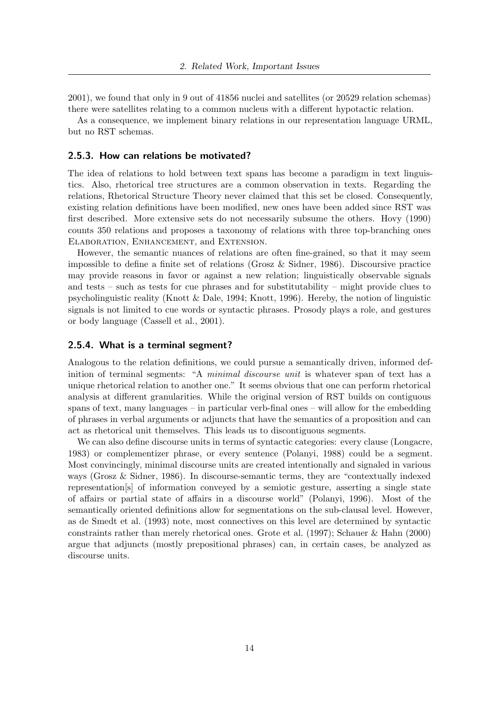2001), we found that only in 9 out of 41856 nuclei and satellites (or 20529 relation schemas) there were satellites relating to a common nucleus with a different hypotactic relation.

As a consequence, we implement binary relations in our representation language URML, but no RST schemas.

#### 2.5.3. How can relations be motivated?

The idea of relations to hold between text spans has become a paradigm in text linguistics. Also, rhetorical tree structures are a common observation in texts. Regarding the relations, Rhetorical Structure Theory never claimed that this set be closed. Consequently, existing relation definitions have been modified, new ones have been added since RST was first described. More extensive sets do not necessarily subsume the others. Hovy (1990) counts 350 relations and proposes a taxonomy of relations with three top-branching ones Elaboration, Enhancement, and Extension.

However, the semantic nuances of relations are often fine-grained, so that it may seem impossible to define a finite set of relations (Grosz & Sidner, 1986). Discoursive practice may provide reasons in favor or against a new relation; linguistically observable signals and tests – such as tests for cue phrases and for substitutability – might provide clues to psycholinguistic reality (Knott & Dale, 1994; Knott, 1996). Hereby, the notion of linguistic signals is not limited to cue words or syntactic phrases. Prosody plays a role, and gestures or body language (Cassell et al., 2001).

#### 2.5.4. What is a terminal segment?

Analogous to the relation definitions, we could pursue a semantically driven, informed definition of terminal segments: "A *minimal discourse unit* is whatever span of text has a unique rhetorical relation to another one." It seems obvious that one can perform rhetorical analysis at different granularities. While the original version of RST builds on contiguous spans of text, many languages – in particular verb-final ones – will allow for the embedding of phrases in verbal arguments or adjuncts that have the semantics of a proposition and can act as rhetorical unit themselves. This leads us to discontiguous segments.

We can also define discourse units in terms of syntactic categories: every clause (Longacre, 1983) or complementizer phrase, or every sentence (Polanyi, 1988) could be a segment. Most convincingly, minimal discourse units are created intentionally and signaled in various ways (Grosz & Sidner, 1986). In discourse-semantic terms, they are "contextually indexed representation[s] of information conveyed by a semiotic gesture, asserting a single state of affairs or partial state of affairs in a discourse world" (Polanyi, 1996). Most of the semantically oriented definitions allow for segmentations on the sub-clausal level. However, as de Smedt et al. (1993) note, most connectives on this level are determined by syntactic constraints rather than merely rhetorical ones. Grote et al. (1997); Schauer & Hahn (2000) argue that adjuncts (mostly prepositional phrases) can, in certain cases, be analyzed as discourse units.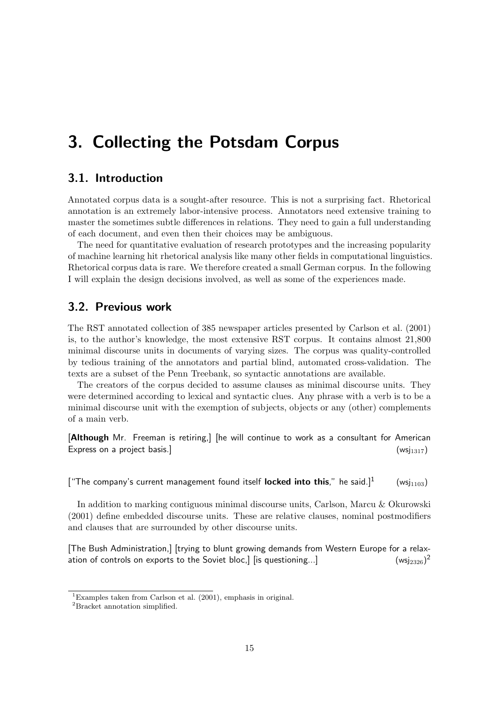# 3. Collecting the Potsdam Corpus

## 3.1. Introduction

Annotated corpus data is a sought-after resource. This is not a surprising fact. Rhetorical annotation is an extremely labor-intensive process. Annotators need extensive training to master the sometimes subtle differences in relations. They need to gain a full understanding of each document, and even then their choices may be ambiguous.

The need for quantitative evaluation of research prototypes and the increasing popularity of machine learning hit rhetorical analysis like many other fields in computational linguistics. Rhetorical corpus data is rare. We therefore created a small German corpus. In the following I will explain the design decisions involved, as well as some of the experiences made.

## 3.2. Previous work

The RST annotated collection of 385 newspaper articles presented by Carlson et al. (2001) is, to the author's knowledge, the most extensive RST corpus. It contains almost 21,800 minimal discourse units in documents of varying sizes. The corpus was quality-controlled by tedious training of the annotators and partial blind, automated cross-validation. The texts are a subset of the Penn Treebank, so syntactic annotations are available.

The creators of the corpus decided to assume clauses as minimal discourse units. They were determined according to lexical and syntactic clues. Any phrase with a verb is to be a minimal discourse unit with the exemption of subjects, objects or any (other) complements of a main verb.

[Although Mr. Freeman is retiring,] [he will continue to work as a consultant for American Express on a project basis.]  $(wsj_{1317})$ 

 $[$  "The company's current management found itself locked into this." he said.]<sup>1</sup>  $(wsi_{1103})$ 

In addition to marking contiguous minimal discourse units, Carlson, Marcu & Okurowski (2001) define embedded discourse units. These are relative clauses, nominal postmodifiers and clauses that are surrounded by other discourse units.

[The Bush Administration,] [trying to blunt growing demands from Western Europe for a relaxation of controls on exports to the Soviet bloc,] [is questioning...]  $(wsi_{2326})^2$ 

<sup>&</sup>lt;sup>1</sup>Examples taken from Carlson et al.  $(2001)$ , emphasis in original.

<sup>&</sup>lt;sup>2</sup>Bracket annotation simplified.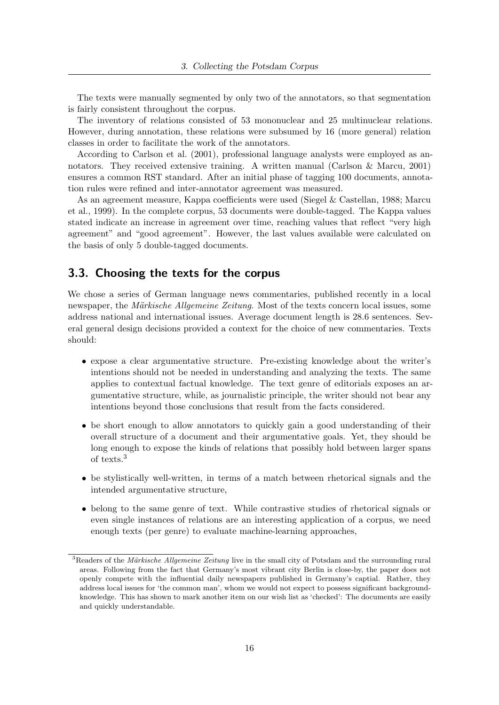The texts were manually segmented by only two of the annotators, so that segmentation is fairly consistent throughout the corpus.

The inventory of relations consisted of 53 mononuclear and 25 multinuclear relations. However, during annotation, these relations were subsumed by 16 (more general) relation classes in order to facilitate the work of the annotators.

According to Carlson et al. (2001), professional language analysts were employed as annotators. They received extensive training. A written manual (Carlson & Marcu, 2001) ensures a common RST standard. After an initial phase of tagging 100 documents, annotation rules were refined and inter-annotator agreement was measured.

As an agreement measure, Kappa coefficients were used (Siegel & Castellan, 1988; Marcu et al., 1999). In the complete corpus, 53 documents were double-tagged. The Kappa values stated indicate an increase in agreement over time, reaching values that reflect "very high agreement" and "good agreement". However, the last values available were calculated on the basis of only 5 double-tagged documents.

## 3.3. Choosing the texts for the corpus

We chose a series of German language news commentaries, published recently in a local newspaper, the *Märkische Allgemeine Zeitung*. Most of the texts concern local issues, some address national and international issues. Average document length is 28.6 sentences. Several general design decisions provided a context for the choice of new commentaries. Texts should:

- expose a clear argumentative structure. Pre-existing knowledge about the writer's intentions should not be needed in understanding and analyzing the texts. The same applies to contextual factual knowledge. The text genre of editorials exposes an argumentative structure, while, as journalistic principle, the writer should not bear any intentions beyond those conclusions that result from the facts considered.
- be short enough to allow annotators to quickly gain a good understanding of their overall structure of a document and their argumentative goals. Yet, they should be long enough to expose the kinds of relations that possibly hold between larger spans of texts.<sup>3</sup>
- be stylistically well-written, in terms of a match between rhetorical signals and the intended argumentative structure,
- belong to the same genre of text. While contrastive studies of rhetorical signals or even single instances of relations are an interesting application of a corpus, we need enough texts (per genre) to evaluate machine-learning approaches,

 $3$ Readers of the *Märkische Allgemeine Zeitung* live in the small city of Potsdam and the surrounding rural areas. Following from the fact that Germany's most vibrant city Berlin is close-by, the paper does not openly compete with the influential daily newspapers published in Germany's captial. Rather, they address local issues for 'the common man', whom we would not expect to possess significant backgroundknowledge. This has shown to mark another item on our wish list as 'checked': The documents are easily and quickly understandable.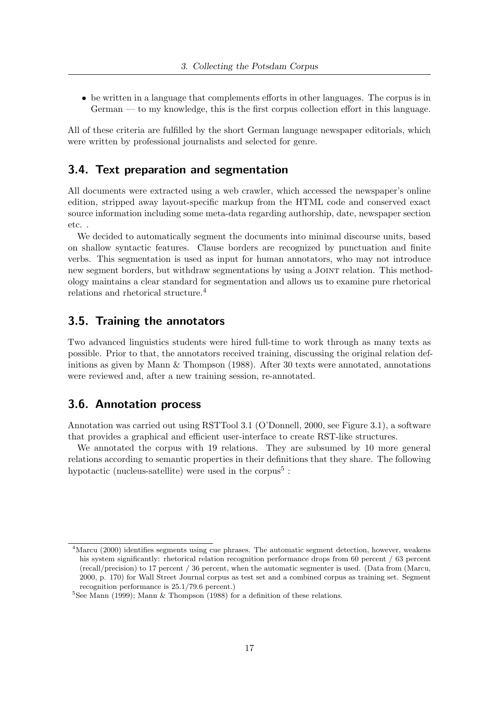• be written in a language that complements efforts in other languages. The corpus is in German — to my knowledge, this is the first corpus collection effort in this language.

All of these criteria are fulfilled by the short German language newspaper editorials, which were written by professional journalists and selected for genre.

## 3.4. Text preparation and segmentation

All documents were extracted using a web crawler, which accessed the newspaper's online edition, stripped away layout-specific markup from the HTML code and conserved exact source information including some meta-data regarding authorship, date, newspaper section etc. .

We decided to automatically segment the documents into minimal discourse units, based on shallow syntactic features. Clause borders are recognized by punctuation and finite verbs. This segmentation is used as input for human annotators, who may not introduce new segment borders, but withdraw segmentations by using a Joint relation. This methodology maintains a clear standard for segmentation and allows us to examine pure rhetorical relations and rhetorical structure.<sup>4</sup>

## 3.5. Training the annotators

Two advanced linguistics students were hired full-time to work through as many texts as possible. Prior to that, the annotators received training, discussing the original relation definitions as given by Mann  $\&$  Thompson (1988). After 30 texts were annotated, annotations were reviewed and, after a new training session, re-annotated.

## 3.6. Annotation process

Annotation was carried out using RSTTool 3.1 (O'Donnell, 2000, see Figure 3.1), a software that provides a graphical and efficient user-interface to create RST-like structures.

We annotated the corpus with 19 relations. They are subsumed by 10 more general relations according to semantic properties in their definitions that they share. The following hypotactic (nucleus-satellite) were used in the corpus<sup>5</sup>:

 $^{4}$ Marcu (2000) identifies segments using cue phrases. The automatic segment detection, however, weakens his system significantly: rhetorical relation recognition performance drops from 60 percent / 63 percent (recall/precision) to 17 percent / 36 percent, when the automatic segmenter is used. (Data from (Marcu, 2000, p. 170) for Wall Street Journal corpus as test set and a combined corpus as training set. Segment recognition performance is 25.1/79.6 percent.)

 $5$ See Mann (1999); Mann & Thompson (1988) for a definition of these relations.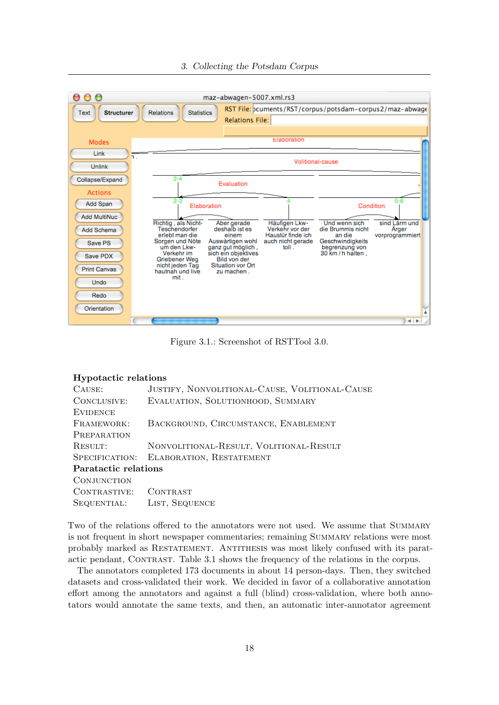



Figure 3.1.: Screenshot of RSTTool 3.0.

#### Hypotactic relations

| CAUSE:               | JUSTIFY, NONVOLITIONAL-CAUSE, VOLITIONAL-CAUSE |
|----------------------|------------------------------------------------|
| CONCLUSIVE:          | EVALUATION, SOLUTIONHOOD, SUMMARY              |
| <b>EVIDENCE</b>      |                                                |
| FRAMEWORK:           | BACKGROUND, CIRCUMSTANCE, ENABLEMENT           |
| PREPARATION          |                                                |
| RESULT:              | NONVOLITIONAL-RESULT, VOLITIONAL-RESULT        |
| SPECIFICATION:       | ELABORATION, RESTATEMENT                       |
| Paratactic relations |                                                |
| CONJUNCTION          |                                                |
| CONTRASTIVE:         | CONTRAST                                       |
| SEQUENTIAL:          | LIST, SEQUENCE                                 |

Two of the relations offered to the annotators were not used. We assume that SUMMARY is not frequent in short newspaper commentaries; remaining Summary relations were most probably marked as RESTATEMENT. ANTITHESIS was most likely confused with its paratactic pendant, CONTRAST. Table 3.1 shows the frequency of the relations in the corpus.

The annotators completed 173 documents in about 14 person-days. Then, they switched datasets and cross-validated their work. We decided in favor of a collaborative annotation effort among the annotators and against a full (blind) cross-validation, where both annotators would annotate the same texts, and then, an automatic inter-annotator agreement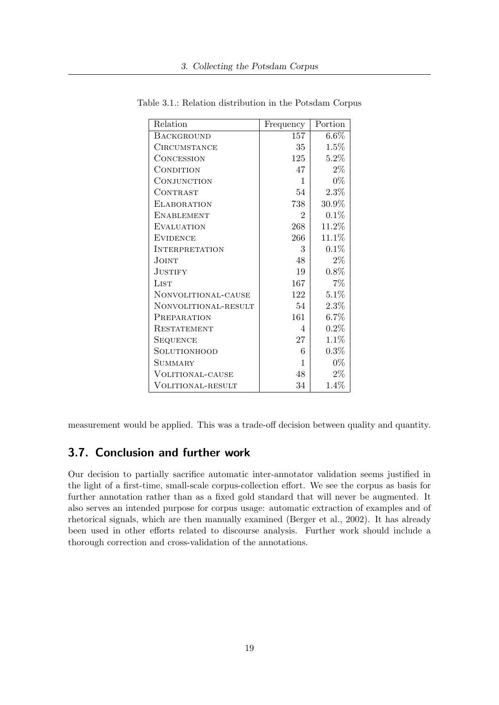| Relation                 | Frequency      | Portion  |
|--------------------------|----------------|----------|
| <b>BACKGROUND</b>        | 157            | $6.6\%$  |
| <b>CIRCUMSTANCE</b>      | 35             | 1.5%     |
| CONCESSION               | 125            | $5.2\%$  |
| CONDITION                | 47             | $2\%$    |
| CONJUNCTION              | 1              | $0\%$    |
| CONTRAST                 | 54             | 2.3%     |
| <b>ELABORATION</b>       | 738            | 30.9%    |
| <b>ENABLEMENT</b>        | $\overline{2}$ | 0.1%     |
| <b>EVALUATION</b>        | 268            | 11.2%    |
| <b>EVIDENCE</b>          | 266            | $11.1\%$ |
| <b>INTERPRETATION</b>    | 3              | 0.1%     |
| JOINT                    | 48             | $2\%$    |
| <b>JUSTIFY</b>           | 19             | 0.8%     |
| LIST                     | 167            | 7%       |
| NONVOLITIONAL-CAUSE      | 122            | 5.1%     |
| NONVOLITIONAL-RESULT     | 54             | $2.3\%$  |
| PREPARATION              | 161            | $6.7\%$  |
| <b>RESTATEMENT</b>       | 4              | $0.2\%$  |
| <b>SEQUENCE</b>          | 27             | 1.1%     |
| SOLUTIONHOOD             | 6              | 0.3%     |
| <b>SUMMARY</b>           | 1              | $0\%$    |
| <b>VOLITIONAL-CAUSE</b>  | 48             | $2\%$    |
| <b>VOLITIONAL-RESULT</b> | 34             | 1.4%     |

Table 3.1.: Relation distribution in the Potsdam Corpus

measurement would be applied. This was a trade-off decision between quality and quantity.

# 3.7. Conclusion and further work

Our decision to partially sacrifice automatic inter-annotator validation seems justified in the light of a first-time, small-scale corpus-collection effort. We see the corpus as basis for further annotation rather than as a fixed gold standard that will never be augmented. It also serves an intended purpose for corpus usage: automatic extraction of examples and of rhetorical signals, which are then manually examined (Berger et al., 2002). It has already been used in other efforts related to discourse analysis. Further work should include a thorough correction and cross-validation of the annotations.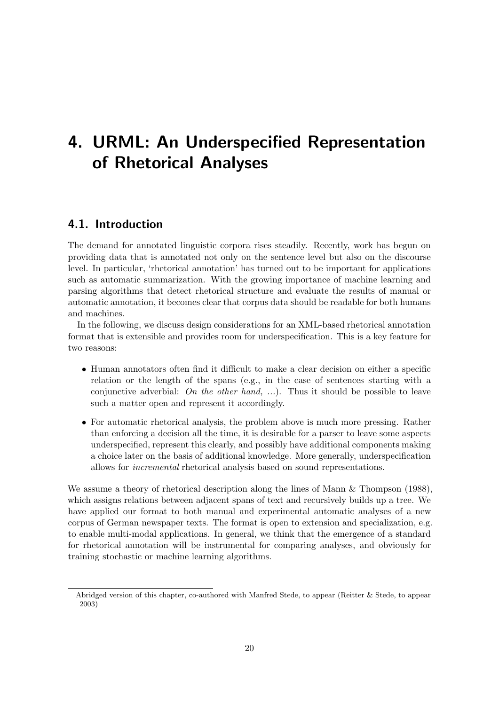# 4. URML: An Underspecified Representation of Rhetorical Analyses

# 4.1. Introduction

The demand for annotated linguistic corpora rises steadily. Recently, work has begun on providing data that is annotated not only on the sentence level but also on the discourse level. In particular, 'rhetorical annotation' has turned out to be important for applications such as automatic summarization. With the growing importance of machine learning and parsing algorithms that detect rhetorical structure and evaluate the results of manual or automatic annotation, it becomes clear that corpus data should be readable for both humans and machines.

In the following, we discuss design considerations for an XML-based rhetorical annotation format that is extensible and provides room for underspecification. This is a key feature for two reasons:

- Human annotators often find it difficult to make a clear decision on either a specific relation or the length of the spans (e.g., in the case of sentences starting with a conjunctive adverbial: On the other hand, ...). Thus it should be possible to leave such a matter open and represent it accordingly.
- For automatic rhetorical analysis, the problem above is much more pressing. Rather than enforcing a decision all the time, it is desirable for a parser to leave some aspects underspecified, represent this clearly, and possibly have additional components making a choice later on the basis of additional knowledge. More generally, underspecification allows for incremental rhetorical analysis based on sound representations.

We assume a theory of rhetorical description along the lines of Mann & Thompson (1988), which assigns relations between adjacent spans of text and recursively builds up a tree. We have applied our format to both manual and experimental automatic analyses of a new corpus of German newspaper texts. The format is open to extension and specialization, e.g. to enable multi-modal applications. In general, we think that the emergence of a standard for rhetorical annotation will be instrumental for comparing analyses, and obviously for training stochastic or machine learning algorithms.

Abridged version of this chapter, co-authored with Manfred Stede, to appear (Reitter & Stede, to appear 2003)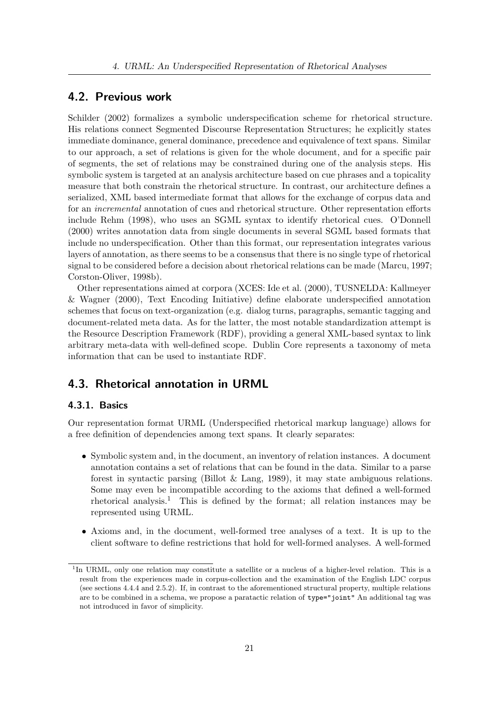## 4.2. Previous work

Schilder (2002) formalizes a symbolic underspecification scheme for rhetorical structure. His relations connect Segmented Discourse Representation Structures; he explicitly states immediate dominance, general dominance, precedence and equivalence of text spans. Similar to our approach, a set of relations is given for the whole document, and for a specific pair of segments, the set of relations may be constrained during one of the analysis steps. His symbolic system is targeted at an analysis architecture based on cue phrases and a topicality measure that both constrain the rhetorical structure. In contrast, our architecture defines a serialized, XML based intermediate format that allows for the exchange of corpus data and for an incremental annotation of cues and rhetorical structure. Other representation efforts include Rehm (1998), who uses an SGML syntax to identify rhetorical cues. O'Donnell (2000) writes annotation data from single documents in several SGML based formats that include no underspecification. Other than this format, our representation integrates various layers of annotation, as there seems to be a consensus that there is no single type of rhetorical signal to be considered before a decision about rhetorical relations can be made (Marcu, 1997; Corston-Oliver, 1998b).

Other representations aimed at corpora (XCES: Ide et al. (2000), TUSNELDA: Kallmeyer & Wagner (2000), Text Encoding Initiative) define elaborate underspecified annotation schemes that focus on text-organization (e.g. dialog turns, paragraphs, semantic tagging and document-related meta data. As for the latter, the most notable standardization attempt is the Resource Description Framework (RDF), providing a general XML-based syntax to link arbitrary meta-data with well-defined scope. Dublin Core represents a taxonomy of meta information that can be used to instantiate RDF.

## 4.3. Rhetorical annotation in URML

## 4.3.1. Basics

Our representation format URML (Underspecified rhetorical markup language) allows for a free definition of dependencies among text spans. It clearly separates:

- Symbolic system and, in the document, an inventory of relation instances. A document annotation contains a set of relations that can be found in the data. Similar to a parse forest in syntactic parsing (Billot & Lang, 1989), it may state ambiguous relations. Some may even be incompatible according to the axioms that defined a well-formed rhetorical analysis.<sup>1</sup> This is defined by the format; all relation instances may be represented using URML.
- Axioms and, in the document, well-formed tree analyses of a text. It is up to the client software to define restrictions that hold for well-formed analyses. A well-formed

<sup>&</sup>lt;sup>1</sup>In URML, only one relation may constitute a satellite or a nucleus of a higher-level relation. This is a result from the experiences made in corpus-collection and the examination of the English LDC corpus (see sections 4.4.4 and 2.5.2). If, in contrast to the aforementioned structural property, multiple relations are to be combined in a schema, we propose a paratactic relation of type="joint" An additional tag was not introduced in favor of simplicity.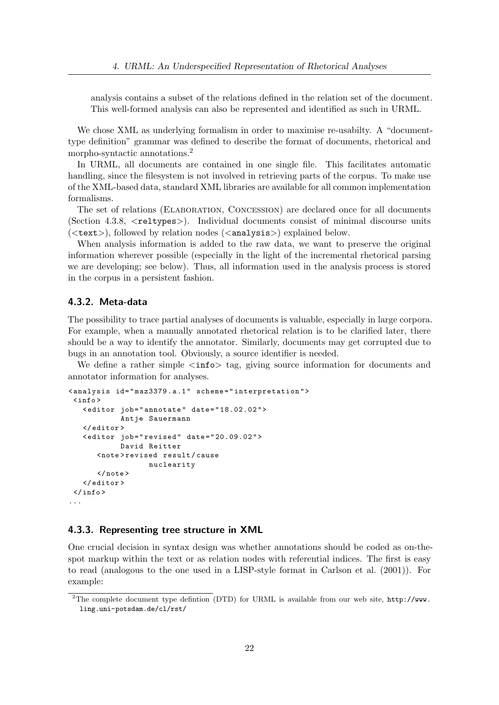analysis contains a subset of the relations defined in the relation set of the document. This well-formed analysis can also be represented and identified as such in URML.

We chose XML as underlying formalism in order to maximise re-usabilty. A "documenttype definition" grammar was defined to describe the format of documents, rhetorical and morpho-syntactic annotations.<sup>2</sup>

In URML, all documents are contained in one single file. This facilitates automatic handling, since the filesystem is not involved in retrieving parts of the corpus. To make use of the XML-based data, standard XML libraries are available for all common implementation formalisms.

The set of relations (Elaboration, Concession) are declared once for all documents (Section 4.3.8, <reltypes>). Individual documents consist of minimal discourse units  $(**text**), followed by relation nodes (**analysis**) explained below.$ 

When analysis information is added to the raw data, we want to preserve the original information wherever possible (especially in the light of the incremental rhetorical parsing we are developing; see below). Thus, all information used in the analysis process is stored in the corpus in a persistent fashion.

### 4.3.2. Meta-data

The possibility to trace partial analyses of documents is valuable, especially in large corpora. For example, when a manually annotated rhetorical relation is to be clarified later, there should be a way to identify the annotator. Similarly, documents may get corrupted due to bugs in an annotation tool. Obviously, a source identifier is needed.

We define a rather simple  $\langle \text{info} \rangle$  tag, giving source information for documents and annotator information for analyses.

```
<analysis id="maz3379.a.1" scheme="interpretation">
 \langleinfo\rangle< editor job = " annotate " date = " 18.02.02 " >
              Antje Sauermann
    </ editor >
    < editor job = " revised " date = " 20.09.02 " >
             David Reitter
       < note > revised result / cause
                     nuclearity
       \langle/note>
   </ editor >
 \langle/info>
...
```
### 4.3.3. Representing tree structure in XML

One crucial decision in syntax design was whether annotations should be coded as on-thespot markup within the text or as relation nodes with referential indices. The first is easy to read (analogous to the one used in a LISP-style format in Carlson et al. (2001)). For example:

<sup>&</sup>lt;sup>2</sup>The complete document type defintion (DTD) for URML is available from our web site,  $http://www.$ ling.uni-potsdam.de/cl/rst/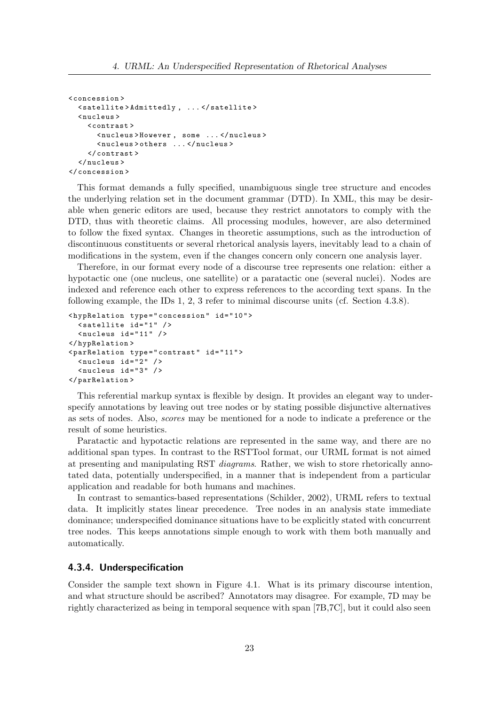```
< concession >
  < satellite > Admittedly , ... </ satellite >
  < nucleus >
    < contrast >
       < nucleus > However , some ... </ nucleus >
       < nucleus > others ... </ nucleus >
     </ contrast >
  </ nucleus >
</ concession >
```
This format demands a fully specified, unambiguous single tree structure and encodes the underlying relation set in the document grammar (DTD). In XML, this may be desirable when generic editors are used, because they restrict annotators to comply with the DTD, thus with theoretic claims. All processing modules, however, are also determined to follow the fixed syntax. Changes in theoretic assumptions, such as the introduction of discontinuous constituents or several rhetorical analysis layers, inevitably lead to a chain of modifications in the system, even if the changes concern only concern one analysis layer.

Therefore, in our format every node of a discourse tree represents one relation: either a hypotactic one (one nucleus, one satellite) or a paratactic one (several nuclei). Nodes are indexed and reference each other to express references to the according text spans. In the following example, the IDs 1, 2, 3 refer to minimal discourse units (cf. Section 4.3.8).

```
< hypRelation type = " concession " id = " 10 " >
  \leq satellite id="1" />
  \langlenucleus id="11" />
</ hypRelation >
< parRelation type = " contrast " id = " 11 " >
  <nucleus id = "2" />
  <sub>nucleus</sub> id="3" /></sub>
</ parRelation >
```
This referential markup syntax is flexible by design. It provides an elegant way to underspecify annotations by leaving out tree nodes or by stating possible disjunctive alternatives as sets of nodes. Also, scores may be mentioned for a node to indicate a preference or the result of some heuristics.

Paratactic and hypotactic relations are represented in the same way, and there are no additional span types. In contrast to the RSTTool format, our URML format is not aimed at presenting and manipulating RST diagrams. Rather, we wish to store rhetorically annotated data, potentially underspecified, in a manner that is independent from a particular application and readable for both humans and machines.

In contrast to semantics-based representations (Schilder, 2002), URML refers to textual data. It implicitly states linear precedence. Tree nodes in an analysis state immediate dominance; underspecified dominance situations have to be explicitly stated with concurrent tree nodes. This keeps annotations simple enough to work with them both manually and automatically.

#### 4.3.4. Underspecification

Consider the sample text shown in Figure 4.1. What is its primary discourse intention, and what structure should be ascribed? Annotators may disagree. For example, 7D may be rightly characterized as being in temporal sequence with span [7B,7C], but it could also seen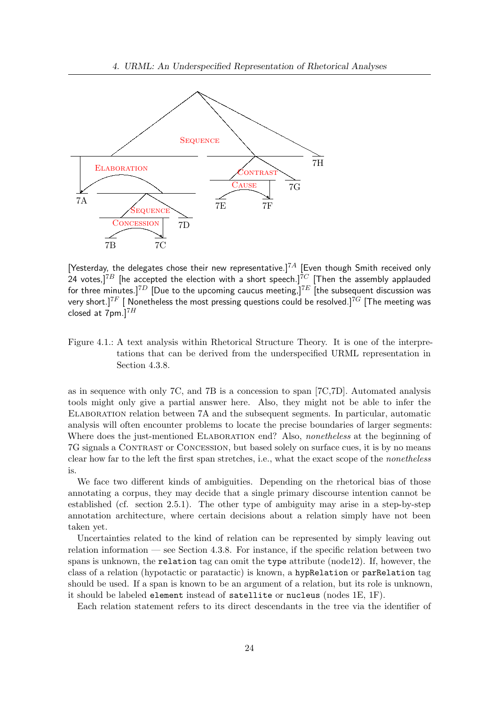

[Yesterday, the delegates chose their new representative.]<sup>7A</sup> [Even though Smith received only  $[1]$  resterday, the delegates ensure their new representation,  $\overline{7}C$  [Then the assembly applauded 24 votes,] $7B$  [he accepted the election with a short speech.] $7C$  [Then the assembly applauded for three minutes.]<sup>7D</sup> [Due to the upcoming caucus meeting,]<sup>7E</sup> [the subsequent discussion was very short.]<sup>7F</sup> [ Nonetheless the most pressing questions could be resolved.]<sup>7G</sup> [The meeting was closed at  $7$ pm.] $^{7H}$ 

Figure 4.1.: A text analysis within Rhetorical Structure Theory. It is one of the interpretations that can be derived from the underspecified URML representation in Section 4.3.8.

as in sequence with only 7C, and 7B is a concession to span [7C,7D]. Automated analysis tools might only give a partial answer here. Also, they might not be able to infer the Elaboration relation between 7A and the subsequent segments. In particular, automatic analysis will often encounter problems to locate the precise boundaries of larger segments: Where does the just-mentioned ELABORATION end? Also, *nonetheless* at the beginning of 7G signals a Contrast or Concession, but based solely on surface cues, it is by no means clear how far to the left the first span stretches, i.e., what the exact scope of the nonetheless is.

We face two different kinds of ambiguities. Depending on the rhetorical bias of those annotating a corpus, they may decide that a single primary discourse intention cannot be established (cf. section 2.5.1). The other type of ambiguity may arise in a step-by-step annotation architecture, where certain decisions about a relation simply have not been taken yet.

Uncertainties related to the kind of relation can be represented by simply leaving out relation information — see Section 4.3.8. For instance, if the specific relation between two spans is unknown, the relation tag can omit the type attribute (node12). If, however, the class of a relation (hypotactic or paratactic) is known, a hypRelation or parRelation tag should be used. If a span is known to be an argument of a relation, but its role is unknown, it should be labeled element instead of satellite or nucleus (nodes 1E, 1F).

Each relation statement refers to its direct descendants in the tree via the identifier of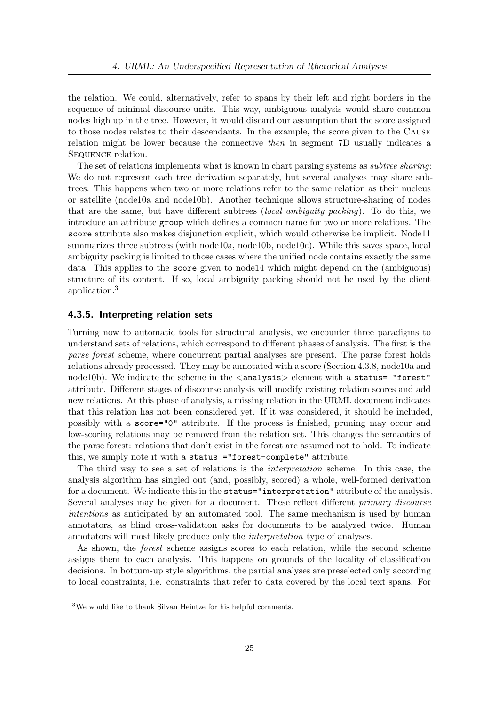the relation. We could, alternatively, refer to spans by their left and right borders in the sequence of minimal discourse units. This way, ambiguous analysis would share common nodes high up in the tree. However, it would discard our assumption that the score assigned to those nodes relates to their descendants. In the example, the score given to the Cause relation might be lower because the connective then in segment 7D usually indicates a Sequence relation.

The set of relations implements what is known in chart parsing systems as subtree sharing: We do not represent each tree derivation separately, but several analyses may share subtrees. This happens when two or more relations refer to the same relation as their nucleus or satellite (node10a and node10b). Another technique allows structure-sharing of nodes that are the same, but have different subtrees (local ambiguity packing). To do this, we introduce an attribute group which defines a common name for two or more relations. The score attribute also makes disjunction explicit, which would otherwise be implicit. Node11 summarizes three subtrees (with node10a, node10b, node10c). While this saves space, local ambiguity packing is limited to those cases where the unified node contains exactly the same data. This applies to the score given to node14 which might depend on the (ambiguous) structure of its content. If so, local ambiguity packing should not be used by the client application.<sup>3</sup>

## 4.3.5. Interpreting relation sets

Turning now to automatic tools for structural analysis, we encounter three paradigms to understand sets of relations, which correspond to different phases of analysis. The first is the parse forest scheme, where concurrent partial analyses are present. The parse forest holds relations already processed. They may be annotated with a score (Section 4.3.8, node10a and node10b). We indicate the scheme in the  $\langle$ analysis $\rangle$  element with a status= "forest" attribute. Different stages of discourse analysis will modify existing relation scores and add new relations. At this phase of analysis, a missing relation in the URML document indicates that this relation has not been considered yet. If it was considered, it should be included, possibly with a score="0" attribute. If the process is finished, pruning may occur and low-scoring relations may be removed from the relation set. This changes the semantics of the parse forest: relations that don't exist in the forest are assumed not to hold. To indicate this, we simply note it with a status ="forest-complete" attribute.

The third way to see a set of relations is the interpretation scheme. In this case, the analysis algorithm has singled out (and, possibly, scored) a whole, well-formed derivation for a document. We indicate this in the status="interpretation" attribute of the analysis. Several analyses may be given for a document. These reflect different primary discourse intentions as anticipated by an automated tool. The same mechanism is used by human annotators, as blind cross-validation asks for documents to be analyzed twice. Human annotators will most likely produce only the interpretation type of analyses.

As shown, the forest scheme assigns scores to each relation, while the second scheme assigns them to each analysis. This happens on grounds of the locality of classification decisions. In bottum-up style algorithms, the partial analyses are preselected only according to local constraints, i.e. constraints that refer to data covered by the local text spans. For

<sup>3</sup>We would like to thank Silvan Heintze for his helpful comments.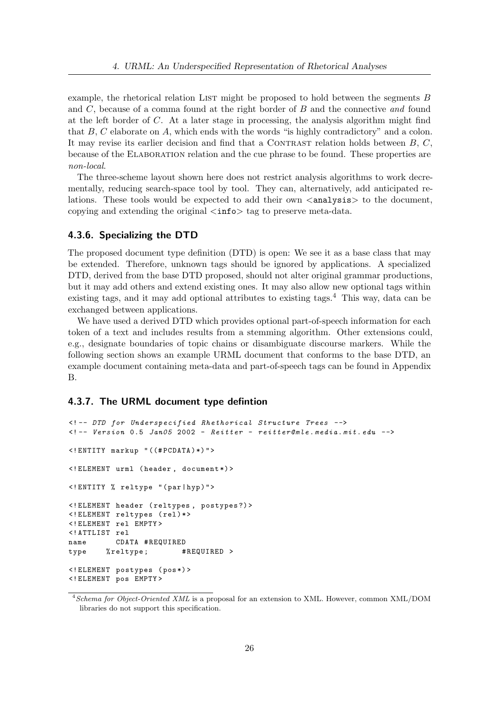example, the rhetorical relation LIST might be proposed to hold between the segments  $B$ and  $C$ , because of a comma found at the right border of  $B$  and the connective and found at the left border of C. At a later stage in processing, the analysis algorithm might find that  $B, C$  elaborate on  $A$ , which ends with the words "is highly contradictory" and a colon. It may revise its earlier decision and find that a CONTRAST relation holds between  $B, C$ , because of the Elaboration relation and the cue phrase to be found. These properties are non-local.

The three-scheme layout shown here does not restrict analysis algorithms to work decrementally, reducing search-space tool by tool. They can, alternatively, add anticipated relations. These tools would be expected to add their own  $\langle$  analysis  $\rangle$  to the document, copying and extending the original  $\langle$ **info** $\rangle$  tag to preserve meta-data.

### 4.3.6. Specializing the DTD

The proposed document type definition (DTD) is open: We see it as a base class that may be extended. Therefore, unknown tags should be ignored by applications. A specialized DTD, derived from the base DTD proposed, should not alter original grammar productions, but it may add others and extend existing ones. It may also allow new optional tags within existing tags, and it may add optional attributes to existing tags.<sup>4</sup> This way, data can be exchanged between applications.

We have used a derived DTD which provides optional part-of-speech information for each token of a text and includes results from a stemming algorithm. Other extensions could, e.g., designate boundaries of topic chains or disambiguate discourse markers. While the following section shows an example URML document that conforms to the base DTD, an example document containing meta-data and part-of-speech tags can be found in Appendix B.

### 4.3.7. The URML document type defintion

```
<! -- DTD for Underspecified Rhethorical Structure Trees -->
\langle -- Version 0.5 Jan05 2002 - Reitter - reitter@mle.media.mit.edu -->
<! ENTITY markup " ((# PCDATA ) *) " >
<! ELEMENT urml ( header , document *) >
<! ENTITY % reltype " ( par | hyp ) " >
<! ELEMENT header ( reltypes , postypes ?) >
<! ELEMENT reltypes ( rel ) * >
<! ELEMENT rel EMPTY >
<! ATTLIST rel
name CDATA # REQUIRED
type % reltype; #REQUIRED >
<! ELEMENT postypes ( pos *) >
<! ELEMENT pos EMPTY >
```
 $4$ Schema for Object-Oriented XML is a proposal for an extension to XML. However, common XML/DOM libraries do not support this specification.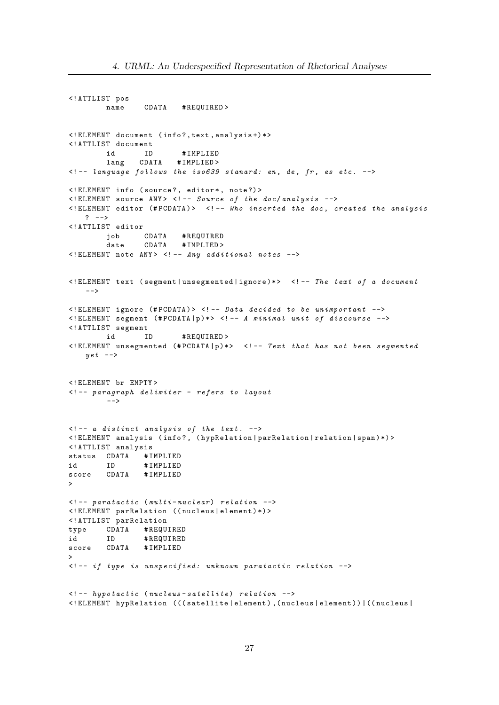<! ATTLIST pos name CDATA #REQUIRED > <! ELEMENT document ( info ? , text , analysis +) \* > <! ATTLIST document id ID # IMPLIED lang CDATA #IMPLIED>  $\leq$   $-$  language follows the iso639 stanard: en, de, fr, es etc.  $-\rightarrow$ <! ELEMENT info ( source ? , editor \* , note ?) >  $\leq$ ! ELEMENT source ANY>  $\leq$ ! -- Source of the doc/ analysis -->  $\leq$ ! ELEMENT editor (#PCDATA)>  $\leq$ ! -- Who inserted the doc, created the analysis  $?$  --> <! ATTLIST editor job CDATA # REQUIRED date CDATA #IMPLIED > <! ELEMENT note ANY > <! -- Any additional notes --> <! ELEMENT text ( segment | unsegmented | ignore ) \* > <! -- The text of a document  $--$ <! ELEMENT ignore (# PCDATA ) > <! -- Data decided to be unimportant -->  $\leq$ ! ELEMENT segment (#PCDATA | p ) \*>  $\leq$ ! -- A minimal unit of discourse --> <! ATTLIST segment id ID # REQUIRED > <! ELEMENT unsegmented (# PCDATA | p ) \* > <! -- Text that has not been segmented  $y e t$  --> <! ELEMENT br EMPTY > <! -- paragraph delimiter - refers to layout  $--&>$  $\leq$   $-$  a distinct analysis of the text.  $\rightarrow$ <! ELEMENT analysis ( info ? , ( hypRelation | parRelation | relation | span ) \*) > <! ATTLIST analysis status CDATA # IMPLIED id ID # IMPLIED score CDATA # IMPLIED >  $\leq$  !-- paratactic (multi-nuclear) relation --> <! ELEMENT parRelation (( nucleus | element ) \*) > <! ATTLIST parRelation type CDATA # REQUIRED id ID # REQUIRED score CDATA #IMPLIED  $\mathbf{v}$  $\langle$  -- if type is unspecified: unknown paratactic relation -->  $\leq$  !-- hypotactic (nucleus-satellite) relation --> <! ELEMENT hypRelation ((( satellite | element ) ,( nucleus | element ) ) |(( nucleus |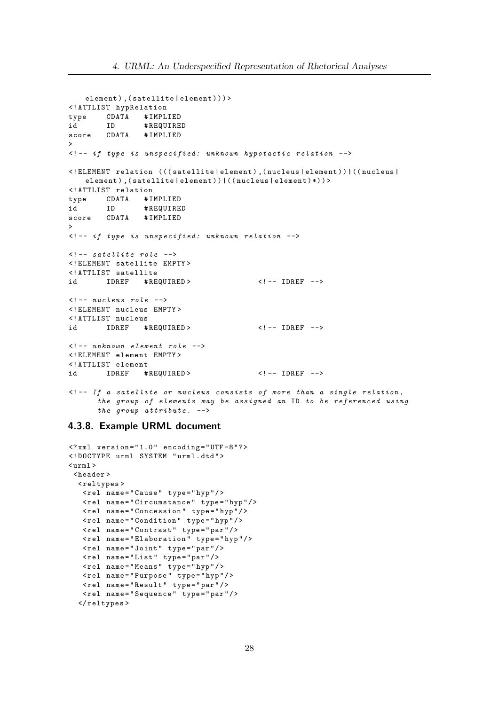```
element), (satellite | element))) >
<! ATTLIST hypRelation
type CDATA # IMPLIED
id ID # REQUIRED
score CDATA #IMPLIED
>
\langle -- if type is unspecified: unknown hypotactic relation -->
<! ELEMENT relation ((( satellite | element ) ,( nucleus | element ) ) |(( nucleus |
   element), (satellite | element) ) | ((nucleus | element) *) ) >
<! ATTLIST relation
type CDATA # IMPLIED
id ID # REQUIRED
score CDATA #IMPLIED
>
<! -- if type is unspecified: unknown relation -->
\leq -- satellite role -->
<! ELEMENT satellite EMPTY >
<! ATTLIST satellite
id IDREF #REQUIRED> <!-- IDREF -->
\langle!-- nucleus role -->
<! ELEMENT nucleus EMPTY >
<! ATTLIST nucleus
id IDREF #REQUIRED> <!-- IDREF -->
\langle!-- unknown element role -->
<! ELEMENT element EMPTY >
<! ATTLIST element
id IDREF #REQUIRED> <!-- IDREF -->
\langle!-- If a satellite or nucleus consists of more than a single relation,
      the group of elements may be assigned an ID to be referenced using
      the group attribute. \leftarrow
```
## 4.3.8. Example URML document

```
\langle ? \text{xml} version="1.0" encoding="UTF-8"?>
<! DOCTYPE urml SYSTEM " urml . dtd " >
\langle \text{urnl} \rangle< header >
  < reltypes >
   <rel name="Cause" type="hyp"/>
   < rel name = " Circumstance " type = " hyp " / >
   <rel name="Concession" type="hyp"/>
   < rel name = " Condition " type = " hyp " / >
   < rel name = " Contrast " type = " par " / >
   < rel name = " Elaboration " type = " hyp " / >
   \texttt{\texttt{rel} \ name="Joint} " type="par"/>
   <rel name="List" type="par"/>
   \text{1} rel name="Means" type="hyp"/>
   < rel name = " Purpose " type = " hyp " / >
   <rel name="Result" type="par"/>
   <rel name="Sequence" type="par"/>
  \langle/reltypes>
```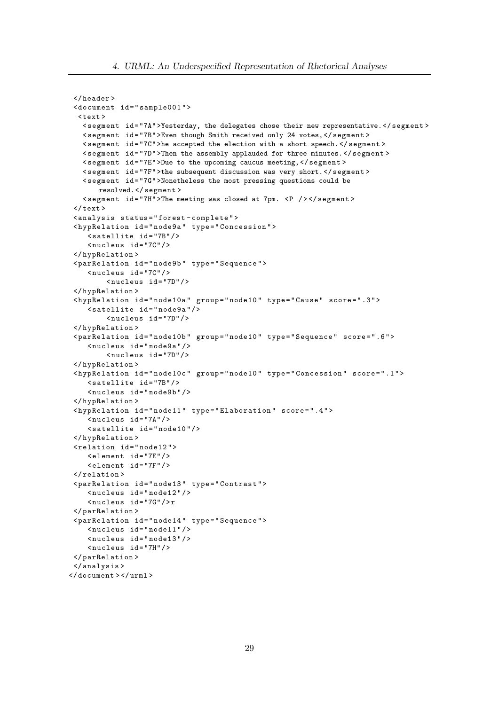```
</ header >
 < document id = " sample001 " >
  \text{Atext}< segment id = "7A" >Yesterday, the delegates chose their new representative. </ segment >
   < segment id = "7B" >Even though Smith received only 24 votes, </ segment >
   < segment id = "7C" >he accepted the election with a short speech. </ segment >
   < segment id = "7D" >Then the assembly applauded for three minutes. </ segment >
   < segment id = "7E" >Due to the upcoming caucus meeting, </ segment >
   < segment id = "7F" >the subsequent discussion was very short. </ segment >
   < segment id = "7G" >Nonetheless the most pressing questions could be
       resolved. </ segment >
   < segment id = "7H" >The meeting was closed at 7pm. <P / > </ segment >
 \langle/text>
 < analysis status = " forest - complete " >
 < hypRelation id = " node9a " type = " Concession " >
    < satellite id = "7B" / >
     < nucleus id = "7C" / >
 </ hypRelation >
 < parRelation id = " node9b " type = " Sequence " >
    < nucleus id = "7C" / >
          < nucleus id = "7D" / >
 </ hypRelation >
 < hypRelation id = " node10a " group = " node10 " type = " Cause " score = " .3 " >
    < satellite id = " node9a " / >
         < nucleus id = "7D" / >
 </ hypRelation >
 < parRelation id = " node10b " group = " node10 " type = " Sequence " score = " .6 " >
    < nucleus id = " node9a " / >
         < nucleus id = "7D" / >
 </ hypRelation >
 < hypRelation id = " node10c " group = " node10 " type = " Concession " score = " .1 " >
    < satellite id = "7B" / >
    < nucleus id = " node9b " / >
 </ hypRelation >
 < hypRelation id = " node11 " type = " Elaboration " score = " .4 " >
    <nucleus id="7A"/>
    < satellite id = " node10 " / >
 </ hypRelation >
 < relation id = " node12 " >
    < element id = "7E" / >
     < element id = "7F" / >
 </ relation >
 < parRelation id = " node13 " type = " Contrast " >
    \langlenucleus id="node12"/>
     < nucleus id = "7G" / > r
 </ parRelation >
 < parRelation id = " node14 " type = " Sequence " >
    \langlenucleus id="node11"/>
    \langlenucleus id="node13"/>
    < nucleus id = "7H" / >
 </ parRelation >
 </ analysis >
</ document > </ urml >
```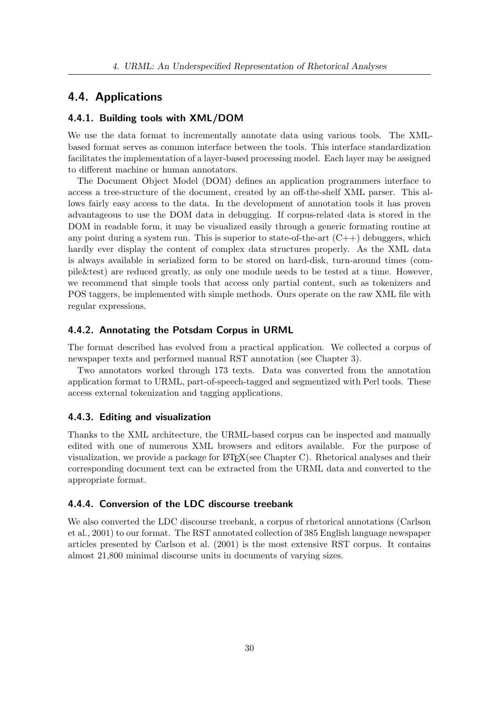## 4.4. Applications

### 4.4.1. Building tools with XML/DOM

We use the data format to incrementally annotate data using various tools. The XMLbased format serves as common interface between the tools. This interface standardization facilitates the implementation of a layer-based processing model. Each layer may be assigned to different machine or human annotators.

The Document Object Model (DOM) defines an application programmers interface to access a tree-structure of the document, created by an off-the-shelf XML parser. This allows fairly easy access to the data. In the development of annotation tools it has proven advantageous to use the DOM data in debugging. If corpus-related data is stored in the DOM in readable form, it may be visualized easily through a generic formating routine at any point during a system run. This is superior to state-of-the-art  $(C++)$  debuggers, which hardly ever display the content of complex data structures properly. As the XML data is always available in serialized form to be stored on hard-disk, turn-around times (compile&test) are reduced greatly, as only one module needs to be tested at a time. However, we recommend that simple tools that access only partial content, such as tokenizers and POS taggers, be implemented with simple methods. Ours operate on the raw XML file with regular expressions.

### 4.4.2. Annotating the Potsdam Corpus in URML

The format described has evolved from a practical application. We collected a corpus of newspaper texts and performed manual RST annotation (see Chapter 3).

Two annotators worked through 173 texts. Data was converted from the annotation application format to URML, part-of-speech-tagged and segmentized with Perl tools. These access external tokenization and tagging applications.

#### 4.4.3. Editing and visualization

Thanks to the XML architecture, the URML-based corpus can be inspected and manually edited with one of numerous XML browsers and editors available. For the purpose of visualization, we provide a package for  $\mathbb{P}\text{Tr}X$ (see Chapter C). Rhetorical analyses and their corresponding document text can be extracted from the URML data and converted to the appropriate format.

## 4.4.4. Conversion of the LDC discourse treebank

We also converted the LDC discourse treebank, a corpus of rhetorical annotations (Carlson et al., 2001) to our format. The RST annotated collection of 385 English language newspaper articles presented by Carlson et al. (2001) is the most extensive RST corpus. It contains almost 21,800 minimal discourse units in documents of varying sizes.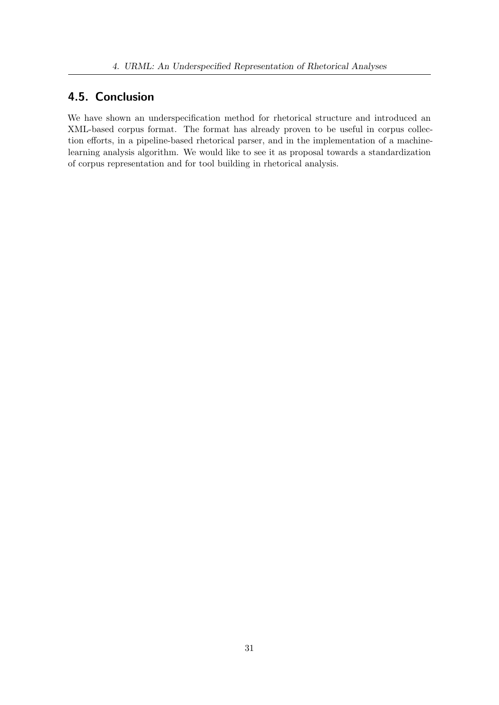# 4.5. Conclusion

We have shown an underspecification method for rhetorical structure and introduced an XML-based corpus format. The format has already proven to be useful in corpus collection efforts, in a pipeline-based rhetorical parser, and in the implementation of a machinelearning analysis algorithm. We would like to see it as proposal towards a standardization of corpus representation and for tool building in rhetorical analysis.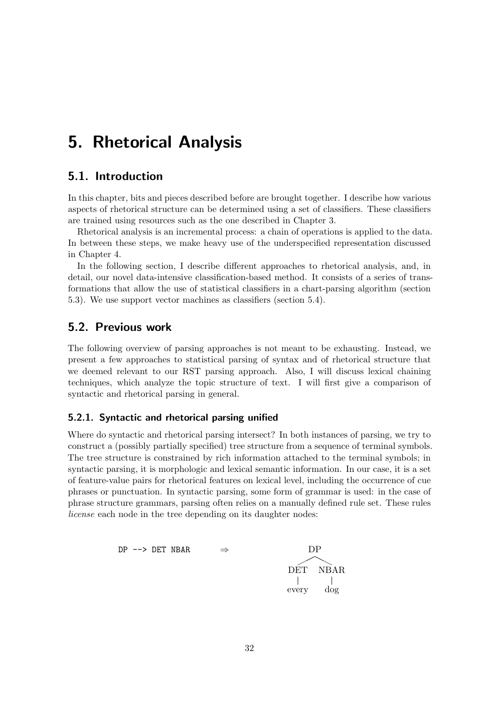# 5. Rhetorical Analysis

## 5.1. Introduction

In this chapter, bits and pieces described before are brought together. I describe how various aspects of rhetorical structure can be determined using a set of classifiers. These classifiers are trained using resources such as the one described in Chapter 3.

Rhetorical analysis is an incremental process: a chain of operations is applied to the data. In between these steps, we make heavy use of the underspecified representation discussed in Chapter 4.

In the following section, I describe different approaches to rhetorical analysis, and, in detail, our novel data-intensive classification-based method. It consists of a series of transformations that allow the use of statistical classifiers in a chart-parsing algorithm (section 5.3). We use support vector machines as classifiers (section 5.4).

## 5.2. Previous work

The following overview of parsing approaches is not meant to be exhausting. Instead, we present a few approaches to statistical parsing of syntax and of rhetorical structure that we deemed relevant to our RST parsing approach. Also, I will discuss lexical chaining techniques, which analyze the topic structure of text. I will first give a comparison of syntactic and rhetorical parsing in general.

## 5.2.1. Syntactic and rhetorical parsing unified

Where do syntactic and rhetorical parsing intersect? In both instances of parsing, we try to construct a (possibly partially specified) tree structure from a sequence of terminal symbols. The tree structure is constrained by rich information attached to the terminal symbols; in syntactic parsing, it is morphologic and lexical semantic information. In our case, it is a set of feature-value pairs for rhetorical features on lexical level, including the occurrence of cue phrases or punctuation. In syntactic parsing, some form of grammar is used: in the case of phrase structure grammars, parsing often relies on a manually defined rule set. These rules license each node in the tree depending on its daughter nodes:

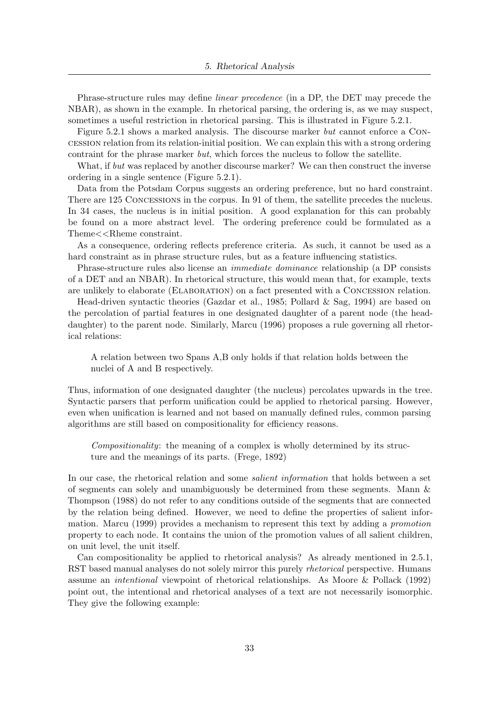Phrase-structure rules may define linear precedence (in a DP, the DET may precede the NBAR), as shown in the example. In rhetorical parsing, the ordering is, as we may suspect, sometimes a useful restriction in rhetorical parsing. This is illustrated in Figure 5.2.1.

Figure 5.2.1 shows a marked analysis. The discourse marker but cannot enforce a Concession relation from its relation-initial position. We can explain this with a strong ordering contraint for the phrase marker but, which forces the nucleus to follow the satellite.

What, if but was replaced by another discourse marker? We can then construct the inverse ordering in a single sentence (Figure 5.2.1).

Data from the Potsdam Corpus suggests an ordering preference, but no hard constraint. There are 125 Concessions in the corpus. In 91 of them, the satellite precedes the nucleus. In 34 cases, the nucleus is in initial position. A good explanation for this can probably be found on a more abstract level. The ordering preference could be formulated as a Theme<<Rheme constraint.

As a consequence, ordering reflects preference criteria. As such, it cannot be used as a hard constraint as in phrase structure rules, but as a feature influencing statistics.

Phrase-structure rules also license an immediate dominance relationship (a DP consists of a DET and an NBAR). In rhetorical structure, this would mean that, for example, texts are unlikely to elaborate (Elaboration) on a fact presented with a Concession relation.

Head-driven syntactic theories (Gazdar et al., 1985; Pollard & Sag, 1994) are based on the percolation of partial features in one designated daughter of a parent node (the headdaughter) to the parent node. Similarly, Marcu (1996) proposes a rule governing all rhetorical relations:

A relation between two Spans A,B only holds if that relation holds between the nuclei of A and B respectively.

Thus, information of one designated daughter (the nucleus) percolates upwards in the tree. Syntactic parsers that perform unification could be applied to rhetorical parsing. However, even when unification is learned and not based on manually defined rules, common parsing algorithms are still based on compositionality for efficiency reasons.

Compositionality: the meaning of a complex is wholly determined by its structure and the meanings of its parts. (Frege, 1892)

In our case, the rhetorical relation and some *salient information* that holds between a set of segments can solely and unambiguously be determined from these segments. Mann & Thompson (1988) do not refer to any conditions outside of the segments that are connected by the relation being defined. However, we need to define the properties of salient information. Marcu (1999) provides a mechanism to represent this text by adding a promotion property to each node. It contains the union of the promotion values of all salient children, on unit level, the unit itself.

Can compositionality be applied to rhetorical analysis? As already mentioned in 2.5.1, RST based manual analyses do not solely mirror this purely *rhetorical* perspective. Humans assume an intentional viewpoint of rhetorical relationships. As Moore & Pollack (1992) point out, the intentional and rhetorical analyses of a text are not necessarily isomorphic. They give the following example: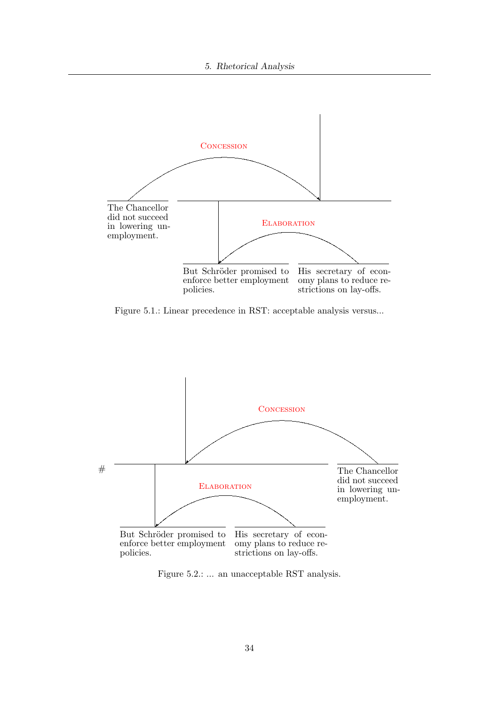

Figure 5.1.: Linear precedence in RST: acceptable analysis versus...



Figure 5.2.: ... an unacceptable RST analysis.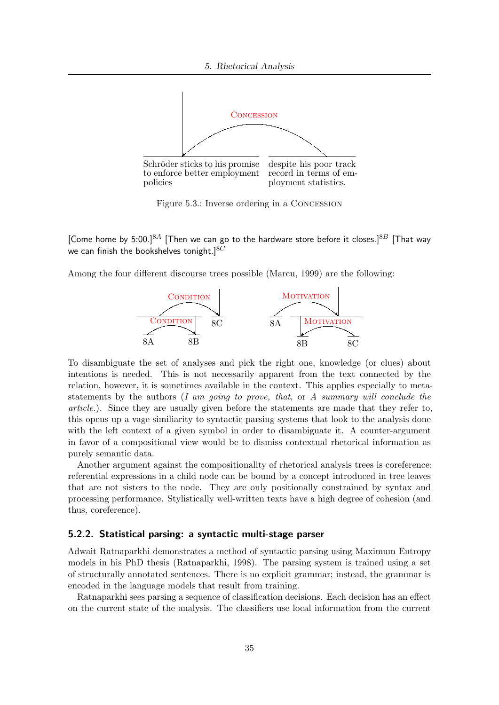

Figure 5.3.: Inverse ordering in a Concession

[Come home by 5:00.]<sup>8.4</sup> [Then we can go to the hardware store before it closes.]<sup>8.8</sup> [That way we can finish the bookshelves tonight.] $8C$ 

Among the four different discourse trees possible (Marcu, 1999) are the following:



To disambiguate the set of analyses and pick the right one, knowledge (or clues) about intentions is needed. This is not necessarily apparent from the text connected by the relation, however, it is sometimes available in the context. This applies especially to metastatements by the authors  $(I \text{ am going to prove}, that, or A summary will conclude the$ article.). Since they are usually given before the statements are made that they refer to, this opens up a vage similiarity to syntactic parsing systems that look to the analysis done with the left context of a given symbol in order to disambiguate it. A counter-argument in favor of a compositional view would be to dismiss contextual rhetorical information as purely semantic data.

Another argument against the compositionality of rhetorical analysis trees is coreference: referential expressions in a child node can be bound by a concept introduced in tree leaves that are not sisters to the node. They are only positionally constrained by syntax and processing performance. Stylistically well-written texts have a high degree of cohesion (and thus, coreference).

### 5.2.2. Statistical parsing: a syntactic multi-stage parser

Adwait Ratnaparkhi demonstrates a method of syntactic parsing using Maximum Entropy models in his PhD thesis (Ratnaparkhi, 1998). The parsing system is trained using a set of structurally annotated sentences. There is no explicit grammar; instead, the grammar is encoded in the language models that result from training.

Ratnaparkhi sees parsing a sequence of classification decisions. Each decision has an effect on the current state of the analysis. The classifiers use local information from the current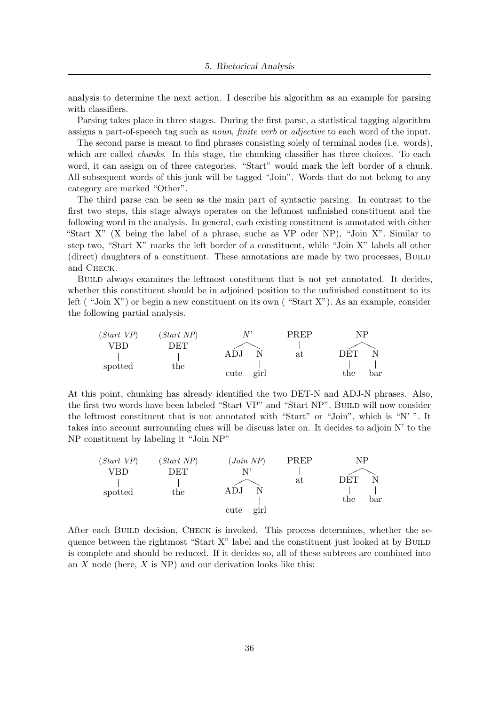analysis to determine the next action. I describe his algorithm as an example for parsing with classifiers.

Parsing takes place in three stages. During the first parse, a statistical tagging algorithm assigns a part-of-speech tag such as noun, finite verb or adjective to each word of the input.

The second parse is meant to find phrases consisting solely of terminal nodes (i.e. words), which are called *chunks*. In this stage, the chunking classifier has three choices. To each word, it can assign on of three categories. "Start" would mark the left border of a chunk. All subsequent words of this junk will be tagged "Join". Words that do not belong to any category are marked "Other".

The third parse can be seen as the main part of syntactic parsing. In contrast to the first two steps, this stage always operates on the leftmost unfinished constituent and the following word in the analysis. In general, each existing constituent is annotated with either "Start X" (X being the label of a phrase, suche as VP oder NP), "Join X". Similar to step two, "Start X" marks the left border of a constituent, while "Join X" labels all other (direct) daughters of a constituent. These annotations are made by two processes, Build and Check.

Build always examines the leftmost constituent that is not yet annotated. It decides, whether this constituent should be in adjoined position to the unfinished constituent to its left ("Join X") or begin a new constituent on its own ("Start X"). As an example, consider the following partial analysis.



At this point, chunking has already identified the two DET-N and ADJ-N phrases. Also, the first two words have been labeled "Start VP" and "Start NP". BuiLD will now consider the leftmost constituent that is not annotated with "Start" or "Join", which is "N' ". It takes into account surrounding clues will be discuss later on. It decides to adjoin N' to the NP constituent by labeling it "Join NP"

| (Start VP) | (Start NP)   | (Join NP)    | <b>PREP</b> | NP         |
|------------|--------------|--------------|-------------|------------|
| VBD        | DET          |              |             |            |
|            |              |              | at          | DET        |
| spotted    | $_{\rm the}$ | ADJ          |             |            |
|            |              |              |             | bar<br>the |
|            |              | girl<br>cute |             |            |

After each BUILD decision, CHECK is invoked. This process determines, whether the sequence between the rightmost "Start X" label and the constituent just looked at by BUILD is complete and should be reduced. If it decides so, all of these subtrees are combined into an  $X$  node (here,  $X$  is NP) and our derivation looks like this: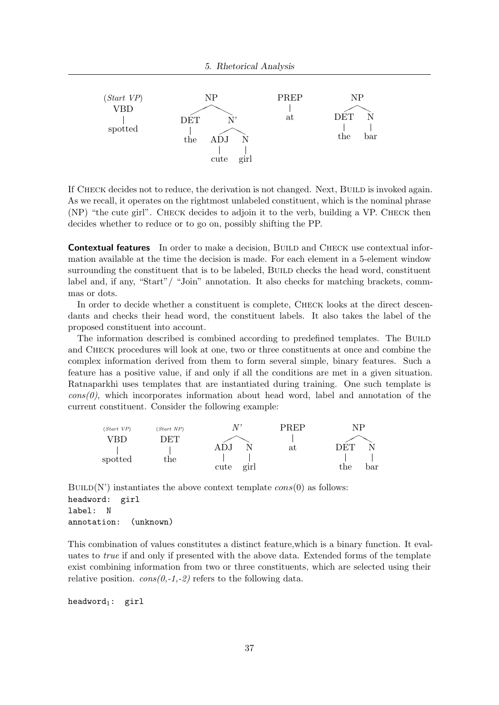

If CHECK decides not to reduce, the derivation is not changed. Next, BUILD is invoked again. As we recall, it operates on the rightmost unlabeled constituent, which is the nominal phrase (NP) "the cute girl". Check decides to adjoin it to the verb, building a VP. Check then decides whether to reduce or to go on, possibly shifting the PP.

**Contextual features** In order to make a decision, BUILD and CHECK use contextual information available at the time the decision is made. For each element in a 5-element window surrounding the constituent that is to be labeled, BUILD checks the head word, constituent label and, if any, "Start"/ "Join" annotation. It also checks for matching brackets, commmas or dots.

In order to decide whether a constituent is complete, CHECK looks at the direct descendants and checks their head word, the constituent labels. It also takes the label of the proposed constituent into account.

The information described is combined according to predefined templates. The BUILD and Check procedures will look at one, two or three constituents at once and combine the complex information derived from them to form several simple, binary features. Such a feature has a positive value, if and only if all the conditions are met in a given situation. Ratnaparkhi uses templates that are instantiated during training. One such template is  $\cos(0)$ , which incorporates information about head word, label and annotation of the current constituent. Consider the following example:

| (Start VP) | (Start NP) |              | PREP | ΝP         |
|------------|------------|--------------|------|------------|
| RD         | ) ET       |              |      |            |
|            |            |              | at   | LYE'L'     |
| spotted    | the        |              |      |            |
|            |            | girl<br>cute |      | the<br>əar |

 $BULL(N')$  instantiates the above context template  $cons(0)$  as follows: headword: girl label: N annotation: (unknown)

This combination of values constitutes a distinct feature,which is a binary function. It evaluates to true if and only if presented with the above data. Extended forms of the template exist combining information from two or three constituents, which are selected using their relative position.  $\cos(\theta, -1, -2)$  refers to the following data.

headword1: girl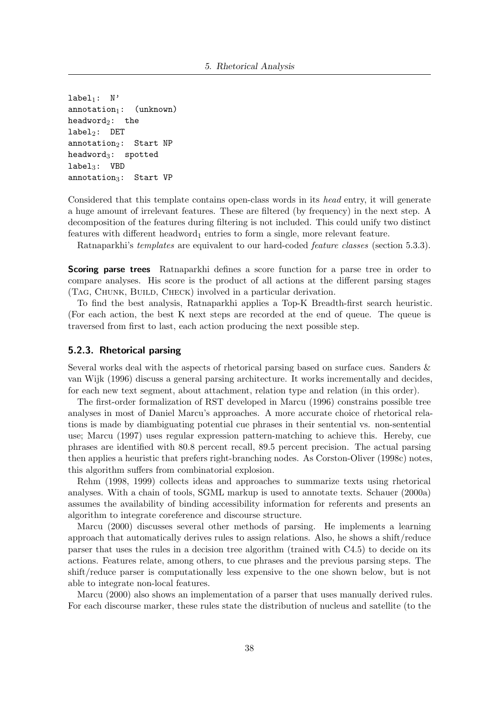$label_1:subell}$ : N'  $annotation<sub>1</sub>:$  (unknown)  $headword_2:$  the  $label_2$ : DET  $annotation_2$ : Start NP headword $_3$ : spotted  $label_3:10}$  VBD annotation<sub>3</sub>: Start VP

Considered that this template contains open-class words in its head entry, it will generate a huge amount of irrelevant features. These are filtered (by frequency) in the next step. A decomposition of the features during filtering is not included. This could unify two distinct features with different headword<sub>1</sub> entries to form a single, more relevant feature.

Ratnaparkhi's *templates* are equivalent to our hard-coded *feature classes* (section 5.3.3).

**Scoring parse trees** Ratnaparkhi defines a score function for a parse tree in order to compare analyses. His score is the product of all actions at the different parsing stages (Tag, Chunk, Build, Check) involved in a particular derivation.

To find the best analysis, Ratnaparkhi applies a Top-K Breadth-first search heuristic. (For each action, the best K next steps are recorded at the end of queue. The queue is traversed from first to last, each action producing the next possible step.

#### 5.2.3. Rhetorical parsing

Several works deal with the aspects of rhetorical parsing based on surface cues. Sanders & van Wijk (1996) discuss a general parsing architecture. It works incrementally and decides, for each new text segment, about attachment, relation type and relation (in this order).

The first-order formalization of RST developed in Marcu (1996) constrains possible tree analyses in most of Daniel Marcu's approaches. A more accurate choice of rhetorical relations is made by diambiguating potential cue phrases in their sentential vs. non-sentential use; Marcu (1997) uses regular expression pattern-matching to achieve this. Hereby, cue phrases are identified with 80.8 percent recall, 89.5 percent precision. The actual parsing then applies a heuristic that prefers right-branching nodes. As Corston-Oliver (1998c) notes, this algorithm suffers from combinatorial explosion.

Rehm (1998, 1999) collects ideas and approaches to summarize texts using rhetorical analyses. With a chain of tools, SGML markup is used to annotate texts. Schauer (2000a) assumes the availability of binding accessibility information for referents and presents an algorithm to integrate coreference and discourse structure.

Marcu (2000) discusses several other methods of parsing. He implements a learning approach that automatically derives rules to assign relations. Also, he shows a shift/reduce parser that uses the rules in a decision tree algorithm (trained with C4.5) to decide on its actions. Features relate, among others, to cue phrases and the previous parsing steps. The shift/reduce parser is computationally less expensive to the one shown below, but is not able to integrate non-local features.

Marcu (2000) also shows an implementation of a parser that uses manually derived rules. For each discourse marker, these rules state the distribution of nucleus and satellite (to the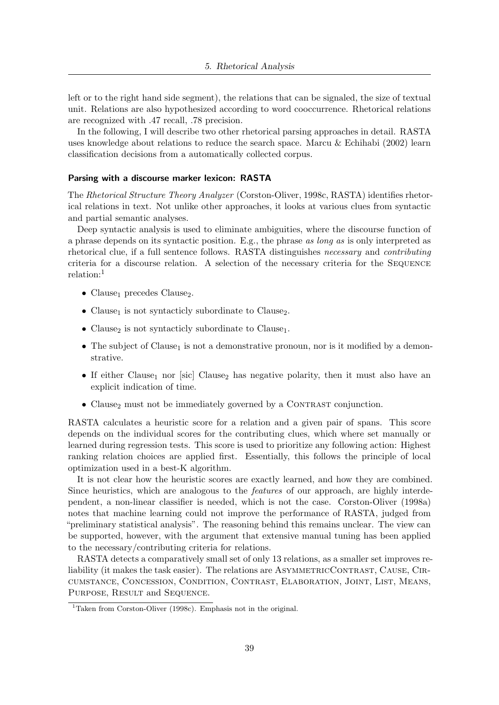left or to the right hand side segment), the relations that can be signaled, the size of textual unit. Relations are also hypothesized according to word cooccurrence. Rhetorical relations are recognized with .47 recall, .78 precision.

In the following, I will describe two other rhetorical parsing approaches in detail. RASTA uses knowledge about relations to reduce the search space. Marcu & Echihabi (2002) learn classification decisions from a automatically collected corpus.

#### Parsing with a discourse marker lexicon: RASTA

The Rhetorical Structure Theory Analyzer (Corston-Oliver, 1998c, RASTA) identifies rhetorical relations in text. Not unlike other approaches, it looks at various clues from syntactic and partial semantic analyses.

Deep syntactic analysis is used to eliminate ambiguities, where the discourse function of a phrase depends on its syntactic position. E.g., the phrase as long as is only interpreted as rhetorical clue, if a full sentence follows. RASTA distinguishes necessary and contributing criteria for a discourse relation. A selection of the necessary criteria for the SEQUENCE relation:<sup>1</sup>

- Clause<sub>1</sub> precedes Clause<sub>2</sub>.
- Clause<sub>1</sub> is not syntacticly subordinate to Clause<sub>2</sub>.
- Clause<sub>2</sub> is not syntacticly subordinate to Clause<sub>1</sub>.
- The subject of Clause<sub>1</sub> is not a demonstrative pronoun, nor is it modified by a demonstrative.
- If either Clause<sub>1</sub> nor [sic] Clause<sub>2</sub> has negative polarity, then it must also have an explicit indication of time.
- Clause<sub>2</sub> must not be immediately governed by a CONTRAST conjunction.

RASTA calculates a heuristic score for a relation and a given pair of spans. This score depends on the individual scores for the contributing clues, which where set manually or learned during regression tests. This score is used to prioritize any following action: Highest ranking relation choices are applied first. Essentially, this follows the principle of local optimization used in a best-K algorithm.

It is not clear how the heuristic scores are exactly learned, and how they are combined. Since heuristics, which are analogous to the features of our approach, are highly interdependent, a non-linear classifier is needed, which is not the case. Corston-Oliver (1998a) notes that machine learning could not improve the performance of RASTA, judged from "preliminary statistical analysis". The reasoning behind this remains unclear. The view can be supported, however, with the argument that extensive manual tuning has been applied to the necessary/contributing criteria for relations.

RASTA detects a comparatively small set of only 13 relations, as a smaller set improves reliability (it makes the task easier). The relations are ASYMMETRICCONTRAST, CAUSE, CIRcumstance, Concession, Condition, Contrast, Elaboration, Joint, List, Means, PURPOSE, RESULT and SEQUENCE.

<sup>&</sup>lt;sup>1</sup>Taken from Corston-Oliver (1998c). Emphasis not in the original.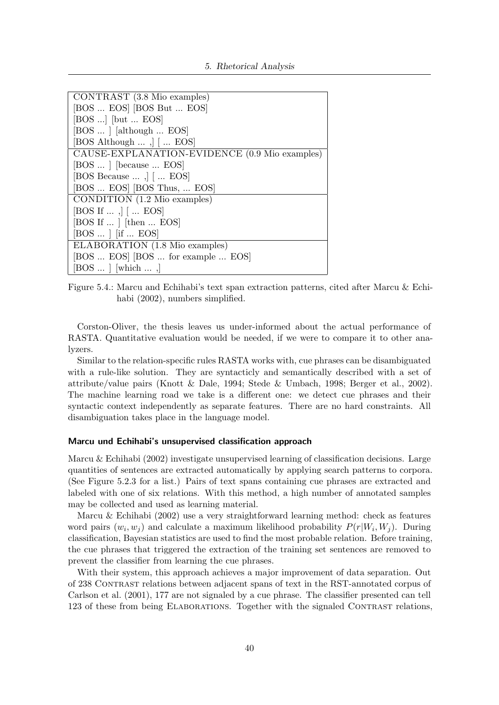| CONTRAST (3.8 Mio examples)                            |
|--------------------------------------------------------|
| [BOS  EOS] [BOS But  EOS]                              |
| $[BOS]$ [but  EOS]                                     |
| [BOS  ] [although  EOS]                                |
| [BOS Although $\ldots$ , $\vert$ $\vert$ $\ldots$ EOS] |
| CAUSE-EXPLANATION-EVIDENCE (0.9 Mio examples)          |
| [BOS  ] [because  EOS]                                 |
| [BOS Because $\dots$ ,] [ $\dots$ EOS]                 |
| [BOS  EOS] [BOS Thus,  EOS]                            |
| CONDITION (1.2 Mio examples)                           |
| [BOS If $\dots$ , $\vert \cdot \dots$ EOS]             |
| [BOS If $\dots$ ] [then $\dots$ EOS]                   |
| [BOS  ] [if $EOS$ ]                                    |
| ELABORATION (1.8 Mio examples)                         |
| [BOS  EOS] [BOS  for example  EOS]                     |
| $[BOS \dots]$ [which ,]                                |

Figure 5.4.: Marcu and Echihabi's text span extraction patterns, cited after Marcu & Echihabi (2002), numbers simplified.

Corston-Oliver, the thesis leaves us under-informed about the actual performance of RASTA. Quantitative evaluation would be needed, if we were to compare it to other analyzers.

Similar to the relation-specific rules RASTA works with, cue phrases can be disambiguated with a rule-like solution. They are syntacticly and semantically described with a set of attribute/value pairs (Knott & Dale, 1994; Stede & Umbach, 1998; Berger et al., 2002). The machine learning road we take is a different one: we detect cue phrases and their syntactic context independently as separate features. There are no hard constraints. All disambiguation takes place in the language model.

#### Marcu und Echihabi's unsupervised classification approach

Marcu & Echihabi (2002) investigate unsupervised learning of classification decisions. Large quantities of sentences are extracted automatically by applying search patterns to corpora. (See Figure 5.2.3 for a list.) Pairs of text spans containing cue phrases are extracted and labeled with one of six relations. With this method, a high number of annotated samples may be collected and used as learning material.

Marcu & Echihabi (2002) use a very straightforward learning method: check as features word pairs  $(w_i, w_j)$  and calculate a maximum likelihood probability  $P(r|W_i, W_j)$ . During classification, Bayesian statistics are used to find the most probable relation. Before training, the cue phrases that triggered the extraction of the training set sentences are removed to prevent the classifier from learning the cue phrases.

With their system, this approach achieves a major improvement of data separation. Out of 238 Contrast relations between adjacent spans of text in the RST-annotated corpus of Carlson et al. (2001), 177 are not signaled by a cue phrase. The classifier presented can tell 123 of these from being ELABORATIONS. Together with the signaled CONTRAST relations,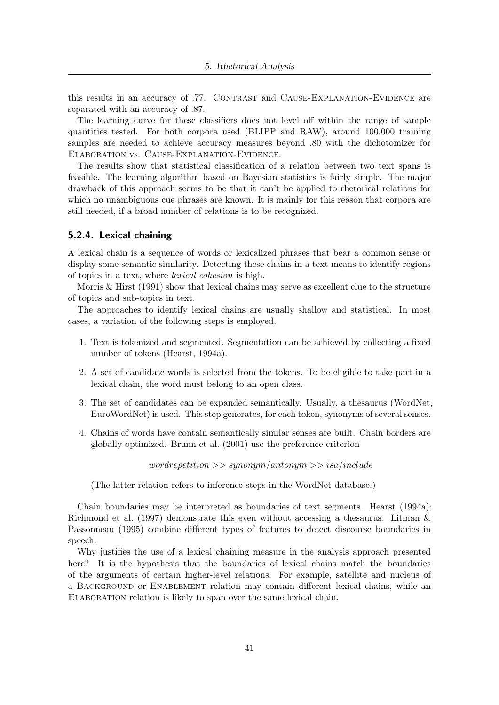this results in an accuracy of .77. CONTRAST and CAUSE-EXPLANATION-EVIDENCE are separated with an accuracy of .87.

The learning curve for these classifiers does not level off within the range of sample quantities tested. For both corpora used (BLIPP and RAW), around 100.000 training samples are needed to achieve accuracy measures beyond .80 with the dichotomizer for Elaboration vs. Cause-Explanation-Evidence.

The results show that statistical classification of a relation between two text spans is feasible. The learning algorithm based on Bayesian statistics is fairly simple. The major drawback of this approach seems to be that it can't be applied to rhetorical relations for which no unambiguous cue phrases are known. It is mainly for this reason that corpora are still needed, if a broad number of relations is to be recognized.

#### 5.2.4. Lexical chaining

A lexical chain is a sequence of words or lexicalized phrases that bear a common sense or display some semantic similarity. Detecting these chains in a text means to identify regions of topics in a text, where lexical cohesion is high.

Morris & Hirst (1991) show that lexical chains may serve as excellent clue to the structure of topics and sub-topics in text.

The approaches to identify lexical chains are usually shallow and statistical. In most cases, a variation of the following steps is employed.

- 1. Text is tokenized and segmented. Segmentation can be achieved by collecting a fixed number of tokens (Hearst, 1994a).
- 2. A set of candidate words is selected from the tokens. To be eligible to take part in a lexical chain, the word must belong to an open class.
- 3. The set of candidates can be expanded semantically. Usually, a thesaurus (WordNet, EuroWordNet) is used. This step generates, for each token, synonyms of several senses.
- 4. Chains of words have contain semantically similar senses are built. Chain borders are globally optimized. Brunn et al. (2001) use the preference criterion

 $word repetition \gg s$ ynonym/antonym $\gg$ isa/include

(The latter relation refers to inference steps in the WordNet database.)

Chain boundaries may be interpreted as boundaries of text segments. Hearst (1994a); Richmond et al. (1997) demonstrate this even without accessing a thesaurus. Litman & Passonneau (1995) combine different types of features to detect discourse boundaries in speech.

Why justifies the use of a lexical chaining measure in the analysis approach presented here? It is the hypothesis that the boundaries of lexical chains match the boundaries of the arguments of certain higher-level relations. For example, satellite and nucleus of a Background or Enablement relation may contain different lexical chains, while an ELABORATION relation is likely to span over the same lexical chain.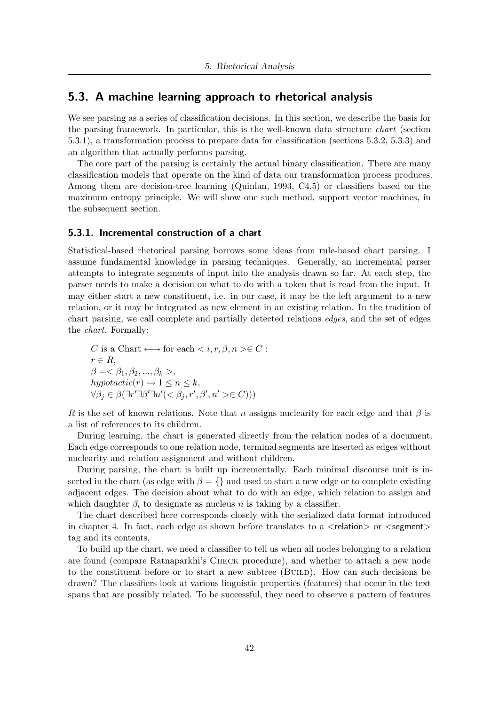### 5.3. A machine learning approach to rhetorical analysis

We see parsing as a series of classification decisions. In this section, we describe the basis for the parsing framework. In particular, this is the well-known data structure chart (section 5.3.1), a transformation process to prepare data for classification (sections 5.3.2, 5.3.3) and an algorithm that actually performs parsing.

The core part of the parsing is certainly the actual binary classification. There are many classification models that operate on the kind of data our transformation process produces. Among them are decision-tree learning (Quinlan, 1993, C4.5) or classifiers based on the maximum entropy principle. We will show one such method, support vector machines, in the subsequent section.

#### 5.3.1. Incremental construction of a chart

Statistical-based rhetorical parsing borrows some ideas from rule-based chart parsing. I assume fundamental knowledge in parsing techniques. Generally, an incremental parser attempts to integrate segments of input into the analysis drawn so far. At each step, the parser needs to make a decision on what to do with a token that is read from the input. It may either start a new constituent, i.e. in our case, it may be the left argument to a new relation, or it may be integrated as new element in an existing relation. In the tradition of chart parsing, we call complete and partially detected relations edges, and the set of edges the chart. Formally:

$$
C \text{ is a Chart} \longleftrightarrow \text{for each} < i, r, \beta, n > \in C: \\
r \in R, \\
\beta = < \beta_1, \beta_2, \dots, \beta_k > \\
hypoactic(r) \to 1 \leq n \leq k, \\
\forall \beta_j \in \beta(\exists r' \exists \beta' \exists n' (< \beta_j, r', \beta', n' > \in C)))
$$

R is the set of known relations. Note that n assigns nuclearity for each edge and that  $\beta$  is a list of references to its children.

During learning, the chart is generated directly from the relation nodes of a document. Each edge corresponds to one relation node, terminal segments are inserted as edges without nuclearity and relation assignment and without children.

During parsing, the chart is built up incrementally. Each minimal discourse unit is inserted in the chart (as edge with  $\beta = \{\}$  and used to start a new edge or to complete existing adjacent edges. The decision about what to do with an edge, which relation to assign and which daughter  $\beta_i$  to designate as nucleus n is taking by a classifier.

The chart described here corresponds closely with the serialized data format introduced in chapter 4. In fact, each edge as shown before translates to a  $\leq$  relation $>$  or  $\leq$  segment $>$ tag and its contents.

To build up the chart, we need a classifier to tell us when all nodes belonging to a relation are found (compare Ratnaparkhi's Check procedure), and whether to attach a new node to the constituent before or to start a new subtree (Build). How can such decisions be drawn? The classifiers look at various linguistic properties (features) that occur in the text spans that are possibly related. To be successful, they need to observe a pattern of features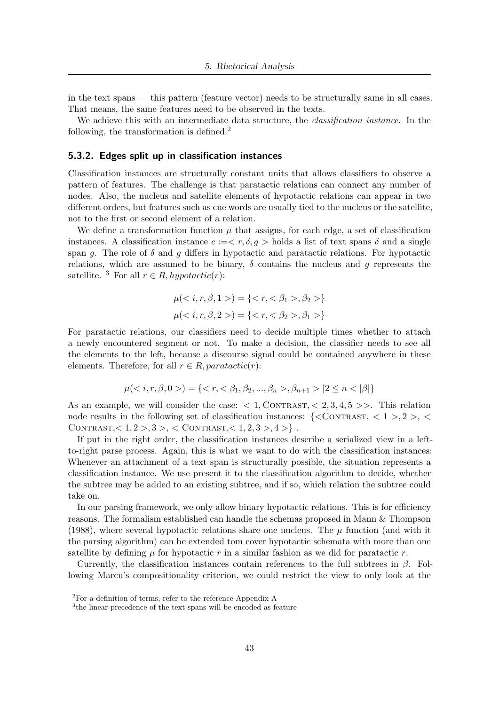in the text spans — this pattern (feature vector) needs to be structurally same in all cases. That means, the same features need to be observed in the texts.

We achieve this with an intermediate data structure, the *classification instance*. In the following, the transformation is defined.<sup>2</sup>

#### 5.3.2. Edges split up in classification instances

Classification instances are structurally constant units that allows classifiers to observe a pattern of features. The challenge is that paratactic relations can connect any number of nodes. Also, the nucleus and satellite elements of hypotactic relations can appear in two different orders, but features such as cue words are usually tied to the nucleus or the satellite, not to the first or second element of a relation.

We define a transformation function  $\mu$  that assigns, for each edge, a set of classification instances. A classification instance  $c := \langle r, \delta, g \rangle$  holds a list of text spans  $\delta$  and a single span q. The role of  $\delta$  and q differs in hypotactic and paratactic relations. For hypotactic relations, which are assumed to be binary,  $\delta$  contains the nucleus and g represents the satellite. <sup>3</sup> For all  $r \in R$ , hypotactic(r):

$$
\mu(\langle i, r, \beta, 1 \rangle) = \{ \langle r, \langle \beta_1 \rangle, \beta_2 \rangle \}
$$

$$
\mu(\langle i, r, \beta, 2 \rangle) = \{ \langle r, \langle \beta_2 \rangle, \beta_1 \rangle \}
$$

For paratactic relations, our classifiers need to decide multiple times whether to attach a newly encountered segment or not. To make a decision, the classifier needs to see all the elements to the left, because a discourse signal could be contained anywhere in these elements. Therefore, for all  $r \in R$ , paratactic(r):

$$
\mu(\langle i, r, \beta, 0 \rangle) = \{ \langle r, \langle \beta_1, \beta_2, ..., \beta_n \rangle, \beta_{n+1} \rangle \mid 2 \le n \langle |\beta| \}
$$

As an example, we will consider the case:  $\langle 1, \text{CONTRAST}, \langle 2, 3, 4, 5 \rangle \rangle$ . This relation node results in the following set of classification instances:  $\{\langle \text{CONTRAST}, \langle 1 \rangle, 2 \rangle, \langle \rangle\}$ CONTRAST,  $< 1, 2 > 3 >$ ,  $<$  CONTRAST,  $< 1, 2, 3 > 4 >$  .

If put in the right order, the classification instances describe a serialized view in a leftto-right parse process. Again, this is what we want to do with the classification instances: Whenever an attachment of a text span is structurally possible, the situation represents a classification instance. We use present it to the classification algorithm to decide, whether the subtree may be added to an existing subtree, and if so, which relation the subtree could take on.

In our parsing framework, we only allow binary hypotactic relations. This is for efficiency reasons. The formalism established can handle the schemas proposed in Mann & Thompson (1988), where several hypotactic relations share one nucleus. The  $\mu$  function (and with it the parsing algorithm) can be extended tom cover hypotactic schemata with more than one satellite by defining  $\mu$  for hypotactic r in a similar fashion as we did for paratactic r.

Currently, the classification instances contain references to the full subtrees in  $\beta$ . Following Marcu's compositionality criterion, we could restrict the view to only look at the

<sup>2</sup>For a definition of terms, refer to the reference Appendix A

<sup>&</sup>lt;sup>3</sup>the linear precedence of the text spans will be encoded as feature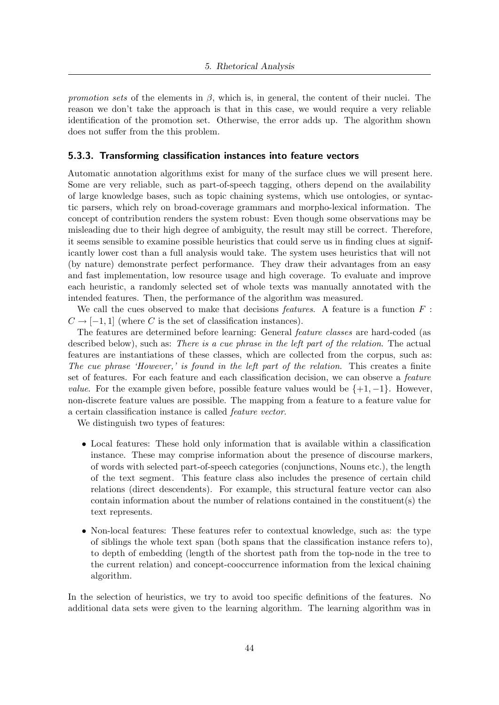promotion sets of the elements in  $\beta$ , which is, in general, the content of their nuclei. The reason we don't take the approach is that in this case, we would require a very reliable identification of the promotion set. Otherwise, the error adds up. The algorithm shown does not suffer from the this problem.

#### 5.3.3. Transforming classification instances into feature vectors

Automatic annotation algorithms exist for many of the surface clues we will present here. Some are very reliable, such as part-of-speech tagging, others depend on the availability of large knowledge bases, such as topic chaining systems, which use ontologies, or syntactic parsers, which rely on broad-coverage grammars and morpho-lexical information. The concept of contribution renders the system robust: Even though some observations may be misleading due to their high degree of ambiguity, the result may still be correct. Therefore, it seems sensible to examine possible heuristics that could serve us in finding clues at significantly lower cost than a full analysis would take. The system uses heuristics that will not (by nature) demonstrate perfect performance. They draw their advantages from an easy and fast implementation, low resource usage and high coverage. To evaluate and improve each heuristic, a randomly selected set of whole texts was manually annotated with the intended features. Then, the performance of the algorithm was measured.

We call the cues observed to make that decisions *features*. A feature is a function  $F$ :  $C \rightarrow [-1, 1]$  (where C is the set of classification instances).

The features are determined before learning: General feature classes are hard-coded (as described below), such as: There is a cue phrase in the left part of the relation. The actual features are instantiations of these classes, which are collected from the corpus, such as: The cue phrase 'However,' is found in the left part of the relation. This creates a finite set of features. For each feature and each classification decision, we can observe a feature *value.* For the example given before, possible feature values would be  $\{+1, -1\}$ . However, non-discrete feature values are possible. The mapping from a feature to a feature value for a certain classification instance is called feature vector.

We distinguish two types of features:

- Local features: These hold only information that is available within a classification instance. These may comprise information about the presence of discourse markers, of words with selected part-of-speech categories (conjunctions, Nouns etc.), the length of the text segment. This feature class also includes the presence of certain child relations (direct descendents). For example, this structural feature vector can also contain information about the number of relations contained in the constituent(s) the text represents.
- Non-local features: These features refer to contextual knowledge, such as: the type of siblings the whole text span (both spans that the classification instance refers to), to depth of embedding (length of the shortest path from the top-node in the tree to the current relation) and concept-cooccurrence information from the lexical chaining algorithm.

In the selection of heuristics, we try to avoid too specific definitions of the features. No additional data sets were given to the learning algorithm. The learning algorithm was in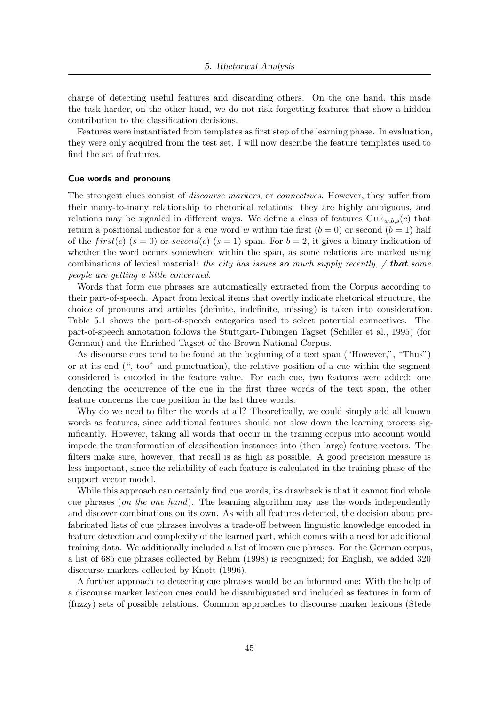charge of detecting useful features and discarding others. On the one hand, this made the task harder, on the other hand, we do not risk forgetting features that show a hidden contribution to the classification decisions.

Features were instantiated from templates as first step of the learning phase. In evaluation, they were only acquired from the test set. I will now describe the feature templates used to find the set of features.

#### Cue words and pronouns

The strongest clues consist of *discourse markers*, or *connectives*. However, they suffer from their many-to-many relationship to rhetorical relations: they are highly ambiguous, and relations may be signaled in different ways. We define a class of features  $\text{CUE}_{w,b,s}(c)$  that return a positional indicator for a cue word w within the first  $(b = 0)$  or second  $(b = 1)$  half of the first(c)  $(s = 0)$  or second(c)  $(s = 1)$  span. For  $b = 2$ , it gives a binary indication of whether the word occurs somewhere within the span, as some relations are marked using combinations of lexical material: the city has issues so much supply recently,  $/$  that some people are getting a little concerned.

Words that form cue phrases are automatically extracted from the Corpus according to their part-of-speech. Apart from lexical items that overtly indicate rhetorical structure, the choice of pronouns and articles (definite, indefinite, missing) is taken into consideration. Table 5.1 shows the part-of-speech categories used to select potential connectives. The part-of-speech annotation follows the Stuttgart-Tübingen Tagset (Schiller et al., 1995) (for German) and the Enriched Tagset of the Brown National Corpus.

As discourse cues tend to be found at the beginning of a text span ("However,", "Thus") or at its end (", too" and punctuation), the relative position of a cue within the segment considered is encoded in the feature value. For each cue, two features were added: one denoting the occurrence of the cue in the first three words of the text span, the other feature concerns the cue position in the last three words.

Why do we need to filter the words at all? Theoretically, we could simply add all known words as features, since additional features should not slow down the learning process significantly. However, taking all words that occur in the training corpus into account would impede the transformation of classification instances into (then large) feature vectors. The filters make sure, however, that recall is as high as possible. A good precision measure is less important, since the reliability of each feature is calculated in the training phase of the support vector model.

While this approach can certainly find cue words, its drawback is that it cannot find whole cue phrases (on the one hand). The learning algorithm may use the words independently and discover combinations on its own. As with all features detected, the decision about prefabricated lists of cue phrases involves a trade-off between linguistic knowledge encoded in feature detection and complexity of the learned part, which comes with a need for additional training data. We additionally included a list of known cue phrases. For the German corpus, a list of 685 cue phrases collected by Rehm (1998) is recognized; for English, we added 320 discourse markers collected by Knott (1996).

A further approach to detecting cue phrases would be an informed one: With the help of a discourse marker lexicon cues could be disambiguated and included as features in form of (fuzzy) sets of possible relations. Common approaches to discourse marker lexicons (Stede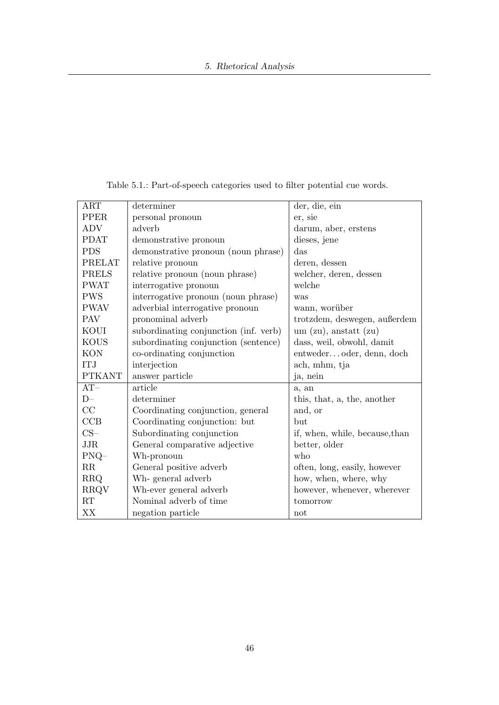| ART           | determiner                            | der, die, ein                  |
|---------------|---------------------------------------|--------------------------------|
| <b>PPER</b>   | personal pronoun                      | er, sie                        |
| <b>ADV</b>    | adverb                                | darum, aber, erstens           |
| <b>PDAT</b>   | demonstrative pronoun                 | dieses, jene                   |
| <b>PDS</b>    | demonstrative pronoun (noun phrase)   | das                            |
| PRELAT        | relative pronoun                      | deren, dessen                  |
| <b>PRELS</b>  | relative pronoun (noun phrase)        | welcher, deren, dessen         |
| <b>PWAT</b>   | interrogative pronoun                 | welche                         |
| <b>PWS</b>    | interrogative pronoun (noun phrase)   | was                            |
| <b>PWAV</b>   | adverbial interrogative pronoun       | wann, worüber                  |
| <b>PAV</b>    | pronominal adverb                     | trotzdem, deswegen, außerdem   |
| KOUI          | subordinating conjunction (inf. verb) | um $(zu)$ , anstatt $(zu)$     |
| <b>KOUS</b>   | subordinating conjunction (sentence)  | dass, weil, obwohl, damit      |
| <b>KON</b>    | co-ordinating conjunction             | entwederoder, denn, doch       |
| <b>ITJ</b>    | interjection                          | ach, mhm, tja                  |
| <b>PTKANT</b> | answer particle                       | ja, nein                       |
| $AT-$         | article                               | a, an                          |
| $D-$          | determiner                            | this, that, a, the, another    |
| CC            | Coordinating conjunction, general     | and, or                        |
| CCB           | Coordinating conjunction: but         | but                            |
| $CS-$         | Subordinating conjunction             | if, when, while, because, than |
| <b>JJR</b>    | General comparative adjective         | better, older                  |
| $PNQ-$        | Wh-pronoun                            | who                            |
| $\rm RR$      | General positive adverb               | often, long, easily, however   |
| <b>RRQ</b>    | Wh-general adverb                     | how, when, where, why          |
| <b>RRQV</b>   | Wh-ever general adverb                | however, whenever, wherever    |
| RT            | Nominal adverb of time                | tomorrow                       |
| XX            | negation particle                     | not                            |

Table 5.1.: Part-of-speech categories used to filter potential cue words.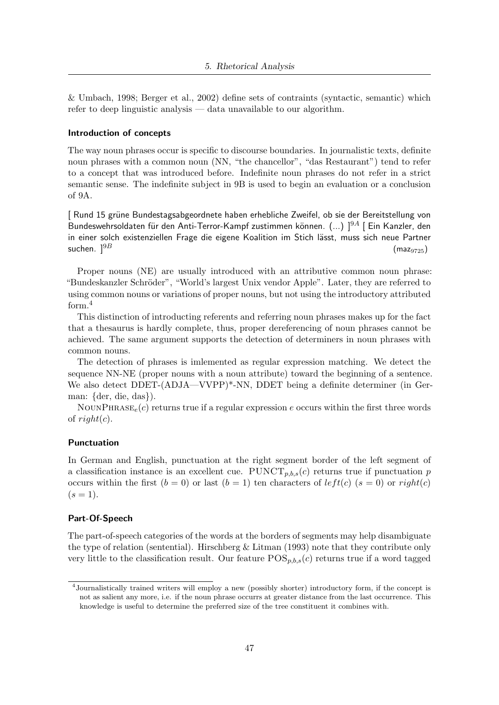& Umbach, 1998; Berger et al., 2002) define sets of contraints (syntactic, semantic) which refer to deep linguistic analysis — data unavailable to our algorithm.

#### Introduction of concepts

The way noun phrases occur is specific to discourse boundaries. In journalistic texts, definite noun phrases with a common noun (NN, "the chancellor", "das Restaurant") tend to refer to a concept that was introduced before. Indefinite noun phrases do not refer in a strict semantic sense. The indefinite subject in 9B is used to begin an evaluation or a conclusion of 9A.

[ Rund 15 grüne Bundestagsabgeordnete haben erhebliche Zweifel, ob sie der Bereitstellung von Bundeswehrsoldaten für den Anti-Terror-Kampf zustimmen können. (...)  $]^{9A}$  [Ein Kanzler, den in einer solch existenziellen Frage die eigene Koalition im Stich lässt, muss sich neue Partner suchen.  $]^{9B}$  (maz<sub>9725</sub>)

Proper nouns (NE) are usually introduced with an attributive common noun phrase: "Bundeskanzler Schröder", "World's largest Unix vendor Apple". Later, they are referred to using common nouns or variations of proper nouns, but not using the introductory attributed form.<sup>4</sup>

This distinction of introducting referents and referring noun phrases makes up for the fact that a thesaurus is hardly complete, thus, proper dereferencing of noun phrases cannot be achieved. The same argument supports the detection of determiners in noun phrases with common nouns.

The detection of phrases is imlemented as regular expression matching. We detect the sequence NN-NE (proper nouns with a noun attribute) toward the beginning of a sentence. We also detect DDET-(ADJA—VVPP)\*-NN, DDET being a definite determiner (in German: {der, die, das}).

NOUNPHRASE<sub>e</sub>(c) returns true if a regular expression e occurs within the first three words of  $right(c)$ .

#### Punctuation

In German and English, punctuation at the right segment border of the left segment of a classification instance is an excellent cue.  $\text{PUNCT}_{p,b,s}(c)$  returns true if punctuation p occurs within the first  $(b = 0)$  or last  $(b = 1)$  ten characters of  $left(c \mid (s = 0)$  or  $right(c)$  $(s = 1).$ 

#### Part-Of-Speech

The part-of-speech categories of the words at the borders of segments may help disambiguate the type of relation (sentential). Hirschberg & Litman (1993) note that they contribute only very little to the classification result. Our feature  $POS_{p,b,s}(c)$  returns true if a word tagged

<sup>4</sup> Journalistically trained writers will employ a new (possibly shorter) introductory form, if the concept is not as salient any more, i.e. if the noun phrase occurrs at greater distance from the last occurrence. This knowledge is useful to determine the preferred size of the tree constituent it combines with.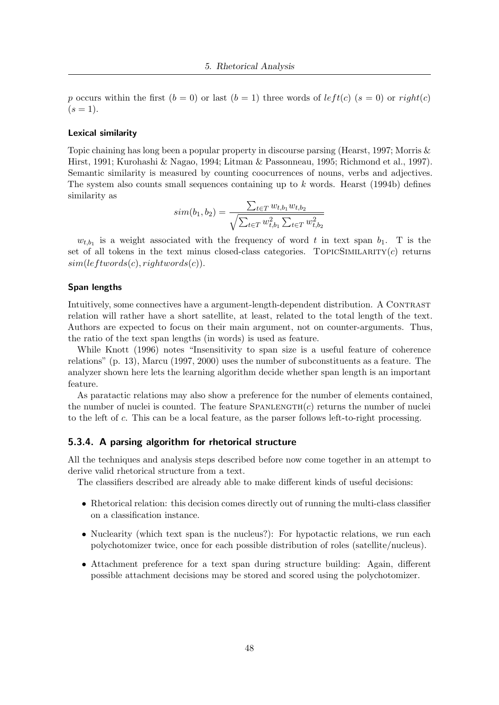p occurs within the first  $(b = 0)$  or last  $(b = 1)$  three words of  $left(c \mid (s = 0)$  or  $right(c)$  $(s = 1).$ 

#### Lexical similarity

Topic chaining has long been a popular property in discourse parsing (Hearst, 1997; Morris & Hirst, 1991; Kurohashi & Nagao, 1994; Litman & Passonneau, 1995; Richmond et al., 1997). Semantic similarity is measured by counting coocurrences of nouns, verbs and adjectives. The system also counts small sequences containing up to  $k$  words. Hearst (1994b) defines similarity as

$$
sim(b_1, b_2) = \frac{\sum_{t \in T} w_{t, b_1} w_{t, b_2}}{\sqrt{\sum_{t \in T} w_{t, b_1}^2 \sum_{t \in T} w_{t, b_2}^2}}
$$

 $w_{t,b_1}$  is a weight associated with the frequency of word t in text span  $b_1$ . T is the set of all tokens in the text minus closed-class categories. TOPICSIMILARITY $(c)$  returns  $sim(leftwords(c), rightwords(c)).$ 

#### Span lengths

Intuitively, some connectives have a argument-length-dependent distribution. A CONTRAST relation will rather have a short satellite, at least, related to the total length of the text. Authors are expected to focus on their main argument, not on counter-arguments. Thus, the ratio of the text span lengths (in words) is used as feature.

While Knott (1996) notes "Insensitivity to span size is a useful feature of coherence relations" (p. 13), Marcu (1997, 2000) uses the number of subconstituents as a feature. The analyzer shown here lets the learning algorithm decide whether span length is an important feature.

As paratactic relations may also show a preference for the number of elements contained, the number of nuclei is counted. The feature  $SPANLENGTH(c)$  returns the number of nuclei to the left of c. This can be a local feature, as the parser follows left-to-right processing.

#### 5.3.4. A parsing algorithm for rhetorical structure

All the techniques and analysis steps described before now come together in an attempt to derive valid rhetorical structure from a text.

The classifiers described are already able to make different kinds of useful decisions:

- Rhetorical relation: this decision comes directly out of running the multi-class classifier on a classification instance.
- Nuclearity (which text span is the nucleus?): For hypotactic relations, we run each polychotomizer twice, once for each possible distribution of roles (satellite/nucleus).
- Attachment preference for a text span during structure building: Again, different possible attachment decisions may be stored and scored using the polychotomizer.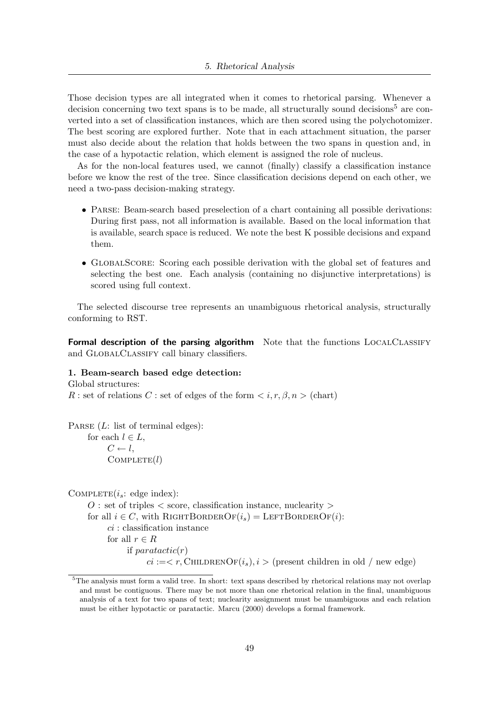Those decision types are all integrated when it comes to rhetorical parsing. Whenever a decision concerning two text spans is to be made, all structurally sound decisions<sup>5</sup> are converted into a set of classification instances, which are then scored using the polychotomizer. The best scoring are explored further. Note that in each attachment situation, the parser must also decide about the relation that holds between the two spans in question and, in the case of a hypotactic relation, which element is assigned the role of nucleus.

As for the non-local features used, we cannot (finally) classify a classification instance before we know the rest of the tree. Since classification decisions depend on each other, we need a two-pass decision-making strategy.

- PARSE: Beam-search based preselection of a chart containing all possible derivations: During first pass, not all information is available. Based on the local information that is available, search space is reduced. We note the best K possible decisions and expand them.
- GLOBALSCORE: Scoring each possible derivation with the global set of features and selecting the best one. Each analysis (containing no disjunctive interpretations) is scored using full context.

The selected discourse tree represents an unambiguous rhetorical analysis, structurally conforming to RST.

Formal description of the parsing algorithm Note that the functions LOCALCLASSIFY and GlobalClassify call binary classifiers.

#### 1. Beam-search based edge detection:

Global structures: R : set of relations C : set of edges of the form  $\langle i, r, \beta, n \rangle$  (chart)

PARSE  $(L:$  list of terminal edges): for each  $l \in L$ ,  $C \leftarrow l$ ,  $COMPLETE(l)$ 

COMPLETE $(i_s: \text{edge index})$ :

 $O:$  set of triples  $\langle$  score, classification instance, nuclearity  $\langle$ for all  $i \in C$ , with RIGHTBORDEROF $(i_s)$  = LEFTBORDEROF $(i)$ :  $ci$ : classification instance for all  $r \in R$ if  $paratactic(r)$  $ci := < r$ , CHILDRENOF $(i_s), i >$  (present children in old / new edge)

<sup>&</sup>lt;sup>5</sup>The analysis must form a valid tree. In short: text spans described by rhetorical relations may not overlap and must be contiguous. There may be not more than one rhetorical relation in the final, unambiguous analysis of a text for two spans of text; nuclearity assignment must be unambiguous and each relation must be either hypotactic or paratactic. Marcu (2000) develops a formal framework.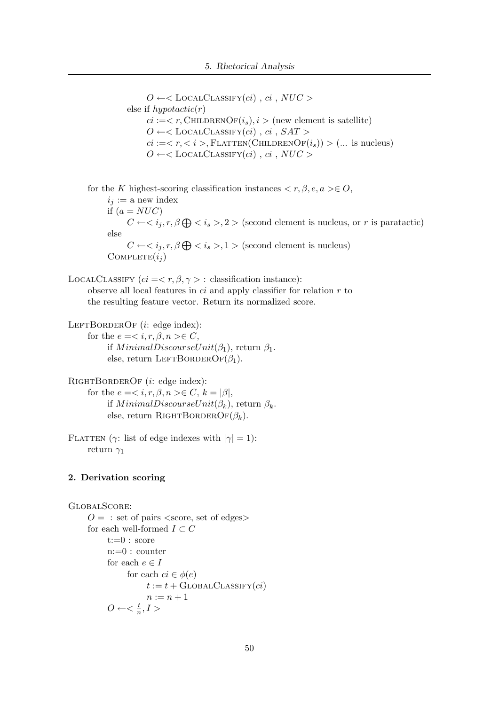$O \leftarrow \leftarrow$ LOCALCLASSIFY $(ci)$ ,  $ci$ ,  $NUC >$ else if  $hypotactic(r)$  $ci := < r$ , CHILDRENOF $(i_s), i >$  (new element is satellite)  $O \leftarrow$ <br/>CLOCALCLASSIFY(ci), ci, SAT >  $ci := is, FLATTEN(CHILDRENOF(i<sub>s</sub>)) > (...$  is nucleus)  $O \leftarrow \leftarrow$  LOCALCLASSIFY $(ci)$ ,  $ci$ ,  $NUC >$ 

for the K highest-scoring classification instances  $\langle r, \beta, e, a \rangle \in O$ ,  $i_j := a$  new index if  $(a = NUC)$  $C \leftarrow \langle i_j, r, \beta \bigoplus \langle i_s \rangle, 2 \rangle$  (second element is nucleus, or r is paratactic) else  $C \leftarrow \langle i_j, r, \beta \bigoplus \langle i_s \rangle, 1 \rangle$  (second element is nucleus)  $COMPLETE(i_i)$ 

LOCALCLASSIFY  $(ci = < r, \beta, \gamma > :$  classification instance): observe all local features in  $ci$  and apply classifier for relation  $r$  to the resulting feature vector. Return its normalized score.

LEFTBORDEROF  $(i: \text{edge index})$ : for the  $e = \langle i, r, \beta, n \rangle \in C$ , if  $MinimalDiscourseUnit(\beta_1)$ , return  $\beta_1$ . else, return LEFTBORDEROF $(\beta_1)$ .

```
RIGHTBORDEROF (i: edge index):
     for the e = \langle i, r, \beta, n \rangle \in C, k = |\beta|,
           if MinimalDiscourseUnit(\beta_k), return \beta_k.
           else, return RIGHTBORDEROF(\beta_k).
```
FLATTEN ( $\gamma$ : list of edge indexes with  $|\gamma|=1$ ): return  $\gamma_1$ 

#### 2. Derivation scoring

```
GlobalScore:
     O = : set of pairs <score, set of edges>
     for each well-formed I \subset Ct:=0: score
           n:=0 : counter
           for each e \in Ifor each ci \in \phi(e)t := t + \text{GLOBALCLASSIFY}(ci)n:=n+1O \leftarrow < \frac{t}{n}\frac{t}{n}, I >
```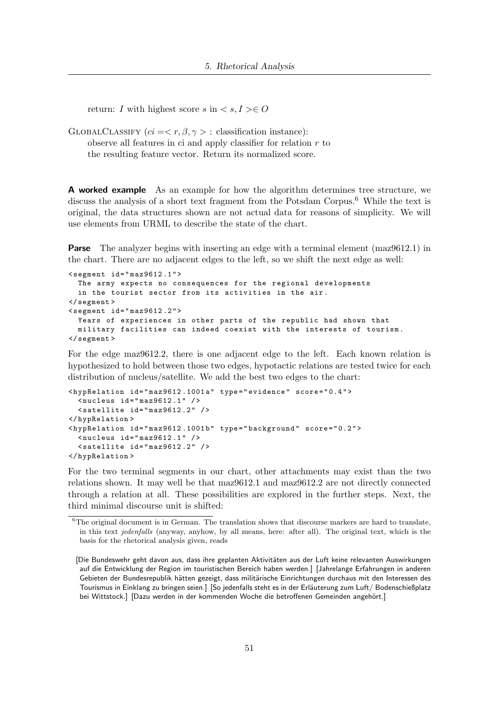return: I with highest score s in  $\langle s, I \rangle \in O$ 

GLOBALCLASSIFY  $(ci = \langle r, \beta, \gamma \rangle :$  classification instance): observe all features in ci and apply classifier for relation  $r$  to

the resulting feature vector. Return its normalized score.

A worked example As an example for how the algorithm determines tree structure, we discuss the analysis of a short text fragment from the Potsdam Corpus.<sup>6</sup> While the text is original, the data structures shown are not actual data for reasons of simplicity. We will use elements from URML to describe the state of the chart.

**Parse** The analyzer begins with inserting an edge with a terminal element (maz9612.1) in the chart. There are no adjacent edges to the left, so we shift the next edge as well:

```
\leq segment id="max9612.1"The army expects no consequences for the regional developments
  in the tourist sector from its activities in the air .
</ segment >
\leq segment id="maz9612.2">
  Years of experiences in other parts of the republic had shown that
  military facilities can indeed coexist with the interests of tourism .
</ segment >
```
For the edge maz9612.2, there is one adjacent edge to the left. Each known relation is hypothesized to hold between those two edges, hypotactic relations are tested twice for each distribution of nucleus/satellite. We add the best two edges to the chart:

```
< hypRelation id = " maz9612 .1001 a " type = " evidence " score = " 0.4 " >
  \langlenucleus id="maz9612.1" />
  \leq satellite id="maz9612.2" />
</ hypRelation >
< hypRelation id = " maz9612 .1001 b " type = " background " score = " 0.2 " >
  \langlenucleus id="maz9612.1" />
  \leq satellite id="maz9612.2" />
</ hypRelation >
```
For the two terminal segments in our chart, other attachments may exist than the two relations shown. It may well be that maz9612.1 and maz9612.2 are not directly connected through a relation at all. These possibilities are explored in the further steps. Next, the third minimal discourse unit is shifted:

<sup>&</sup>lt;sup>6</sup>The original document is in German. The translation shows that discourse markers are hard to translate, in this text jedenfalls (anyway, anyhow, by all means, here: after all). The original text, which is the basis for the rhetorical analysis given, reads

<sup>[</sup>Die Bundeswehr geht davon aus, dass ihre geplanten Aktivitäten aus der Luft keine relevanten Auswirkungen auf die Entwicklung der Region im touristischen Bereich haben werden.] [Jahrelange Erfahrungen in anderen Gebieten der Bundesrepublik hätten gezeigt, dass militärische Einrichtungen durchaus mit den Interessen des Tourismus in Einklang zu bringen seien.] [So jedenfalls steht es in der Erläuterung zum Luft/Bodenschießplatz bei Wittstock.] [Dazu werden in der kommenden Woche die betroffenen Gemeinden angehört.]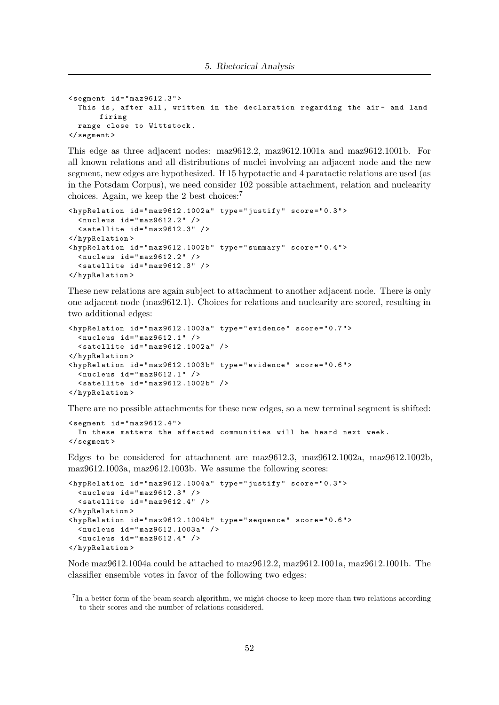```
\leq segment id="maz9612.3">
  This is, after all, written in the declaration regarding the air- and land
       firing
  range close to Wittstock .
</ segment >
```
This edge as three adjacent nodes: maz9612.2, maz9612.1001a and maz9612.1001b. For all known relations and all distributions of nuclei involving an adjacent node and the new segment, new edges are hypothesized. If 15 hypotactic and 4 paratactic relations are used (as in the Potsdam Corpus), we need consider 102 possible attachment, relation and nuclearity choices. Again, we keep the 2 best choices:<sup>7</sup>

```
< hypRelation id = " maz9612 .1002 a " type = " justify " score = " 0.3 " >
  \texttt{<nucleus} id="maz9612.2" />
  \leq satellite id="maz9612.3" />
</ hypRelation >
< hypRelation id = " maz9612 .1002 b " type = " summary " score = " 0.4 " >
  \langlenucleus id="maz9612.2" />
  \leq satellite id="maz9612.3" />
</ hypRelation >
```
These new relations are again subject to attachment to another adjacent node. There is only one adjacent node (maz9612.1). Choices for relations and nuclearity are scored, resulting in two additional edges:

```
< hypRelation id = " maz9612 .1003 a " type = " evidence " score = " 0.7 " >
  \langlenucleus id="maz9612.1" />
  \leq satellite id="maz9612.1002a" />
</ hypRelation >
\langle \text{hypRelation id} = "max9612.1003b" type="evidence" score="0.6">
  \texttt{<nu}cleus id="maz9612.1" />
  \texttt{Satellite} id="maz9612.1002b" />
</ hypRelation >
```
There are no possible attachments for these new edges, so a new terminal segment is shifted:

```
\leq segment id="maz9612.4">
  In these matters the affected communities will be heard next week .
</ segment >
```
Edges to be considered for attachment are maz9612.3, maz9612.1002a, maz9612.1002b, maz9612.1003a, maz9612.1003b. We assume the following scores:

```
< hypRelation id = " maz9612 .1004 a " type = " justify " score = " 0.3 " >
  \langlenucleus id="maz9612.3" />
  \leq satellite id="maz9612.4" />
</ hypRelation >
< hypRelation id = " maz9612 .1004 b " type = " sequence " score = " 0.6 " >
  \langlenucleus id="maz9612.1003a" />
  \langlenucleus id="maz9612.4" />
</ hypRelation >
```
Node maz9612.1004a could be attached to maz9612.2, maz9612.1001a, maz9612.1001b. The classifier ensemble votes in favor of the following two edges:

<sup>&</sup>lt;sup>7</sup>In a better form of the beam search algorithm, we might choose to keep more than two relations according to their scores and the number of relations considered.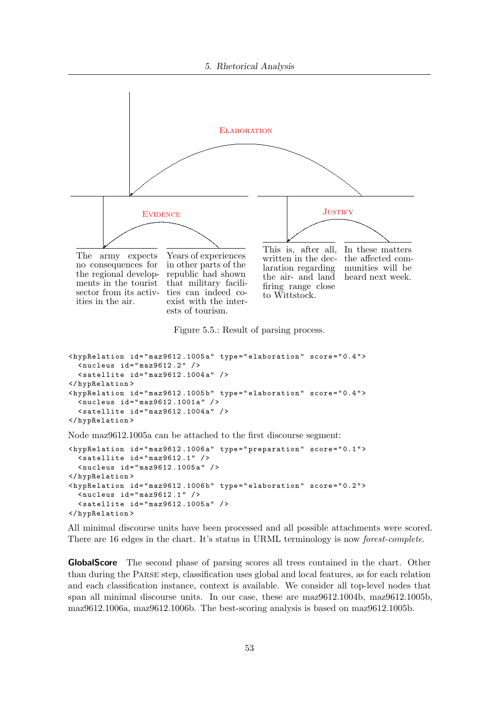

Figure 5.5.: Result of parsing process.

```
\langle \text{hypRelation} \text{ id} = "max9612.1005a" \text{ type} = "elaboration" score = "0.4" \rangle<nucleus id="maz9612.2" />
  \texttt{\&} < satellite id="maz9612.1004a" />
</ hypRelation >
< hypRelation id = " maz9612 .1005 b " type = " elaboration " score = " 0.4 " >
  \langlenucleus id="maz9612.1001a" />
  \texttt{Satedlike id="max9612.1004a" }</ hypRelation >
```
Node maz9612.1005a can be attached to the first discourse segment:

```
< hypRelation id = " maz9612 .1006 a " type = " preparation " score = " 0.1 " >
  \leq satellite id="maz9612.1" />
  < nucleus id = " maz9612 .1005 a " / >
</ hypRelation >
\langle \text{hypRelation} \text{ id} = "max9612.1006b" \text{ type} = "elaboration" score = "0.2" \rangle<nucleus id = "maz9612.1" />
  \texttt{~\leq} < satellite id="maz9612.1005a" />
</ hypRelation >
```
All minimal discourse units have been processed and all possible attachments were scored. There are 16 edges in the chart. It's status in URML terminology is now forest-complete.

GlobalScore The second phase of parsing scores all trees contained in the chart. Other than during the Parse step, classification uses global and local features, as for each relation and each classification instance, context is available. We consider all top-level nodes that span all minimal discourse units. In our case, these are maz9612.1004b, maz9612.1005b, maz9612.1006a, maz9612.1006b. The best-scoring analysis is based on maz9612.1005b.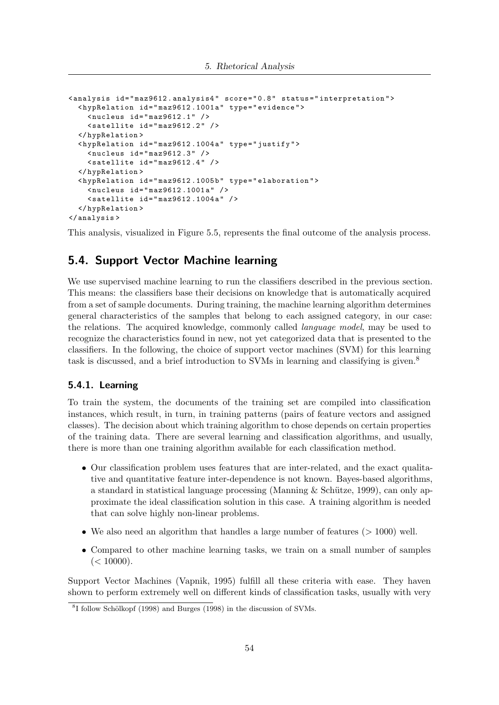```
< analysis id = " maz9612 . analysis4 " score = " 0.8 " status = " interpretation " >
  < hypRelation id = " maz9612 .1001 a " type = " evidence " >
    \langlenucleus id="maz9612.1" />
     \leq satellite id="maz9612.2" />
  </ hypRelation >
  < hypRelation id = " maz9612 .1004 a " type = " justify " >
    \langlenucleus id="maz9612.3" />
     \leq satellite id="maz9612.4" />
  </ hypRelation >
  < hypRelation id = " maz9612 .1005 b " type = " elaboration " >
    \langlenucleus id="maz9612.1001a" />
    \leq satellite id="maz9612.1004a" />
  </ hypRelation >
</ analysis >
```
This analysis, visualized in Figure 5.5, represents the final outcome of the analysis process.

# 5.4. Support Vector Machine learning

We use supervised machine learning to run the classifiers described in the previous section. This means: the classifiers base their decisions on knowledge that is automatically acquired from a set of sample documents. During training, the machine learning algorithm determines general characteristics of the samples that belong to each assigned category, in our case: the relations. The acquired knowledge, commonly called language model, may be used to recognize the characteristics found in new, not yet categorized data that is presented to the classifiers. In the following, the choice of support vector machines (SVM) for this learning task is discussed, and a brief introduction to SVMs in learning and classifying is given.<sup>8</sup>

#### 5.4.1. Learning

To train the system, the documents of the training set are compiled into classification instances, which result, in turn, in training patterns (pairs of feature vectors and assigned classes). The decision about which training algorithm to chose depends on certain properties of the training data. There are several learning and classification algorithms, and usually, there is more than one training algorithm available for each classification method.

- Our classification problem uses features that are inter-related, and the exact qualitative and quantitative feature inter-dependence is not known. Bayes-based algorithms, a standard in statistical language processing (Manning & Schütze, 1999), can only approximate the ideal classification solution in this case. A training algorithm is needed that can solve highly non-linear problems.
- We also need an algorithm that handles a large number of features  $(>1000)$  well.
- Compared to other machine learning tasks, we train on a small number of samples  $(< 10000$ ).

Support Vector Machines (Vapnik, 1995) fulfill all these criteria with ease. They haven shown to perform extremely well on different kinds of classification tasks, usually with very

<sup>&</sup>lt;sup>8</sup>I follow Schölkopf (1998) and Burges (1998) in the discussion of SVMs.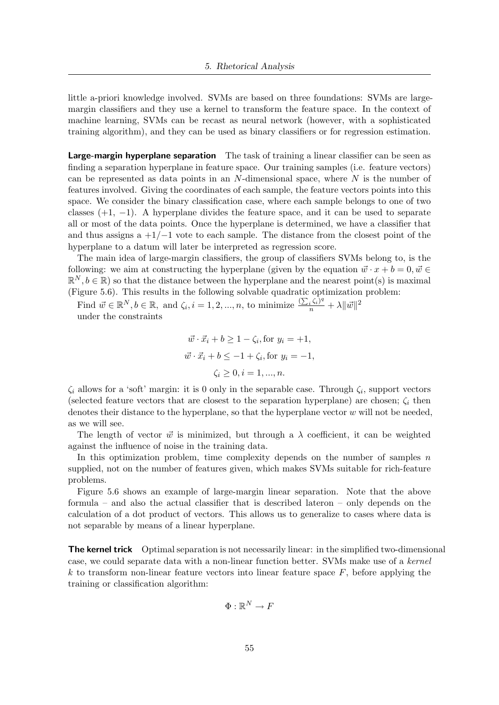little a-priori knowledge involved. SVMs are based on three foundations: SVMs are largemargin classifiers and they use a kernel to transform the feature space. In the context of machine learning, SVMs can be recast as neural network (however, with a sophisticated training algorithm), and they can be used as binary classifiers or for regression estimation.

Large-margin hyperplane separation The task of training a linear classifier can be seen as finding a separation hyperplane in feature space. Our training samples (i.e. feature vectors) can be represented as data points in an  $N$ -dimensional space, where  $N$  is the number of features involved. Giving the coordinates of each sample, the feature vectors points into this space. We consider the binary classification case, where each sample belongs to one of two classes  $(+1, -1)$ . A hyperplane divides the feature space, and it can be used to separate all or most of the data points. Once the hyperplane is determined, we have a classifier that and thus assigns a  $+1/-1$  vote to each sample. The distance from the closest point of the hyperplane to a datum will later be interpreted as regression score.

The main idea of large-margin classifiers, the group of classifiers SVMs belong to, is the following: we aim at constructing the hyperplane (given by the equation  $\vec{w} \cdot x + b = 0, \vec{w} \in$  $\mathbb{R}^N, b \in \mathbb{R}$ ) so that the distance between the hyperplane and the nearest point(s) is maximal (Figure 5.6). This results in the following solvable quadratic optimization problem:

Find  $\vec{w} \in \mathbb{R}^N, b \in \mathbb{R}$ , and  $\zeta_i$ ,  $i = 1, 2, ..., n$ , to minimize  $\frac{(\sum_i \zeta_i)^q}{n} + \lambda \|\vec{w}\|^2$ under the constraints

$$
\vec{w} \cdot \vec{x}_i + b \ge 1 - \zeta_i, \text{for } y_i = +1,
$$
  

$$
\vec{w} \cdot \vec{x}_i + b \le -1 + \zeta_i, \text{for } y_i = -1,
$$
  

$$
\zeta_i \ge 0, i = 1, ..., n.
$$

 $\zeta_i$  allows for a 'soft' margin: it is 0 only in the separable case. Through  $\zeta_i$ , support vectors (selected feature vectors that are closest to the separation hyperplane) are chosen;  $\zeta_i$  then denotes their distance to the hyperplane, so that the hyperplane vector  $w$  will not be needed, as we will see.

The length of vector  $\vec{w}$  is minimized, but through a  $\lambda$  coefficient, it can be weighted against the influence of noise in the training data.

In this optimization problem, time complexity depends on the number of samples  $n$ supplied, not on the number of features given, which makes SVMs suitable for rich-feature problems.

Figure 5.6 shows an example of large-margin linear separation. Note that the above formula – and also the actual classifier that is described lateron – only depends on the calculation of a dot product of vectors. This allows us to generalize to cases where data is not separable by means of a linear hyperplane.

The kernel trick Optimal separation is not necessarily linear: in the simplified two-dimensional case, we could separate data with a non-linear function better. SVMs make use of a kernel  $k$  to transform non-linear feature vectors into linear feature space  $F$ , before applying the training or classification algorithm:

$$
\Phi:\mathbb{R}^N\to F
$$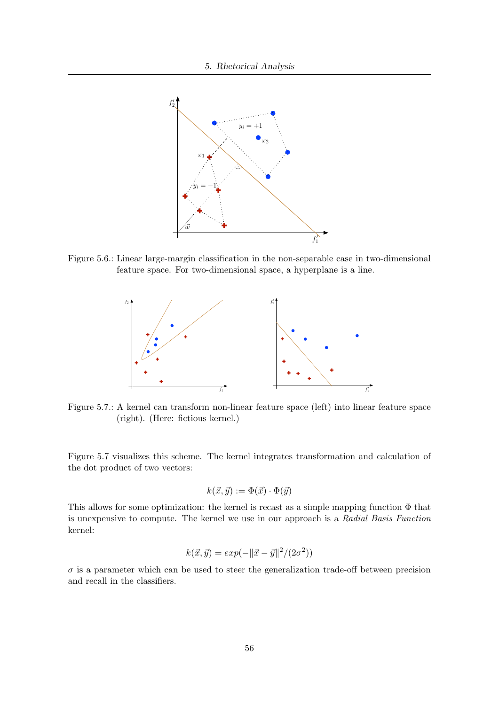

Figure 5.6.: Linear large-margin classification in the non-separable case in two-dimensional feature space. For two-dimensional space, a hyperplane is a line.



Figure 5.7.: A kernel can transform non-linear feature space (left) into linear feature space (right). (Here: fictious kernel.)

Figure 5.7 visualizes this scheme. The kernel integrates transformation and calculation of the dot product of two vectors:

$$
k(\vec{x}, \vec{y}) := \Phi(\vec{x}) \cdot \Phi(\vec{y})
$$

This allows for some optimization: the kernel is recast as a simple mapping function Φ that is unexpensive to compute. The kernel we use in our approach is a Radial Basis Function kernel:

$$
k(\vec{x}, \vec{y}) = exp(-||\vec{x} - \vec{y}||^2 / (2\sigma^2))
$$

 $\sigma$  is a parameter which can be used to steer the generalization trade-off between precision and recall in the classifiers.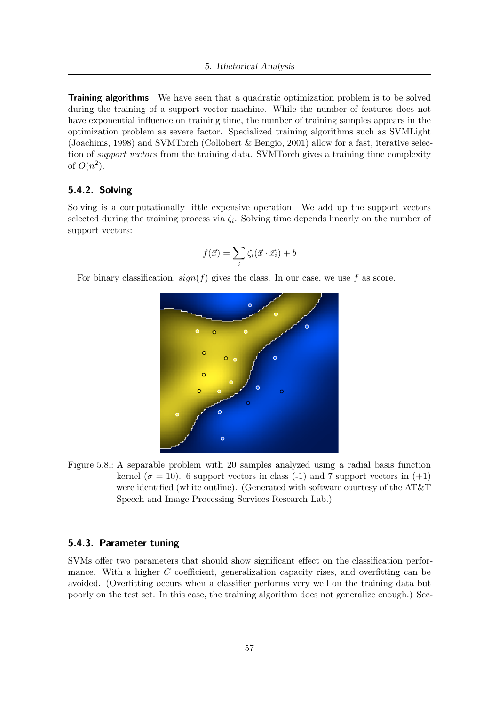**Training algorithms** We have seen that a quadratic optimization problem is to be solved during the training of a support vector machine. While the number of features does not have exponential influence on training time, the number of training samples appears in the optimization problem as severe factor. Specialized training algorithms such as SVMLight (Joachims, 1998) and SVMTorch (Collobert & Bengio, 2001) allow for a fast, iterative selection of support vectors from the training data. SVMTorch gives a training time complexity of  $O(n^2)$ .

#### 5.4.2. Solving

Solving is a computationally little expensive operation. We add up the support vectors selected during the training process via  $\zeta_i$ . Solving time depends linearly on the number of support vectors:

$$
f(\vec{x}) = \sum_{i} \zeta_i(\vec{x} \cdot \vec{x_i}) + b
$$

For binary classification,  $sign(f)$  gives the class. In our case, we use f as score.



Figure 5.8.: A separable problem with 20 samples analyzed using a radial basis function kernel ( $\sigma = 10$ ). 6 support vectors in class (-1) and 7 support vectors in (+1) were identified (white outline). (Generated with software courtesy of the AT&T Speech and Image Processing Services Research Lab.)

#### 5.4.3. Parameter tuning

SVMs offer two parameters that should show significant effect on the classification performance. With a higher C coefficient, generalization capacity rises, and overfitting can be avoided. (Overfitting occurs when a classifier performs very well on the training data but poorly on the test set. In this case, the training algorithm does not generalize enough.) Sec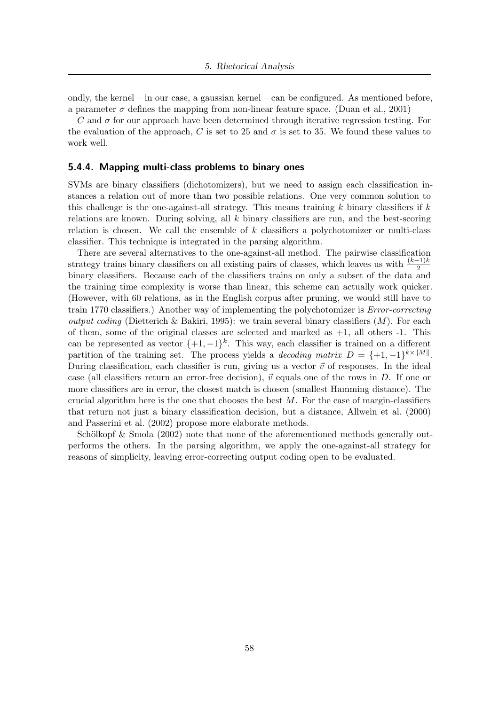ondly, the kernel – in our case, a gaussian kernel – can be configured. As mentioned before, a parameter  $\sigma$  defines the mapping from non-linear feature space. (Duan et al., 2001)

C and  $\sigma$  for our approach have been determined through iterative regression testing. For the evaluation of the approach, C is set to 25 and  $\sigma$  is set to 35. We found these values to work well.

#### 5.4.4. Mapping multi-class problems to binary ones

SVMs are binary classifiers (dichotomizers), but we need to assign each classification instances a relation out of more than two possible relations. One very common solution to this challenge is the one-against-all strategy. This means training  $k$  binary classifiers if  $k$ relations are known. During solving, all  $k$  binary classifiers are run, and the best-scoring relation is chosen. We call the ensemble of  $k$  classifiers a polychotomizer or multi-class classifier. This technique is integrated in the parsing algorithm.

There are several alternatives to the one-against-all method. The pairwise classification strategy trains binary classifiers on all existing pairs of classes, which leaves us with  $\frac{(k-1)k}{2}$ binary classifiers. Because each of the classifiers trains on only a subset of the data and the training time complexity is worse than linear, this scheme can actually work quicker. (However, with 60 relations, as in the English corpus after pruning, we would still have to train 1770 classifiers.) Another way of implementing the polychotomizer is Error-correcting *output coding* (Dietterich & Bakiri, 1995): we train several binary classifiers  $(M)$ . For each of them, some of the original classes are selected and marked as  $+1$ , all others  $-1$ . This can be represented as vector  $\{+1, -1\}^k$ . This way, each classifier is trained on a different partition of the training set. The process yields a *decoding matrix*  $D = \{+1, -1\}^{k \times ||M||}$ . During classification, each classifier is run, giving us a vector  $\vec{v}$  of responses. In the ideal case (all classifiers return an error-free decision),  $\vec{v}$  equals one of the rows in D. If one or more classifiers are in error, the closest match is chosen (smallest Hamming distance). The crucial algorithm here is the one that chooses the best  $M$ . For the case of margin-classifiers that return not just a binary classification decision, but a distance, Allwein et al. (2000) and Passerini et al. (2002) propose more elaborate methods.

Schölkopf  $\&$  Smola (2002) note that none of the aforementioned methods generally outperforms the others. In the parsing algorithm, we apply the one-against-all strategy for reasons of simplicity, leaving error-correcting output coding open to be evaluated.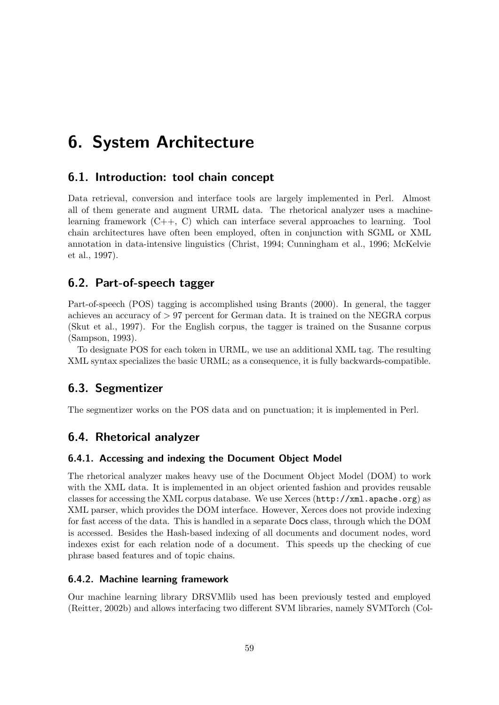# 6. System Architecture

## 6.1. Introduction: tool chain concept

Data retrieval, conversion and interface tools are largely implemented in Perl. Almost all of them generate and augment URML data. The rhetorical analyzer uses a machinelearning framework (C++, C) which can interface several approaches to learning. Tool chain architectures have often been employed, often in conjunction with SGML or XML annotation in data-intensive linguistics (Christ, 1994; Cunningham et al., 1996; McKelvie et al., 1997).

## 6.2. Part-of-speech tagger

Part-of-speech (POS) tagging is accomplished using Brants (2000). In general, the tagger achieves an accuracy of > 97 percent for German data. It is trained on the NEGRA corpus (Skut et al., 1997). For the English corpus, the tagger is trained on the Susanne corpus (Sampson, 1993).

To designate POS for each token in URML, we use an additional XML tag. The resulting XML syntax specializes the basic URML; as a consequence, it is fully backwards-compatible.

### 6.3. Segmentizer

The segmentizer works on the POS data and on punctuation; it is implemented in Perl.

# 6.4. Rhetorical analyzer

#### 6.4.1. Accessing and indexing the Document Object Model

The rhetorical analyzer makes heavy use of the Document Object Model (DOM) to work with the XML data. It is implemented in an object oriented fashion and provides reusable classes for accessing the XML corpus database. We use Xerces (http://xml.apache.org) as XML parser, which provides the DOM interface. However, Xerces does not provide indexing for fast access of the data. This is handled in a separate Docs class, through which the DOM is accessed. Besides the Hash-based indexing of all documents and document nodes, word indexes exist for each relation node of a document. This speeds up the checking of cue phrase based features and of topic chains.

#### 6.4.2. Machine learning framework

Our machine learning library DRSVMlib used has been previously tested and employed (Reitter, 2002b) and allows interfacing two different SVM libraries, namely SVMTorch (Col-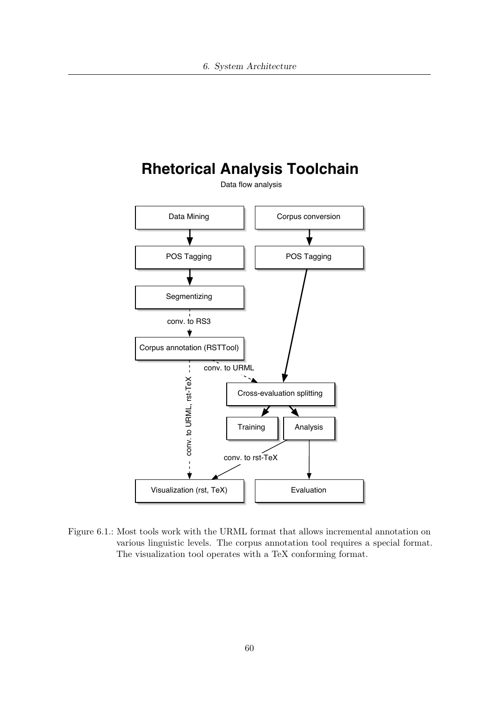

Figure 6.1.: Most tools work with the URML format that allows incremental annotation on various linguistic levels. The corpus annotation tool requires a special format. The visualization tool operates with a TeX conforming format.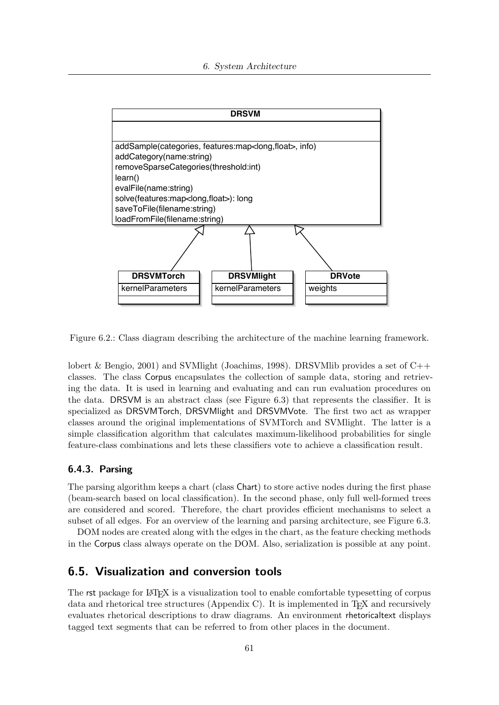

Figure 6.2.: Class diagram describing the architecture of the machine learning framework.

lobert & Bengio, 2001) and SVM light (Joachims, 1998). DRSVM lib provides a set of  $C_{++}$ classes. The class Corpus encapsulates the collection of sample data, storing and retrieving the data. It is used in learning and evaluating and can run evaluation procedures on the data. DRSVM is an abstract class (see Figure 6.3) that represents the classifier. It is specialized as DRSVMTorch, DRSVMlight and DRSVMVote. The first two act as wrapper classes around the original implementations of SVMTorch and SVMlight. The latter is a simple classification algorithm that calculates maximum-likelihood probabilities for single feature-class combinations and lets these classifiers vote to achieve a classification result.

#### 6.4.3. Parsing

The parsing algorithm keeps a chart (class Chart) to store active nodes during the first phase (beam-search based on local classification). In the second phase, only full well-formed trees are considered and scored. Therefore, the chart provides efficient mechanisms to select a subset of all edges. For an overview of the learning and parsing architecture, see Figure 6.3.

DOM nodes are created along with the edges in the chart, as the feature checking methods in the Corpus class always operate on the DOM. Also, serialization is possible at any point.

## 6.5. Visualization and conversion tools

The rst package for LAT<sub>EX</sub> is a visualization tool to enable comfortable typesetting of corpus data and rhetorical tree structures (Appendix C). It is implemented in  $T_F X$  and recursively evaluates rhetorical descriptions to draw diagrams. An environment rhetoricaltext displays tagged text segments that can be referred to from other places in the document.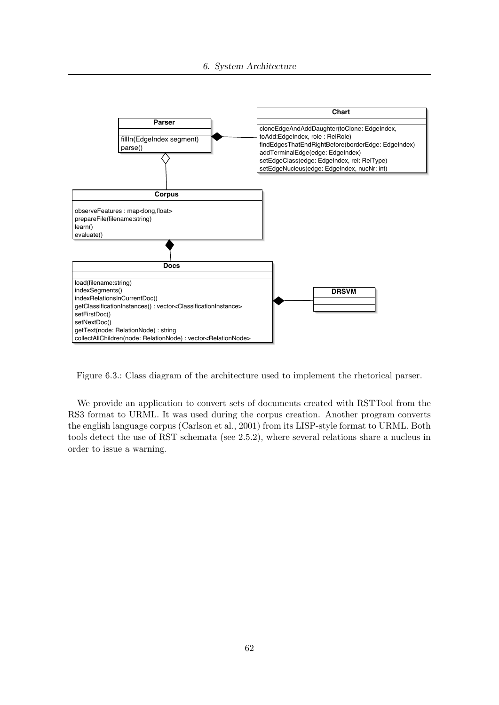6. System Architecture



Figure 6.3.: Class diagram of the architecture used to implement the rhetorical parser.

We provide an application to convert sets of documents created with RSTTool from the RS3 format to URML. It was used during the corpus creation. Another program converts the english language corpus (Carlson et al., 2001) from its LISP-style format to URML. Both tools detect the use of RST schemata (see 2.5.2), where several relations share a nucleus in order to issue a warning.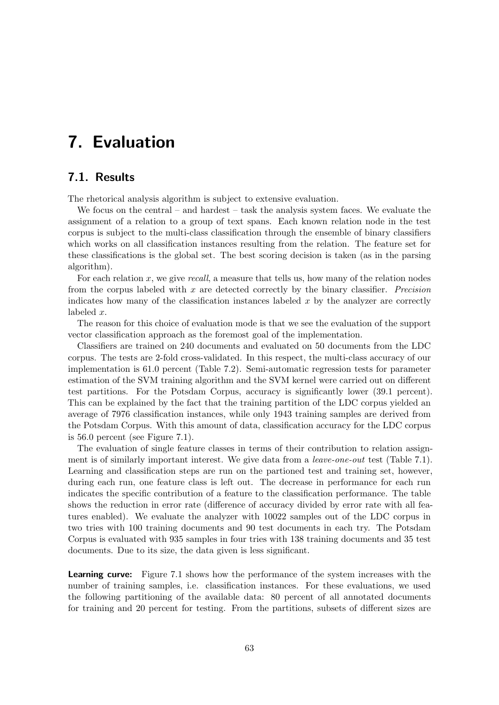# 7. Evaluation

# 7.1. Results

The rhetorical analysis algorithm is subject to extensive evaluation.

We focus on the central – and hardest – task the analysis system faces. We evaluate the assignment of a relation to a group of text spans. Each known relation node in the test corpus is subject to the multi-class classification through the ensemble of binary classifiers which works on all classification instances resulting from the relation. The feature set for these classifications is the global set. The best scoring decision is taken (as in the parsing algorithm).

For each relation  $x$ , we give recall, a measure that tells us, how many of the relation nodes from the corpus labeled with  $x$  are detected correctly by the binary classifier. *Precision* indicates how many of the classification instances labeled  $x$  by the analyzer are correctly labeled x.

The reason for this choice of evaluation mode is that we see the evaluation of the support vector classification approach as the foremost goal of the implementation.

Classifiers are trained on 240 documents and evaluated on 50 documents from the LDC corpus. The tests are 2-fold cross-validated. In this respect, the multi-class accuracy of our implementation is 61.0 percent (Table 7.2). Semi-automatic regression tests for parameter estimation of the SVM training algorithm and the SVM kernel were carried out on different test partitions. For the Potsdam Corpus, accuracy is significantly lower (39.1 percent). This can be explained by the fact that the training partition of the LDC corpus yielded an average of 7976 classification instances, while only 1943 training samples are derived from the Potsdam Corpus. With this amount of data, classification accuracy for the LDC corpus is 56.0 percent (see Figure 7.1).

The evaluation of single feature classes in terms of their contribution to relation assignment is of similarly important interest. We give data from a *leave-one-out* test (Table 7.1). Learning and classification steps are run on the partioned test and training set, however, during each run, one feature class is left out. The decrease in performance for each run indicates the specific contribution of a feature to the classification performance. The table shows the reduction in error rate (difference of accuracy divided by error rate with all features enabled). We evaluate the analyzer with 10022 samples out of the LDC corpus in two tries with 100 training documents and 90 test documents in each try. The Potsdam Corpus is evaluated with 935 samples in four tries with 138 training documents and 35 test documents. Due to its size, the data given is less significant.

**Learning curve:** Figure 7.1 shows how the performance of the system increases with the number of training samples, i.e. classification instances. For these evaluations, we used the following partitioning of the available data: 80 percent of all annotated documents for training and 20 percent for testing. From the partitions, subsets of different sizes are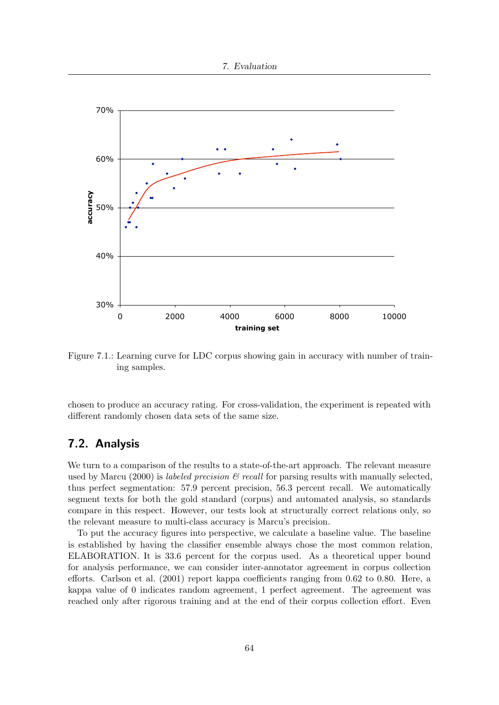



Figure 7.1.: Learning curve for LDC corpus showing gain in accuracy with number of training samples.

chosen to produce an accuracy rating. For cross-validation, the experiment is repeated with different randomly chosen data sets of the same size.

# 7.2. Analysis

We turn to a comparison of the results to a state-of-the-art approach. The relevant measure used by Marcu (2000) is *labeled precision*  $\mathscr B$  recall for parsing results with manually selected, thus perfect segmentation: 57.9 percent precision, 56.3 percent recall. We automatically segment texts for both the gold standard (corpus) and automated analysis, so standards compare in this respect. However, our tests look at structurally correct relations only, so the relevant measure to multi-class accuracy is Marcu's precision.

To put the accuracy figures into perspective, we calculate a baseline value. The baseline is established by having the classifier ensemble always chose the most common relation, ELABORATION. It is 33.6 percent for the corpus used. As a theoretical upper bound for analysis performance, we can consider inter-annotator agreement in corpus collection efforts. Carlson et al. (2001) report kappa coefficients ranging from 0.62 to 0.80. Here, a kappa value of 0 indicates random agreement, 1 perfect agreement. The agreement was reached only after rigorous training and at the end of their corpus collection effort. Even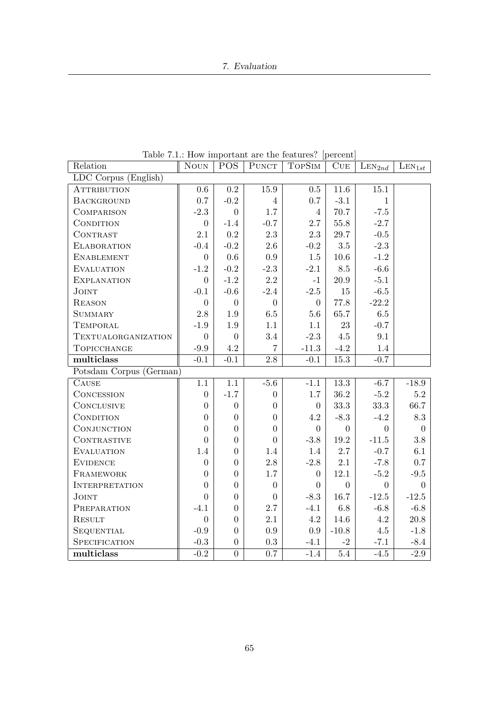### 7. Evaluation

| Relation                | $\rm N\mbox{_{}N}$ | <b>POS</b>       | <b>PUNCT</b>     | <b>TOPSIM</b>    | CUE               | $\text{LEN}_{2nd}$ | $\text{LEN}_{1st}$ |
|-------------------------|--------------------|------------------|------------------|------------------|-------------------|--------------------|--------------------|
| LDC Corpus (English)    |                    |                  |                  |                  |                   |                    |                    |
| <b>ATTRIBUTION</b>      | 0.6                | 0.2              | 15.9             | 0.5              | $11.6\,$          | $15.1\,$           |                    |
| <b>BACKGROUND</b>       | 0.7                | $-0.2$           | $\overline{4}$   | 0.7              | $-3.1$            | $\mathbf{1}$       |                    |
| <b>COMPARISON</b>       | $-2.3$             | $\overline{0}$   | $1.7\,$          | $\overline{4}$   | 70.7              | $-7.5$             |                    |
| CONDITION               | $\boldsymbol{0}$   | $-1.4$           | $-0.7$           | $2.7\,$          | $55.8\,$          | $-2.7$             |                    |
| CONTRAST                | 2.1                | $\rm 0.2$        | $2.3\,$          | $2.3\,$          | $29.7\,$          | $-0.5$             |                    |
| <b>ELABORATION</b>      | $-0.4$             | $-0.2$           | $2.6\,$          | $-0.2$           | $3.5\,$           | $-2.3$             |                    |
| <b>ENABLEMENT</b>       | $\theta$           | $0.6\,$          | $\rm 0.9$        | $1.5\,$          | $10.6\,$          | $-1.2$             |                    |
| <b>EVALUATION</b>       | $-1.2$             | $-0.2$           | $-2.3$           | $-2.1$           | 8.5               | $-6.6$             |                    |
| <b>EXPLANATION</b>      | $\overline{0}$     | $-1.2$           | $2.2\,$          | $-1$             | 20.9              | $-5.1$             |                    |
| <b>JOINT</b>            | $-0.1$             | $-0.6$           | $-2.4$           | $-2.5$           | 15                | $-6.5$             |                    |
| <b>REASON</b>           | $\boldsymbol{0}$   | $\boldsymbol{0}$ | $\boldsymbol{0}$ | $\boldsymbol{0}$ | 77.8              | $-22.2$            |                    |
| <b>SUMMARY</b>          | $2.8\,$            | $1.9\,$          | $6.5\,$          | 5.6              | $65.7\,$          | $6.5\,$            |                    |
| <b>TEMPORAL</b>         | $-1.9$             | $1.9\,$          | 1.1              | 1.1              | 23                | $-0.7$             |                    |
| TEXTUALORGANIZATION     | $\overline{0}$     | $\overline{0}$   | 3.4              | $-2.3$           | 4.5               | 9.1                |                    |
| TOPICCHANGE             | $-9.9$             | 4.2              | $\overline{7}$   | $-11.3$          | $-4.2$            | 1.4                |                    |
| multiclass              | $-0.1$             | $-0.1$           | $\overline{2.8}$ | $-0.1$           | $\overline{15.3}$ | $-0.7$             |                    |
| Potsdam Corpus (German) |                    |                  |                  |                  |                   |                    |                    |
| CAUSE                   | $1.1\,$            | 1.1              | $-5.6$           | $-1.1$           | $\overline{13.3}$ | $-6.7$             | $-18.9$            |
| CONCESSION              | $\boldsymbol{0}$   | $-1.7$           | $\boldsymbol{0}$ | 1.7              | $36.2\,$          | $-5.2$             | $5.2\,$            |
| <b>CONCLUSIVE</b>       | $\overline{0}$     | $\boldsymbol{0}$ | $\overline{0}$   | $\overline{0}$   | 33.3              | 33.3               | 66.7               |
| CONDITION               | $\overline{0}$     | $\overline{0}$   | $\overline{0}$   | 4.2              | $-8.3$            | $-4.2$             | 8.3                |
| CONJUNCTION             | $\overline{0}$     | $\overline{0}$   | $\overline{0}$   | $\theta$         | $\overline{0}$    | $\overline{0}$     | $\Omega$           |
| CONTRASTIVE             | $\overline{0}$     | $\overline{0}$   | $\overline{0}$   | $-3.8$           | $19.2\,$          | $-11.5$            | $3.8\,$            |
| <b>EVALUATION</b>       | 1.4                | $\overline{0}$   | 1.4              | 1.4              | $2.7\,$           | $-0.7$             | 6.1                |
| <b>EVIDENCE</b>         | $\boldsymbol{0}$   | $\overline{0}$   | $2.8\,$          | $-2.8$           | 2.1               | $-7.8$             | $0.7\,$            |
| FRAMEWORK               | $\overline{0}$     | $\overline{0}$   | $1.7\,$          | $\overline{0}$   | 12.1              | $-5.2$             | $-9.5$             |
| <b>INTERPRETATION</b>   | $\overline{0}$     | $\overline{0}$   | $\overline{0}$   | $\overline{0}$   | $\theta$          | $\overline{0}$     | $\Omega$           |
| <b>JOINT</b>            | $\overline{0}$     | $\overline{0}$   | $\overline{0}$   | $-8.3$           | 16.7              | $-12.5$            | $-12.5$            |
| PREPARATION             | $-4.1$             | $\overline{0}$   | 2.7              | $-4.1$           | $6.8\,$           | $-6.8$             | $-6.8$             |
| <b>RESULT</b>           | $\boldsymbol{0}$   | $\overline{0}$   | 2.1              | 4.2              | 14.6              | 4.2                | $20.8\,$           |
| SEQUENTIAL              | $-0.9$             | $\overline{0}$   | $\rm 0.9$        | 0.9              | $-10.8$           | 4.5                | $-1.8$             |
| SPECIFICATION           | $-0.3$             | $\boldsymbol{0}$ | $\rm 0.3$        | $-4.1$           | $-2$              | $-7.1$             | $-8.4$             |
| multiclass              | $-0.2$             | $\overline{0}$   | 0.7              | $-1.4$           | $\overline{5.4}$  | $-4.5$             | $-2.9$             |

Table 7.1.: How important are the features? [percent]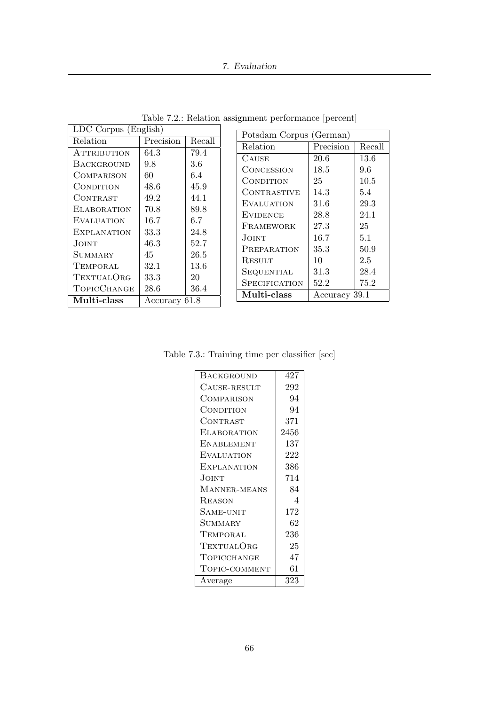### 7. Evaluation

| LDC Corpus (English)         |           |        |  |  |
|------------------------------|-----------|--------|--|--|
| Relation                     | Precision | Recall |  |  |
| <b>ATTRIBUTION</b>           | 64.3      | 79.4   |  |  |
| <b>BACKGROUND</b>            | 9.8       | 3.6    |  |  |
| COMPARISON                   | 60        | 6.4    |  |  |
| CONDITION                    | 48.6      | 45.9   |  |  |
| CONTRAST                     | 49.2      | 44.1   |  |  |
| <b>ELABORATION</b>           | 70.8      | 89.8   |  |  |
| <b>EVALUATION</b>            | 16.7      | 6.7    |  |  |
| <b>EXPLANATION</b>           | 33.3      | 24.8   |  |  |
| JOINT                        | $46.3\,$  | 52.7   |  |  |
| SUMMARY                      | 45        | 26.5   |  |  |
| TEMPORAL                     | 32.1      | 13.6   |  |  |
| TEXTUALORG                   | 33.3      | 20     |  |  |
| TOPICCHANGE                  | 28.6      | 36.4   |  |  |
| Multi-class<br>Accuracy 61.8 |           |        |  |  |

Table 7.2.: Relation assignment performance [percent]

 $\epsilon$ 

| Potsdam Corpus (German) |               |        |  |  |
|-------------------------|---------------|--------|--|--|
| Relation                | Precision     | Recall |  |  |
| <b>CAUSE</b>            | 20.6          | 13.6   |  |  |
| CONCESSION              | 18.5          | 9.6    |  |  |
| CONDITION               | 25            | 10.5   |  |  |
| CONTRASTIVE             | 14.3          | 5.4    |  |  |
| <b>EVALUATION</b>       | 31.6          | 29.3   |  |  |
| <b>EVIDENCE</b>         | 28.8          | 24.1   |  |  |
| FRAMEWORK               | 27.3          | 25     |  |  |
| JOINT.                  | 16.7          | 5.1    |  |  |
| PREPARATION             | 35.3          | 50.9   |  |  |
| RESULT                  | 10            | 2.5    |  |  |
| SEQUENTIAL              | 31.3          | 28.4   |  |  |
| SPECIFICATION           | 52.2          | 75.2   |  |  |
| Multi-class             | Accuracy 39.1 |        |  |  |

Table 7.3.: Training time per classifier [sec]

| <b>BACKGROUND</b>  | 427  |
|--------------------|------|
| CAUSE-RESULT       | 292  |
| COMPARISON         | 94   |
| CONDITION          | 94   |
| CONTRAST           | 371  |
| ELABORATION        | 2456 |
| ENABLEMENT         | 137  |
| EVALUATION         | 222  |
| <b>EXPLANATION</b> | 386  |
| Joint              | 714  |
| MANNER-MEANS       | 84   |
| REASON             | 4    |
| SAME-UNIT          | 172  |
| SUMMARY            | 62   |
| TEMPORAL           | 236  |
| TEXTUALORG         | 25   |
| TOPICCHANGE        | 47   |
| TOPIC-COMMENT      | 61   |
| Average            | 323  |
|                    |      |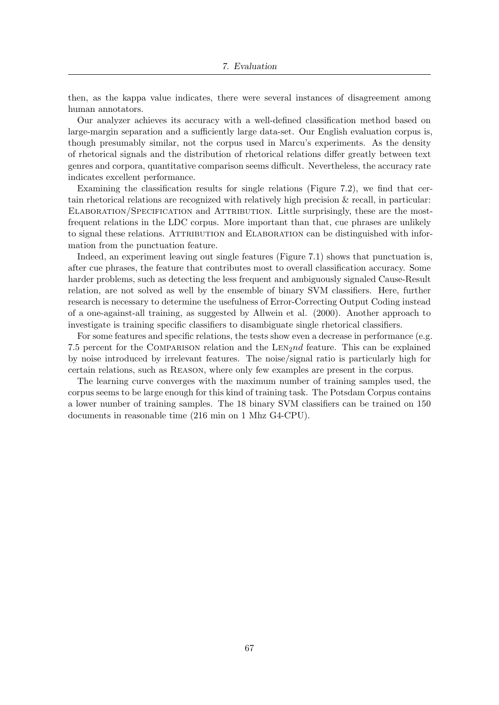then, as the kappa value indicates, there were several instances of disagreement among human annotators.

Our analyzer achieves its accuracy with a well-defined classification method based on large-margin separation and a sufficiently large data-set. Our English evaluation corpus is, though presumably similar, not the corpus used in Marcu's experiments. As the density of rhetorical signals and the distribution of rhetorical relations differ greatly between text genres and corpora, quantitative comparison seems difficult. Nevertheless, the accuracy rate indicates excellent performance.

Examining the classification results for single relations (Figure 7.2), we find that certain rhetorical relations are recognized with relatively high precision & recall, in particular: Elaboration/Specification and Attribution. Little surprisingly, these are the mostfrequent relations in the LDC corpus. More important than that, cue phrases are unlikely to signal these relations. ATTRIBUTION and ELABORATION can be distinguished with information from the punctuation feature.

Indeed, an experiment leaving out single features (Figure 7.1) shows that punctuation is, after cue phrases, the feature that contributes most to overall classification accuracy. Some harder problems, such as detecting the less frequent and ambiguously signaled Cause-Result relation, are not solved as well by the ensemble of binary SVM classifiers. Here, further research is necessary to determine the usefulness of Error-Correcting Output Coding instead of a one-against-all training, as suggested by Allwein et al. (2000). Another approach to investigate is training specific classifiers to disambiguate single rhetorical classifiers.

For some features and specific relations, the tests show even a decrease in performance (e.g. 7.5 percent for the COMPARISON relation and the  $LEM2nd$  feature. This can be explained by noise introduced by irrelevant features. The noise/signal ratio is particularly high for certain relations, such as Reason, where only few examples are present in the corpus.

The learning curve converges with the maximum number of training samples used, the corpus seems to be large enough for this kind of training task. The Potsdam Corpus contains a lower number of training samples. The 18 binary SVM classifiers can be trained on 150 documents in reasonable time (216 min on 1 Mhz G4-CPU).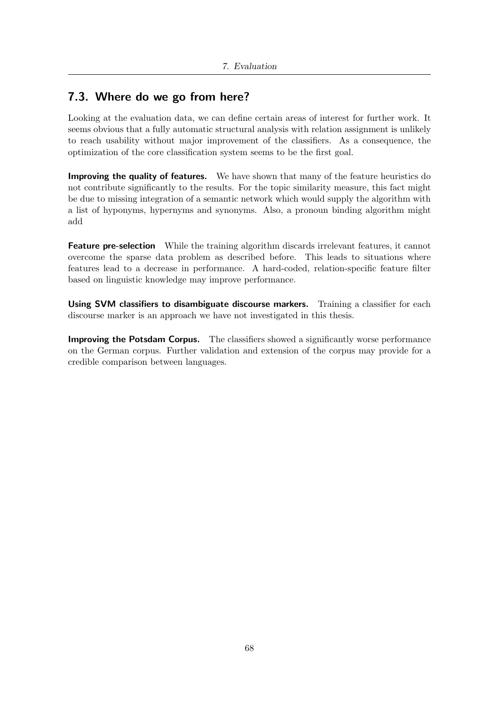# 7.3. Where do we go from here?

Looking at the evaluation data, we can define certain areas of interest for further work. It seems obvious that a fully automatic structural analysis with relation assignment is unlikely to reach usability without major improvement of the classifiers. As a consequence, the optimization of the core classification system seems to be the first goal.

Improving the quality of features. We have shown that many of the feature heuristics do not contribute significantly to the results. For the topic similarity measure, this fact might be due to missing integration of a semantic network which would supply the algorithm with a list of hyponyms, hypernyms and synonyms. Also, a pronoun binding algorithm might add

Feature pre-selection While the training algorithm discards irrelevant features, it cannot overcome the sparse data problem as described before. This leads to situations where features lead to a decrease in performance. A hard-coded, relation-specific feature filter based on linguistic knowledge may improve performance.

Using SVM classifiers to disambiguate discourse markers. Training a classifier for each discourse marker is an approach we have not investigated in this thesis.

Improving the Potsdam Corpus. The classifiers showed a significantly worse performance on the German corpus. Further validation and extension of the corpus may provide for a credible comparison between languages.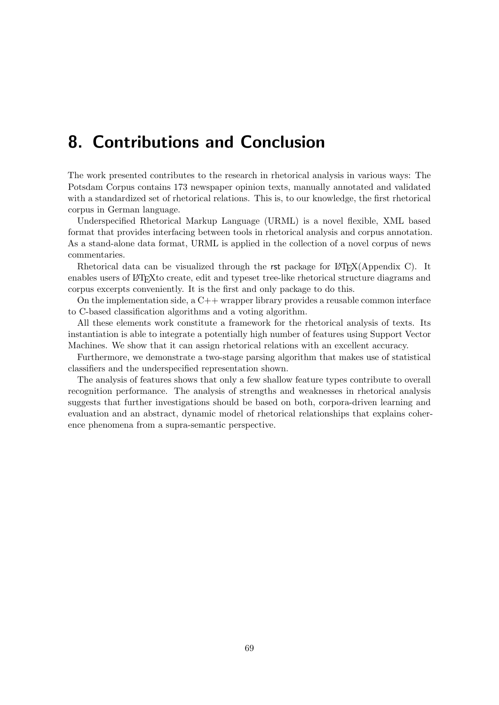# 8. Contributions and Conclusion

The work presented contributes to the research in rhetorical analysis in various ways: The Potsdam Corpus contains 173 newspaper opinion texts, manually annotated and validated with a standardized set of rhetorical relations. This is, to our knowledge, the first rhetorical corpus in German language.

Underspecified Rhetorical Markup Language (URML) is a novel flexible, XML based format that provides interfacing between tools in rhetorical analysis and corpus annotation. As a stand-alone data format, URML is applied in the collection of a novel corpus of news commentaries.

Rhetorical data can be visualized through the rst package for  $\mathbb{E}(\mathrm{Exp}(A)$  (Appendix C). It enables users of LAT<sub>EX</sub> to create, edit and typeset tree-like rhetorical structure diagrams and corpus excerpts conveniently. It is the first and only package to do this.

On the implementation side, a  $C_{++}$  wrapper library provides a reusable common interface to C-based classification algorithms and a voting algorithm.

All these elements work constitute a framework for the rhetorical analysis of texts. Its instantiation is able to integrate a potentially high number of features using Support Vector Machines. We show that it can assign rhetorical relations with an excellent accuracy.

Furthermore, we demonstrate a two-stage parsing algorithm that makes use of statistical classifiers and the underspecified representation shown.

The analysis of features shows that only a few shallow feature types contribute to overall recognition performance. The analysis of strengths and weaknesses in rhetorical analysis suggests that further investigations should be based on both, corpora-driven learning and evaluation and an abstract, dynamic model of rhetorical relationships that explains coherence phenomena from a supra-semantic perspective.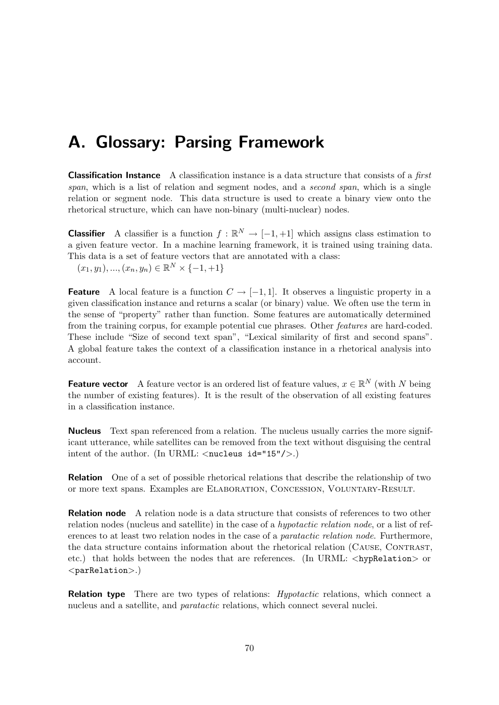# A. Glossary: Parsing Framework

**Classification Instance** A classification instance is a data structure that consists of a *first* span, which is a list of relation and segment nodes, and a second span, which is a single relation or segment node. This data structure is used to create a binary view onto the rhetorical structure, which can have non-binary (multi-nuclear) nodes.

**Classifier** A classifier is a function  $f : \mathbb{R}^N \to [-1, +1]$  which assigns class estimation to a given feature vector. In a machine learning framework, it is trained using training data. This data is a set of feature vectors that are annotated with a class:

 $(x_1, y_1), ..., (x_n, y_n) \in \mathbb{R}^N \times \{-1, +1\}$ 

**Feature** A local feature is a function  $C \rightarrow [-1, 1]$ . It observes a linguistic property in a given classification instance and returns a scalar (or binary) value. We often use the term in the sense of "property" rather than function. Some features are automatically determined from the training corpus, for example potential cue phrases. Other features are hard-coded. These include "Size of second text span", "Lexical similarity of first and second spans". A global feature takes the context of a classification instance in a rhetorical analysis into account.

**Feature vector** A feature vector is an ordered list of feature values,  $x \in \mathbb{R}^N$  (with N being the number of existing features). It is the result of the observation of all existing features in a classification instance.

Nucleus Text span referenced from a relation. The nucleus usually carries the more significant utterance, while satellites can be removed from the text without disguising the central intent of the author. (In URML:  $\langle$ nucleus id="15"/ $\rangle$ .)

Relation One of a set of possible rhetorical relations that describe the relationship of two or more text spans. Examples are Elaboration, Concession, Voluntary-Result.

**Relation node** A relation node is a data structure that consists of references to two other relation nodes (nucleus and satellite) in the case of a *hypotactic relation node*, or a list of references to at least two relation nodes in the case of a paratactic relation node. Furthermore, the data structure contains information about the rhetorical relation (Cause, Contrast, etc.) that holds between the nodes that are references. (In URML:  $\langle \text{hypRelation} \rangle$  or  $<$ parRelation $>$ .)

**Relation type** There are two types of relations: *Hypotactic* relations, which connect a nucleus and a satellite, and paratactic relations, which connect several nuclei.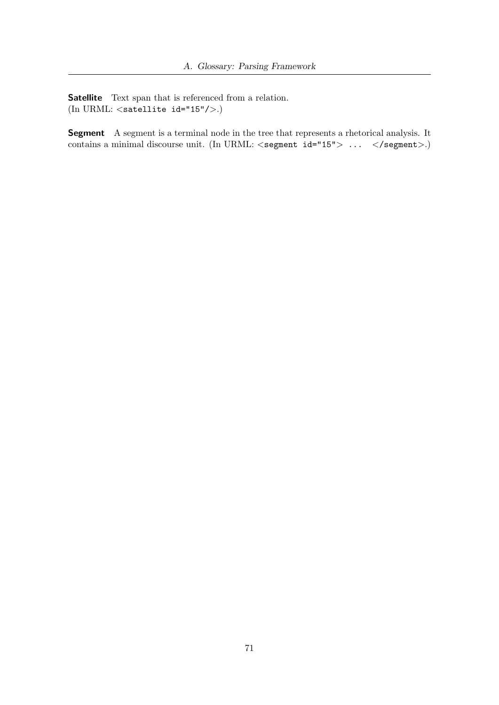Satellite Text span that is referenced from a relation. (In URML:  $\langle$  satellite id="15"/ $\rangle$ .)

Segment A segment is a terminal node in the tree that represents a rhetorical analysis. It contains a minimal discourse unit. (In URML:  $\langle$  segment id="15"> ...  $\langle$ /segment>.)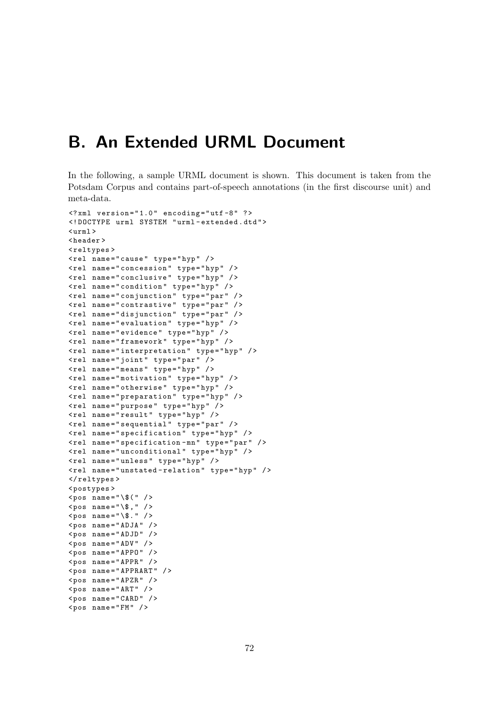# B. An Extended URML Document

In the following, a sample URML document is shown. This document is taken from the Potsdam Corpus and contains part-of-speech annotations (in the first discourse unit) and meta-data.

```
\langle ? \text{xml} version="1.0" encoding="utf-8" ?>
<! DOCTYPE urml SYSTEM " urml - extended . dtd " >
\langleurml\rangle< header >
< reltypes >
<rel name="cause" type="hyp" />
< rel name = " concession " type = " hyp " / >
< rel name = " conclusive " type = " hyp " / >
< rel name = " condition " type = " hyp " / >
< rel name = " conjunction " type = " par " / >
< rel name = " contrastive " type = " par " / >
< rel name = " disjunction " type = " par " / >
< rel name = " evaluation " type = " hyp " / >
< rel name = " evidence " type = " hyp " / >
< rel name = " framework " type = " hyp " / >
< rel name = " interpretation " type = " hyp " / >
<rel name="joint" type="par" />
\texttt{<rel} name="means" type="hyp" />
\texttt{Yrel} name="motivation" type="hyp" />
< rel name = " otherwise " type = " hyp " / >
< rel name = " preparation " type = " hyp " / >
< rel name = " purpose " type = " hyp " / >
<rel name="result" type="hyp" />
< rel name = " sequential " type = " par " / >
< rel name = " specification " type = " hyp " / >
<rel name="specification-mn" type="par" />
< rel name = " unconditional " type = " hyp " / >
< rel name = " unless " type = " hyp " / >
< rel name = " unstated - relation " type = " hyp " / >
</ reltypes >
< postypes >
<pos name="\$(" />
<pos name="\$," />
pos name="\$." />
<pos name="ADJA" />
<pos name="ADJD" />
<pos name="ADV" />
<pos name="APPO" />
<pos name = "APPR" />
< pos name = " APPRART " / >
<pos name="APZR" />
<pos name="ART" />
<pos name="CARD" />
<pos name = "FM" />
```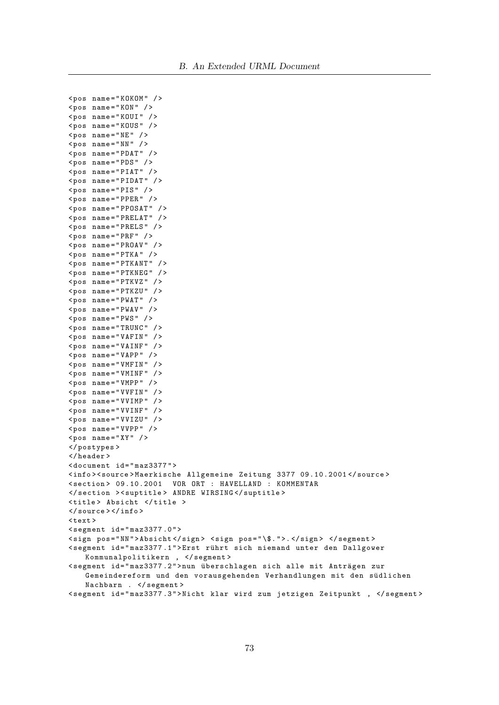```
< pos name = " KOKOM " / >
<pos name="KON" />
<pos name="KOUI" />
< pos name = " KOUS " / >
<pos name = "NE" />
<pos name="NN" />
<pos name="PDAT" />
< pos name = " PDS " / >
<pos name="PIAT" />
<pos name="PIDAT" />
<pos name="PIS" />
< pos name = " PPER " / >
<pos name="PPOSAT" />
<pos name="PRELAT" />
< pos name = " PRELS " / >
<pos name="PRF" />
<pos name="PROAV" />
<pos name = "PTKA" />
<pos name="PTKANT" />
< pos name = " PTKNEG " / >
<pos name="PTKVZ" />
< pos name = " PTKZU " / >
<pos name="PWAT" />
<pos name="PWAV" />
<pos name = "PWS" />
<pos name = "TRUNC" />
<pos name="VAFIN" />
<pos name="VAINF" />
<pos name="VAPP" />
<pos name = "VMFIN" />
<pos name = "VMINF" />
<pos name = "VMPP" />
< pos name = " VVFIN " / >
<pos name="VVIMP" />
<pos name="VVINF" />
<pos name="VVIZU" />
<pos name="VVPP" />
<pos name="XY" />
</ postypes >
</ header >
< document id = " maz3377 " >
< info > < source > Maerkische Allgemeine Zeitung 3377 09.10.2001 </ source >
< section > 09.10.2001 VOR ORT : HAVELLAND : KOMMENTAR
</ section > < suptitle > ANDRE WIRSING </ suptitle >
< title > Absicht </ title >
</ source > </ info >
\text{Atext}\leq segment id="maz3377.0">
< sign pos = " NN " > Absicht </ sign > < sign pos = " \$. " >. </ sign > </ segment >
< segment id = " maz3377 .1 " > Erst r¨uhrt sich niemand unter den Dallgower
   Kommunalpolitikern , </ segment >
<segment id="maz3377.2">nun überschlagen sich alle mit Anträgen zur
   Gemeindereform und den vorausgehenden Verhandlungen mit den südlichen
   Nachbarn . </segment>
< segment id = " maz3377 .3 " > Nicht klar wird zum jetzigen Zeitpunkt , </ segment >
```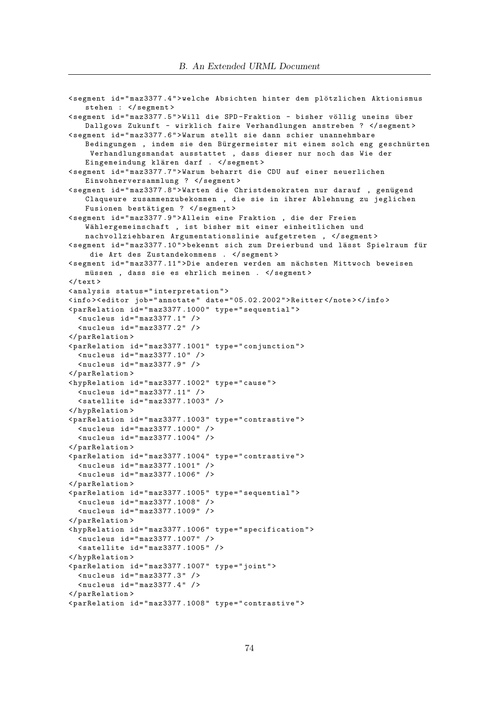```
< segment id = " maz3377 .4 " > welche Absichten hinter dem pl¨otzlichen Aktionismus
    stehen : </ segment >
<segment id="maz3377.5">Will die SPD-Fraktion - bisher völlig uneins über
   Dallgows Zukunft - wirklich faire Verhandlungen anstreben ? </ segment >
< segment id = " maz3377 .6 " > Warum stellt sie dann schier unannehmbare
   Bedingungen , indem sie den Bürgermeister mit einem solch eng geschnürten
     Verhandlungsmandat ausstattet , dass dieser nur noch das Wie der
   Eingemeindung klären darf . </segment>
< segment id = " maz3377 .7 " > Warum beharrt die CDU auf einer neuerlichen
   Einwohnerversammlung ? </ segment >
< segment id = " maz3377 .8 " > Warten die Christdemokraten nur darauf , gen¨ugend
   Claqueure zusammenzubekommen , die sie in ihrer Ablehnung zu jeglichen
   Fusionen bestätigen ? </segment>
< segment id = " maz3377 .9 " > Allein eine Fraktion , die der Freien
   Wählergemeinschaft , ist bisher mit einer einheitlichen und
   nachvollziehbaren Argumentationslinie aufgetreten , </ segment >
<segment id="maz3377.10">bekennt sich zum Dreierbund und lässt Spielraum für
     die Art des Zustandekommens . </ segment >
< segment id = " maz3377 .11 " > Die anderen werden am n¨achsten Mittwoch beweisen
   müssen, dass sie es ehrlich meinen . </segment>
\langle/text>
< analysis status = " interpretation " >
< info > < editor job = " annotate " date = " 05.02.2002 " > Reitter </ note > </ info >
< parRelation id = " maz3377 .1000 " type = " sequential " >
  \langlenucleus id="maz3377.1" />
  \langlenucleus id="maz3377.2" />
</ parRelation >
< parRelation id = " maz3377 .1001 " type = " conjunction " >
  \langlenucleus id="maz3377.10" />
  \langlenucleus id="maz3377.9" />
</ parRelation >
< hypRelation id = " maz3377 .1002 " type = " cause " >
  \{nucleus id = "max3377.11" />
  < satellite id = " maz3377 .1003 " / >
</ hypRelation >
<parRelation id="maz3377.1003" type="contrastive">
  < nucleus id = " maz3377 .1000 " / >
  <nucleus id="maz3377.1004" />
</ parRelation >
< parRelation id = " maz3377 .1004 " type = " contrastive " >
  < nucleus id = " maz3377 .1001 " / >
  < nucleus id = " maz3377 .1006 " / >
</ parRelation >
< parRelation id = " maz3377 .1005 " type = " sequential " >
  < nucleus id = " maz3377 .1008 " / >
  \langlenucleus id="maz3377.1009" />
</ parRelation >
< hypRelation id = " maz3377 .1006 " type = " specification " >
  < nucleus id = " maz3377 .1007 " / >
  < satellite id = " maz3377 .1005 " / >
</ hypRelation >
< parRelation id = " maz3377 .1007 " type = " joint " >
  \langlenucleus id="maz3377.3" />
  \langlenucleus id="maz3377.4" />
</ parRelation >
< parRelation id = " maz3377 .1008 " type = " contrastive " >
```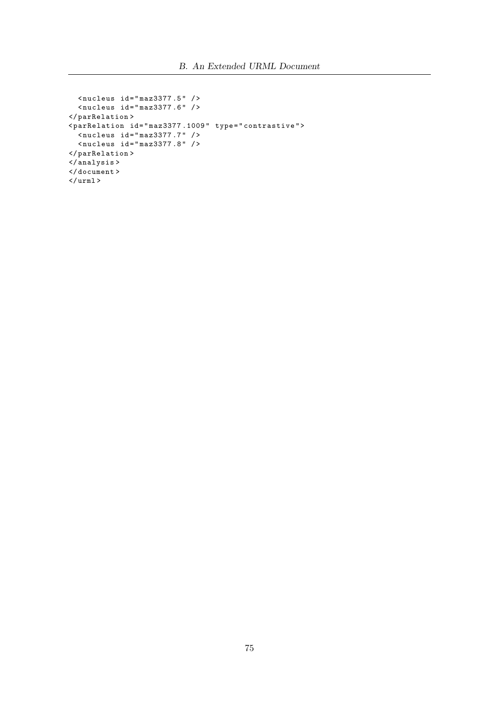```
\text{Nucleus id} = \text{Nmag} \text{Narg} \text{Narg} \text{Narg}\langlenucleus id="maz3377.6" />
</ parRelation >
< parRelation id = " maz3377 .1009 " type = " contrastive " >
   < nucleus id = " maz3377 .7 " / >
   < nucleus id = " maz3377 .8 " / >
</ parRelation >
</ analysis >
</ document >
\langle/urml\rangle
```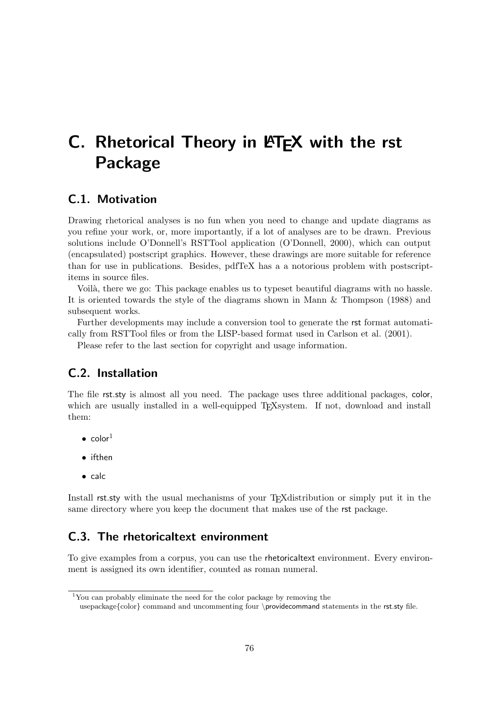# C. Rhetorical Theory in LATEX with the rst Package

# C.1. Motivation

Drawing rhetorical analyses is no fun when you need to change and update diagrams as you refine your work, or, more importantly, if a lot of analyses are to be drawn. Previous solutions include O'Donnell's RSTTool application (O'Donnell, 2000), which can output (encapsulated) postscript graphics. However, these drawings are more suitable for reference than for use in publications. Besides, pdfTeX has a a notorious problem with postscriptitems in source files.

Voilà, there we go: This package enables us to typeset beautiful diagrams with no hassle. It is oriented towards the style of the diagrams shown in Mann & Thompson (1988) and subsequent works.

Further developments may include a conversion tool to generate the rst format automatically from RSTTool files or from the LISP-based format used in Carlson et al. (2001).

Please refer to the last section for copyright and usage information.

# C.2. Installation

The file rst.sty is almost all you need. The package uses three additional packages, color, which are usually installed in a well-equipped T<sub>E</sub>Xsystem. If not, download and install them:

- $\bullet$  color<sup>1</sup>
- ifthen
- calc

Install rst.sty with the usual mechanisms of your TEXdistribution or simply put it in the same directory where you keep the document that makes use of the rst package.

# C.3. The rhetoricaltext environment

To give examples from a corpus, you can use the rhetoricaltext environment. Every environment is assigned its own identifier, counted as roman numeral.

<sup>1</sup>You can probably eliminate the need for the color package by removing the

usepackage{color} command and uncommenting four \providecommand statements in the rst.sty file.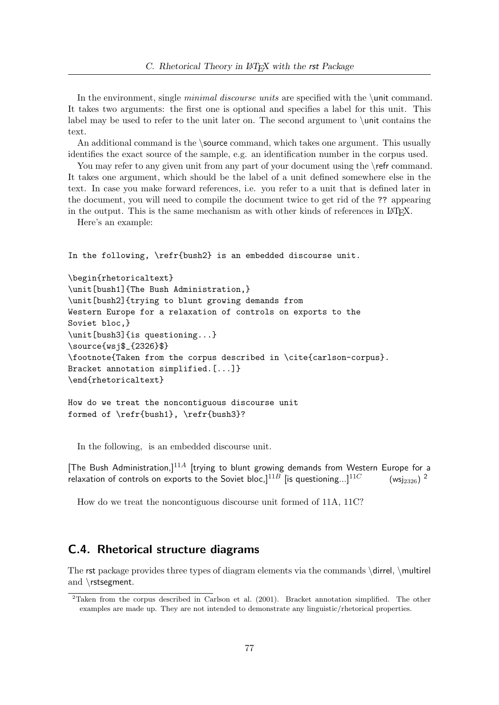In the environment, single *minimal discourse units* are specified with the  $\cdot$ unit command. It takes two arguments: the first one is optional and specifies a label for this unit. This label may be used to refer to the unit later on. The second argument to  $\unit$  contains the text.

An additional command is the \source command, which takes one argument. This usually identifies the exact source of the sample, e.g. an identification number in the corpus used.

You may refer to any given unit from any part of your document using the \refr command. It takes one argument, which should be the label of a unit defined somewhere else in the text. In case you make forward references, i.e. you refer to a unit that is defined later in the document, you will need to compile the document twice to get rid of the ?? appearing in the output. This is the same mechanism as with other kinds of references in LAT<sub>E</sub>X.

Here's an example:

In the following, \refr{bush2} is an embedded discourse unit.

```
\begin{rhetoricaltext}
\unit[bush1]{The Bush Administration,}
\unit[bush2]{trying to blunt growing demands from
Western Europe for a relaxation of controls on exports to the
Soviet bloc,}
\unit[bush3]{is questioning...}
\source{wsj$_{2326}$}
\footnote{Taken from the corpus described in \cite{carlson-corpus}.
Bracket annotation simplified.[...]}
\end{rhetoricaltext}
```

```
How do we treat the noncontiguous discourse unit
formed of \refr{bush1}, \refr{bush3}?
```
In the following, is an embedded discourse unit.

[The Bush Administration,]<sup>11A</sup> [trying to blunt growing demands from Western Europe for a relaxation of controls on exports to the Soviet bloc,  $]^{11B}$  [is questioning...] $^{11C}$ (wsi<sub>2326</sub>)<sup>2</sup>

How do we treat the noncontiguous discourse unit formed of 11A, 11C?

## C.4. Rhetorical structure diagrams

The rst package provides three types of diagram elements via the commands \dirrel, \multirel and \rstsegment.

<sup>&</sup>lt;sup>2</sup>Taken from the corpus described in Carlson et al. (2001). Bracket annotation simplified. The other examples are made up. They are not intended to demonstrate any linguistic/rhetorical properties.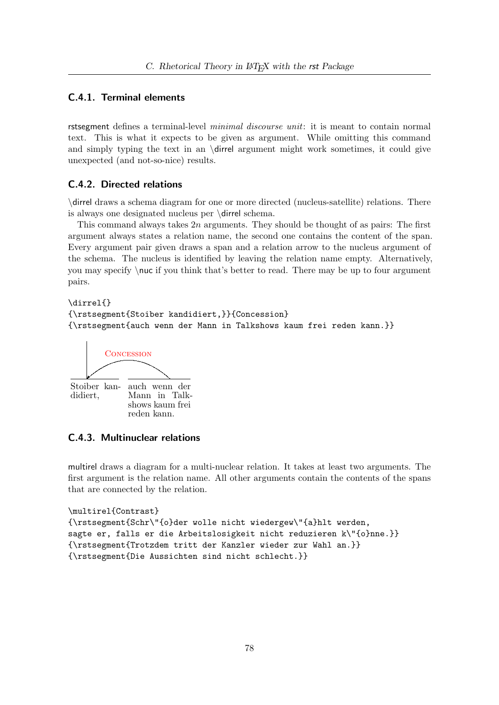## C.4.1. Terminal elements

rstsegment defines a terminal-level *minimal discourse unit*: it is meant to contain normal text. This is what it expects to be given as argument. While omitting this command and simply typing the text in an \dirrel argument might work sometimes, it could give unexpected (and not-so-nice) results.

### C.4.2. Directed relations

\dirrel draws a schema diagram for one or more directed (nucleus-satellite) relations. There is always one designated nucleus per \dirrel schema.

This command always takes 2n arguments. They should be thought of as pairs: The first argument always states a relation name, the second one contains the content of the span. Every argument pair given draws a span and a relation arrow to the nucleus argument of the schema. The nucleus is identified by leaving the relation name empty. Alternatively, you may specify \nuc if you think that's better to read. There may be up to four argument pairs.

\dirrel{} {\rstsegment{Stoiber kandidiert,}}{Concession} {\rstsegment{auch wenn der Mann in Talkshows kaum frei reden kann.}}



### C.4.3. Multinuclear relations

multirel draws a diagram for a multi-nuclear relation. It takes at least two arguments. The first argument is the relation name. All other arguments contain the contents of the spans that are connected by the relation.

```
\multirel{Contrast}
{\rstsegment{Schr\"{o}der wolle nicht wiedergew\"{a}hlt werden,
sagte er, falls er die Arbeitslosigkeit nicht reduzieren k\"{o}nne.}}
{\rstsegment{Trotzdem tritt der Kanzler wieder zur Wahl an.}}
{\rstsegment{Die Aussichten sind nicht schlecht.}}
```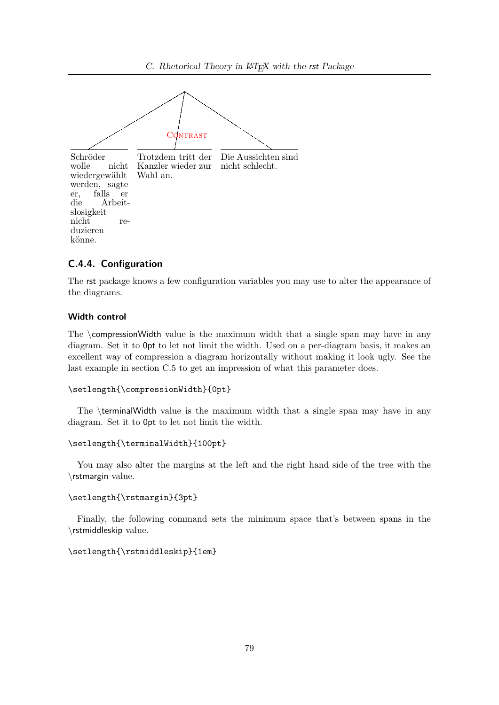

### C.4.4. Configuration

The rst package knows a few configuration variables you may use to alter the appearance of the diagrams.

### Width control

The  $\complement$  compressionWidth value is the maximum width that a single span may have in any diagram. Set it to 0pt to let not limit the width. Used on a per-diagram basis, it makes an excellent way of compression a diagram horizontally without making it look ugly. See the last example in section C.5 to get an impression of what this parameter does.

```
\setlength{\compressionWidth}{0pt}
```
The \terminalWidth value is the maximum width that a single span may have in any diagram. Set it to 0pt to let not limit the width.

#### \setlength{\terminalWidth}{100pt}

You may also alter the margins at the left and the right hand side of the tree with the \rstmargin value.

#### \setlength{\rstmargin}{3pt}

Finally, the following command sets the minimum space that's between spans in the \rstmiddleskip value.

#### \setlength{\rstmiddleskip}{1em}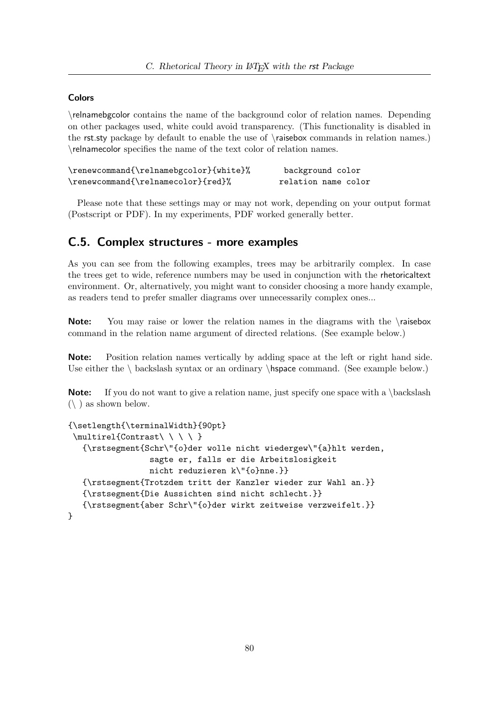## **Colors**

\relnamebgcolor contains the name of the background color of relation names. Depending on other packages used, white could avoid transparency. (This functionality is disabled in the rst.sty package by default to enable the use of \raisebox commands in relation names.) \relnamecolor specifies the name of the text color of relation names.

| \renewcommand{\relnamebgcolor}{white}% | background color    |
|----------------------------------------|---------------------|
| \renewcommand{\relnamecolor}{red}%     | relation name color |

Please note that these settings may or may not work, depending on your output format (Postscript or PDF). In my experiments, PDF worked generally better.

## C.5. Complex structures - more examples

As you can see from the following examples, trees may be arbitrarily complex. In case the trees get to wide, reference numbers may be used in conjunction with the rhetoricaltext environment. Or, alternatively, you might want to consider choosing a more handy example, as readers tend to prefer smaller diagrams over unnecessarily complex ones...

Note: You may raise or lower the relation names in the diagrams with the \raisebox command in the relation name argument of directed relations. (See example below.)

Note: Position relation names vertically by adding space at the left or right hand side. Use either the  $\backslash$  backslash syntax or an ordinary  $\hbox{\beta}$ . (See example below.)

**Note:** If you do not want to give a relation name, just specify one space with a \backslash  $(\setminus)$  as shown below.

```
{\setlength{\terminalWidth}{90pt}
 \mathcal{C} \multirel{Contrast\ \ \ \ }
   {\rstsegment{Schr\"{o}der wolle nicht wiedergew\"{a}hlt werden,
                  sagte er, falls er die Arbeitslosigkeit
                 nicht reduzieren k\"{o}nne.}}
   {\rstsegment{Trotzdem tritt der Kanzler wieder zur Wahl an.}}
   {\rstsegment{Die Aussichten sind nicht schlecht.}}
   {\rstsegment{aber Schr\"{o}der wirkt zeitweise verzweifelt.}}
}
```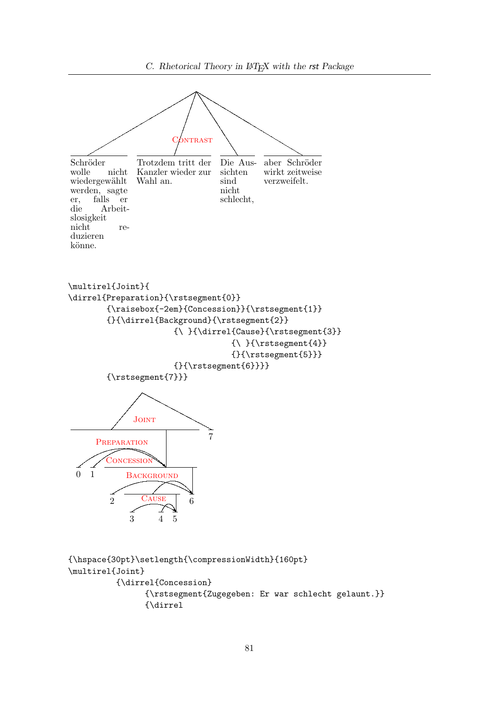

```
{\hspace{30pt}\setlength{\compressionWidth}{160pt}
\multirel{Joint}
          {\dirrel{Concession}
                {\rstsegment{Zugegeben: Er war schlecht gelaunt.}}
                {\dirrel
```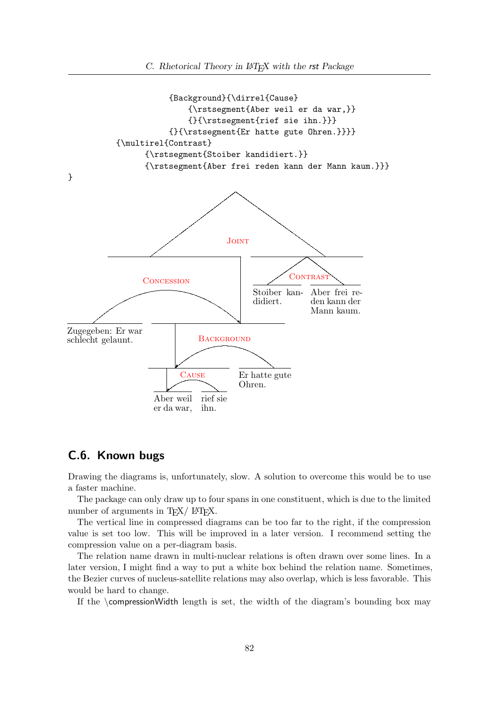

# C.6. Known bugs

Drawing the diagrams is, unfortunately, slow. A solution to overcome this would be to use a faster machine.

The package can only draw up to four spans in one constituent, which is due to the limited number of arguments in T<sub>E</sub>X/ L<sup>AT</sup>EX.

The vertical line in compressed diagrams can be too far to the right, if the compression value is set too low. This will be improved in a later version. I recommend setting the compression value on a per-diagram basis.

The relation name drawn in multi-nuclear relations is often drawn over some lines. In a later version, I might find a way to put a white box behind the relation name. Sometimes, the Bezier curves of nucleus-satellite relations may also overlap, which is less favorable. This would be hard to change.

If the  $\complement$  compression Width length is set, the width of the diagram's bounding box may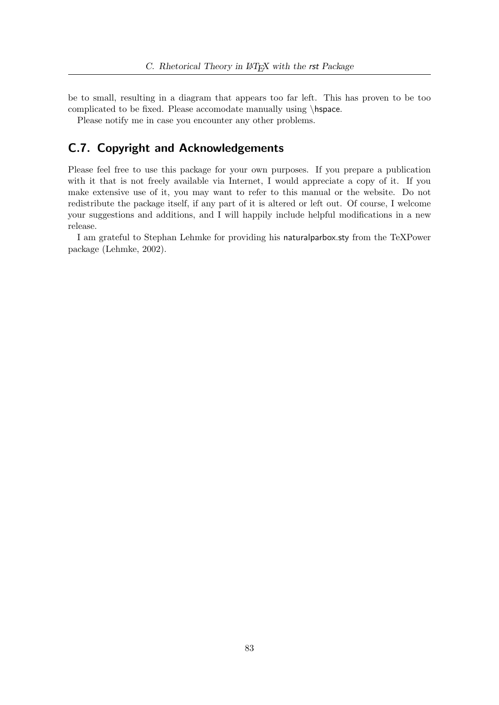be to small, resulting in a diagram that appears too far left. This has proven to be too complicated to be fixed. Please accomodate manually using \hspace.

Please notify me in case you encounter any other problems.

# C.7. Copyright and Acknowledgements

Please feel free to use this package for your own purposes. If you prepare a publication with it that is not freely available via Internet, I would appreciate a copy of it. If you make extensive use of it, you may want to refer to this manual or the website. Do not redistribute the package itself, if any part of it is altered or left out. Of course, I welcome your suggestions and additions, and I will happily include helpful modifications in a new release.

I am grateful to Stephan Lehmke for providing his naturalparbox.sty from the TeXPower package (Lehmke, 2002).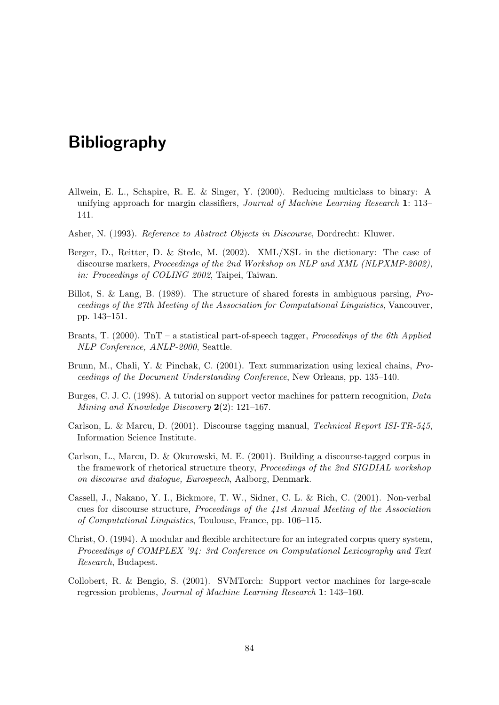# Bibliography

- Allwein, E. L., Schapire, R. E. & Singer, Y. (2000). Reducing multiclass to binary: A unifying approach for margin classifiers, Journal of Machine Learning Research 1: 113– 141.
- Asher, N. (1993). Reference to Abstract Objects in Discourse, Dordrecht: Kluwer.
- Berger, D., Reitter, D. & Stede, M. (2002). XML/XSL in the dictionary: The case of discourse markers, Proceedings of the 2nd Workshop on NLP and XML (NLPXMP-2002), in: Proceedings of COLING 2002, Taipei, Taiwan.
- Billot, S. & Lang, B. (1989). The structure of shared forests in ambiguous parsing, Proceedings of the 27th Meeting of the Association for Computational Linguistics, Vancouver, pp. 143–151.
- Brants, T. (2000). TnT a statistical part-of-speech tagger, *Proceedings of the 6th Applied* NLP Conference, ANLP-2000, Seattle.
- Brunn, M., Chali, Y. & Pinchak, C. (2001). Text summarization using lexical chains, Proceedings of the Document Understanding Conference, New Orleans, pp. 135–140.
- Burges, C. J. C. (1998). A tutorial on support vector machines for pattern recognition, Data Mining and Knowledge Discovery 2(2): 121–167.
- Carlson, L. & Marcu, D. (2001). Discourse tagging manual, Technical Report ISI-TR-545, Information Science Institute.
- Carlson, L., Marcu, D. & Okurowski, M. E. (2001). Building a discourse-tagged corpus in the framework of rhetorical structure theory, Proceedings of the 2nd SIGDIAL workshop on discourse and dialogue, Eurospeech, Aalborg, Denmark.
- Cassell, J., Nakano, Y. I., Bickmore, T. W., Sidner, C. L. & Rich, C. (2001). Non-verbal cues for discourse structure, Proceedings of the 41st Annual Meeting of the Association of Computational Linguistics, Toulouse, France, pp. 106–115.
- Christ, O. (1994). A modular and flexible architecture for an integrated corpus query system, Proceedings of COMPLEX '94: 3rd Conference on Computational Lexicography and Text Research, Budapest.
- Collobert, R. & Bengio, S. (2001). SVMTorch: Support vector machines for large-scale regression problems, Journal of Machine Learning Research 1: 143–160.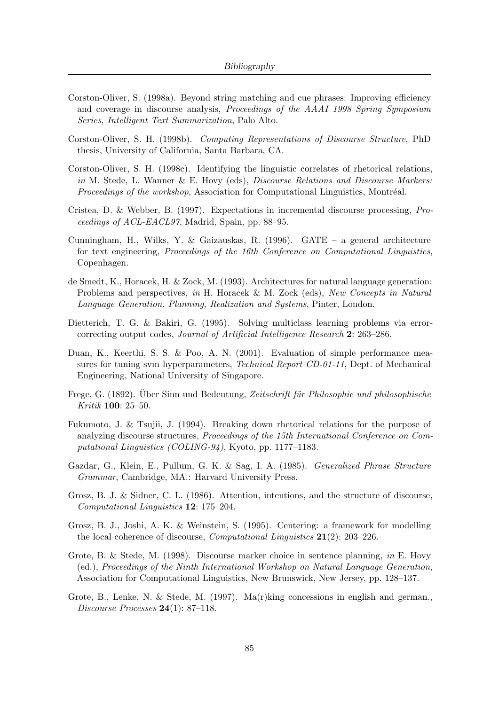- Corston-Oliver, S. (1998a). Beyond string matching and cue phrases: Improving efficiency and coverage in discourse analysis, *Proceedings of the AAAI 1998 Spring Symposium* Series, Intelligent Text Summarization, Palo Alto.
- Corston-Oliver, S. H. (1998b). Computing Representations of Discourse Structure, PhD thesis, University of California, Santa Barbara, CA.
- Corston-Oliver, S. H. (1998c). Identifying the linguistic correlates of rhetorical relations, in M. Stede, L. Wanner & E. Hovy (eds), *Discourse Relations and Discourse Markers:* Proceedings of the workshop, Association for Computational Linguistics, Montréal.
- Cristea, D. & Webber, B. (1997). Expectations in incremental discourse processing, Proceedings of ACL-EACL97, Madrid, Spain, pp. 88–95.
- Cunningham, H., Wilks, Y. & Gaizauskas, R. (1996). GATE a general architecture for text engineering, Proceedings of the 16th Conference on Computational Linguistics, Copenhagen.
- de Smedt, K., Horacek, H. & Zock, M. (1993). Architectures for natural language generation: Problems and perspectives, in H. Horacek & M. Zock (eds), New Concepts in Natural Language Generation. Planning, Realization and Systems, Pinter, London.
- Dietterich, T. G. & Bakiri, G. (1995). Solving multiclass learning problems via errorcorrecting output codes, Journal of Artificial Intelligence Research 2: 263–286.
- Duan, K., Keerthi, S. S. & Poo, A. N. (2001). Evaluation of simple performance measures for tuning svm hyperparameters, Technical Report CD-01-11, Dept. of Mechanical Engineering, National University of Singapore.
- Frege, G. (1892). Uber Sinn und Bedeutung, Zeitschrift für Philosophie und philosophische Kritik 100: 25–50.
- Fukumoto, J. & Tsujii, J. (1994). Breaking down rhetorical relations for the purpose of analyzing discourse structures, Proceedings of the 15th International Conference on Computational Linguistics (COLING-94), Kyoto, pp. 1177–1183.
- Gazdar, G., Klein, E., Pullum, G. K. & Sag, I. A. (1985). Generalized Phrase Structure Grammar, Cambridge, MA.: Harvard University Press.
- Grosz, B. J. & Sidner, C. L. (1986). Attention, intentions, and the structure of discourse, Computational Linguistics 12: 175–204.
- Grosz, B. J., Joshi, A. K. & Weinstein, S. (1995). Centering: a framework for modelling the local coherence of discourse, Computational Linguistics 21(2): 203–226.
- Grote, B. & Stede, M. (1998). Discourse marker choice in sentence planning, in E. Hovy (ed.), Proceedings of the Ninth International Workshop on Natural Language Generation, Association for Computational Linguistics, New Brunswick, New Jersey, pp. 128–137.
- Grote, B., Lenke, N. & Stede, M. (1997). Ma(r)king concessions in english and german., Discourse Processes  $24(1)$ : 87-118.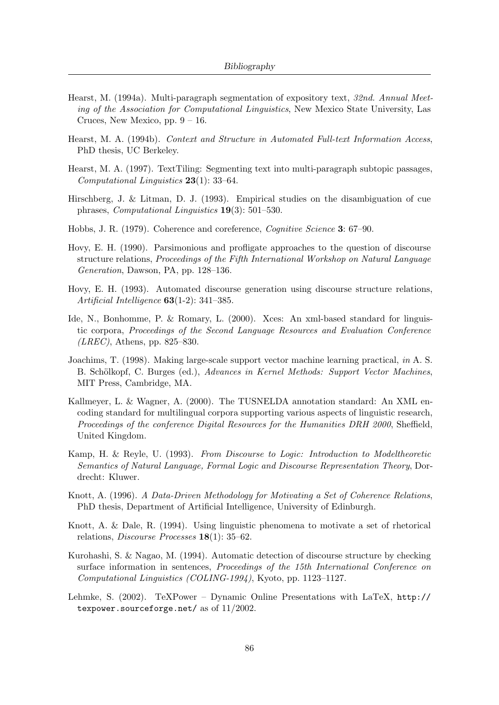- Hearst, M. (1994a). Multi-paragraph segmentation of expository text, 32nd. Annual Meeting of the Association for Computational Linguistics, New Mexico State University, Las Cruces, New Mexico, pp.  $9 - 16$ .
- Hearst, M. A. (1994b). Context and Structure in Automated Full-text Information Access, PhD thesis, UC Berkeley.
- Hearst, M. A. (1997). TextTiling: Segmenting text into multi-paragraph subtopic passages, Computational Linguistics 23(1): 33–64.
- Hirschberg, J. & Litman, D. J. (1993). Empirical studies on the disambiguation of cue phrases, Computational Linguistics 19(3): 501–530.
- Hobbs, J. R. (1979). Coherence and coreference, Cognitive Science 3: 67–90.
- Hovy, E. H. (1990). Parsimonious and profligate approaches to the question of discourse structure relations, Proceedings of the Fifth International Workshop on Natural Language Generation, Dawson, PA, pp. 128–136.
- Hovy, E. H. (1993). Automated discourse generation using discourse structure relations, Artificial Intelligence 63(1-2): 341–385.
- Ide, N., Bonhomme, P. & Romary, L. (2000). Xces: An xml-based standard for linguistic corpora, Proceedings of the Second Language Resources and Evaluation Conference  $(LREC)$ , Athens, pp. 825–830.
- Joachims, T. (1998). Making large-scale support vector machine learning practical, in A. S. B. Schölkopf, C. Burges (ed.), Advances in Kernel Methods: Support Vector Machines, MIT Press, Cambridge, MA.
- Kallmeyer, L. & Wagner, A. (2000). The TUSNELDA annotation standard: An XML encoding standard for multilingual corpora supporting various aspects of linguistic research, Proceedings of the conference Digital Resources for the Humanities DRH 2000, Sheffield, United Kingdom.
- Kamp, H. & Reyle, U. (1993). From Discourse to Logic: Introduction to Modeltheoretic Semantics of Natural Language, Formal Logic and Discourse Representation Theory, Dordrecht: Kluwer.
- Knott, A. (1996). A Data-Driven Methodology for Motivating a Set of Coherence Relations, PhD thesis, Department of Artificial Intelligence, University of Edinburgh.
- Knott, A. & Dale, R. (1994). Using linguistic phenomena to motivate a set of rhetorical relations, Discourse Processes 18(1): 35–62.
- Kurohashi, S. & Nagao, M. (1994). Automatic detection of discourse structure by checking surface information in sentences, *Proceedings of the 15th International Conference on* Computational Linguistics (COLING-1994), Kyoto, pp. 1123–1127.
- Lehmke, S. (2002). TeXPower Dynamic Online Presentations with LaTeX, http:// texpower.sourceforge.net/ as of 11/2002.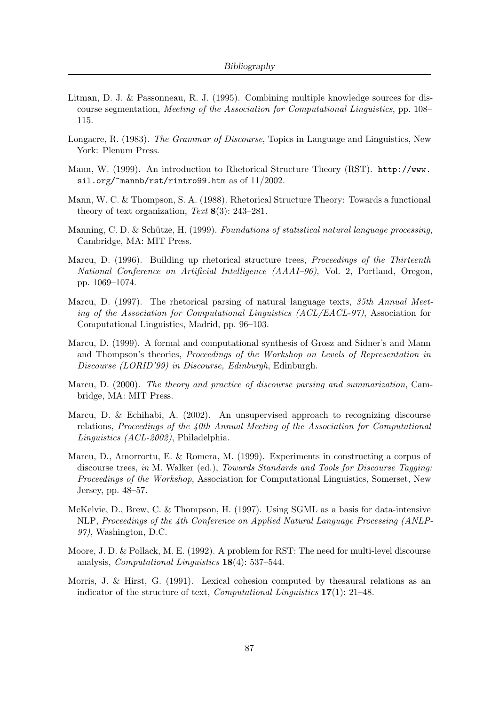- Litman, D. J. & Passonneau, R. J. (1995). Combining multiple knowledge sources for discourse segmentation, Meeting of the Association for Computational Linguistics, pp. 108– 115.
- Longacre, R. (1983). The Grammar of Discourse, Topics in Language and Linguistics, New York: Plenum Press.
- Mann, W. (1999). An introduction to Rhetorical Structure Theory (RST). http://www. sil.org/~mannb/rst/rintro99.htm as of 11/2002.
- Mann, W. C. & Thompson, S. A. (1988). Rhetorical Structure Theory: Towards a functional theory of text organization, Text  $8(3)$ : 243–281.
- Manning, C. D. & Schütze, H. (1999). Foundations of statistical natural language processing. Cambridge, MA: MIT Press.
- Marcu, D. (1996). Building up rhetorical structure trees, *Proceedings of the Thirteenth* National Conference on Artificial Intelligence (AAAI–96), Vol. 2, Portland, Oregon, pp. 1069–1074.
- Marcu, D. (1997). The rhetorical parsing of natural language texts, 35th Annual Meeting of the Association for Computational Linguistics  $(ACL/EACL-97)$ , Association for Computational Linguistics, Madrid, pp. 96–103.
- Marcu, D. (1999). A formal and computational synthesis of Grosz and Sidner's and Mann and Thompson's theories, Proceedings of the Workshop on Levels of Representation in Discourse (LORID'99) in Discourse, Edinburgh, Edinburgh.
- Marcu, D. (2000). The theory and practice of discourse parsing and summarization, Cambridge, MA: MIT Press.
- Marcu, D. & Echihabi, A. (2002). An unsupervised approach to recognizing discourse relations, Proceedings of the 40th Annual Meeting of the Association for Computational Linguistics (ACL-2002), Philadelphia.
- Marcu, D., Amorrortu, E. & Romera, M. (1999). Experiments in constructing a corpus of discourse trees, in M. Walker (ed.), Towards Standards and Tools for Discourse Tagging: Proceedings of the Workshop, Association for Computational Linguistics, Somerset, New Jersey, pp. 48–57.
- McKelvie, D., Brew, C. & Thompson, H. (1997). Using SGML as a basis for data-intensive NLP, Proceedings of the 4th Conference on Applied Natural Language Processing (ANLP-97), Washington, D.C.
- Moore, J. D. & Pollack, M. E. (1992). A problem for RST: The need for multi-level discourse analysis, Computational Linguistics 18(4): 537–544.
- Morris, J. & Hirst, G. (1991). Lexical cohesion computed by thesaural relations as an indicator of the structure of text, *Computational Linguistics*  $17(1)$ : 21–48.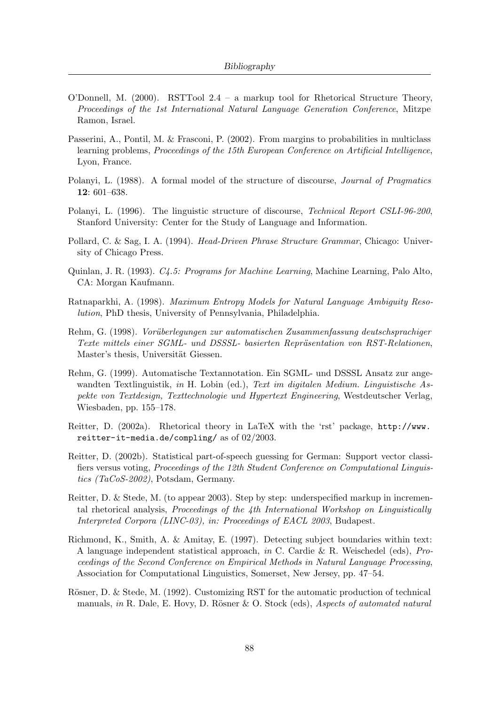- O'Donnell, M. (2000). RSTTool 2.4 a markup tool for Rhetorical Structure Theory, Proceedings of the 1st International Natural Language Generation Conference, Mitzpe Ramon, Israel.
- Passerini, A., Pontil, M. & Frasconi, P. (2002). From margins to probabilities in multiclass learning problems, Proceedings of the 15th European Conference on Artificial Intelligence, Lyon, France.
- Polanyi, L. (1988). A formal model of the structure of discourse, Journal of Pragmatics 12: 601–638.
- Polanyi, L. (1996). The linguistic structure of discourse, Technical Report CSLI-96-200, Stanford University: Center for the Study of Language and Information.
- Pollard, C. & Sag, I. A. (1994). Head-Driven Phrase Structure Grammar, Chicago: University of Chicago Press.
- Quinlan, J. R. (1993). C4.5: Programs for Machine Learning, Machine Learning, Palo Alto, CA: Morgan Kaufmann.
- Ratnaparkhi, A. (1998). Maximum Entropy Models for Natural Language Ambiguity Resolution, PhD thesis, University of Pennsylvania, Philadelphia.
- Rehm, G. (1998). Vorüberlegungen zur automatischen Zusammenfassung deutschsprachiger Texte mittels einer SGML- und DSSSL- basierten Repräsentation von RST-Relationen, Master's thesis, Universität Giessen.
- Rehm, G. (1999). Automatische Textannotation. Ein SGML- und DSSSL Ansatz zur angewandten Textlinguistik, in H. Lobin (ed.), Text im digitalen Medium. Linguistische Aspekte von Textdesign, Texttechnologie und Hypertext Engineering, Westdeutscher Verlag, Wiesbaden, pp. 155–178.
- Reitter, D. (2002a). Rhetorical theory in LaTeX with the 'rst' package, http://www. reitter-it-media.de/compling/ as of 02/2003.
- Reitter, D. (2002b). Statistical part-of-speech guessing for German: Support vector classifiers versus voting, Proceedings of the 12th Student Conference on Computational Linguistics (TaCoS-2002), Potsdam, Germany.
- Reitter, D. & Stede, M. (to appear 2003). Step by step: underspecified markup in incremental rhetorical analysis, *Proceedings of the 4th International Workshop on Linguistically* Interpreted Corpora (LINC-03), in: Proceedings of EACL 2003, Budapest.
- Richmond, K., Smith, A. & Amitay, E. (1997). Detecting subject boundaries within text: A language independent statistical approach, in C. Cardie & R. Weischedel (eds), Proceedings of the Second Conference on Empirical Methods in Natural Language Processing, Association for Computational Linguistics, Somerset, New Jersey, pp. 47–54.
- Rösner, D. & Stede, M. (1992). Customizing RST for the automatic production of technical manuals, in R. Dale, E. Hovy, D. Rösner & O. Stock (eds), Aspects of automated natural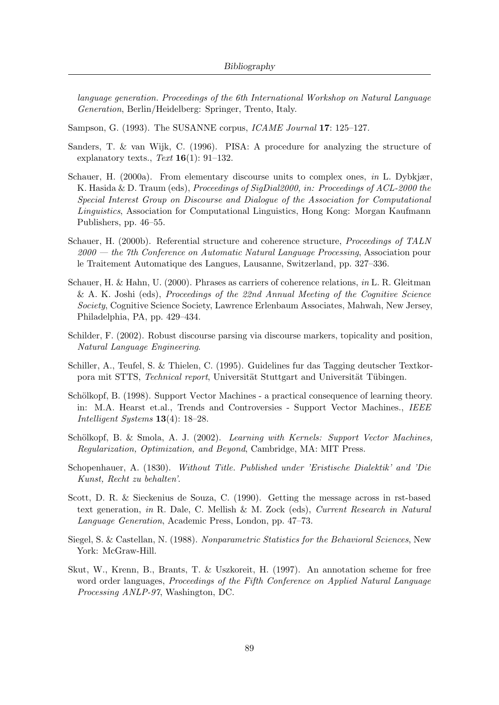language generation. Proceedings of the 6th International Workshop on Natural Language Generation, Berlin/Heidelberg: Springer, Trento, Italy.

Sampson, G. (1993). The SUSANNE corpus, *ICAME Journal* 17: 125–127.

- Sanders, T. & van Wijk, C. (1996). PISA: A procedure for analyzing the structure of explanatory texts., Text  $16(1)$ : 91-132.
- Schauer, H. (2000a). From elementary discourse units to complex ones, in L. Dybkjær, K. Hasida & D. Traum (eds), Proceedings of SigDial2000, in: Proceedings of ACL-2000 the Special Interest Group on Discourse and Dialogue of the Association for Computational Linguistics, Association for Computational Linguistics, Hong Kong: Morgan Kaufmann Publishers, pp. 46–55.
- Schauer, H. (2000b). Referential structure and coherence structure, *Proceedings of TALN*  $2000$  — the 7th Conference on Automatic Natural Language Processing, Association pour le Traitement Automatique des Langues, Lausanne, Switzerland, pp. 327–336.
- Schauer, H. & Hahn, U. (2000). Phrases as carriers of coherence relations, in L. R. Gleitman & A. K. Joshi (eds), Proceedings of the 22nd Annual Meeting of the Cognitive Science Society, Cognitive Science Society, Lawrence Erlenbaum Associates, Mahwah, New Jersey, Philadelphia, PA, pp. 429–434.
- Schilder, F. (2002). Robust discourse parsing via discourse markers, topicality and position, Natural Language Engineering.
- Schiller, A., Teufel, S. & Thielen, C. (1995). Guidelines fur das Tagging deutscher Textkorpora mit STTS, Technical report, Universität Stuttgart and Universität Tübingen.
- Schölkopf, B. (1998). Support Vector Machines a practical consequence of learning theory. in: M.A. Hearst et.al., Trends and Controversies - Support Vector Machines., IEEE Intelligent Systems 13(4): 18–28.
- Schölkopf, B. & Smola, A. J. (2002). Learning with Kernels: Support Vector Machines, Regularization, Optimization, and Beyond, Cambridge, MA: MIT Press.
- Schopenhauer, A. (1830). Without Title. Published under 'Eristische Dialektik' and 'Die Kunst, Recht zu behalten'.
- Scott, D. R. & Sieckenius de Souza, C. (1990). Getting the message across in rst-based text generation, in R. Dale, C. Mellish & M. Zock (eds), Current Research in Natural Language Generation, Academic Press, London, pp. 47–73.
- Siegel, S. & Castellan, N. (1988). Nonparametric Statistics for the Behavioral Sciences, New York: McGraw-Hill.
- Skut, W., Krenn, B., Brants, T. & Uszkoreit, H. (1997). An annotation scheme for free word order languages, *Proceedings of the Fifth Conference on Applied Natural Language* Processing ANLP-97, Washington, DC.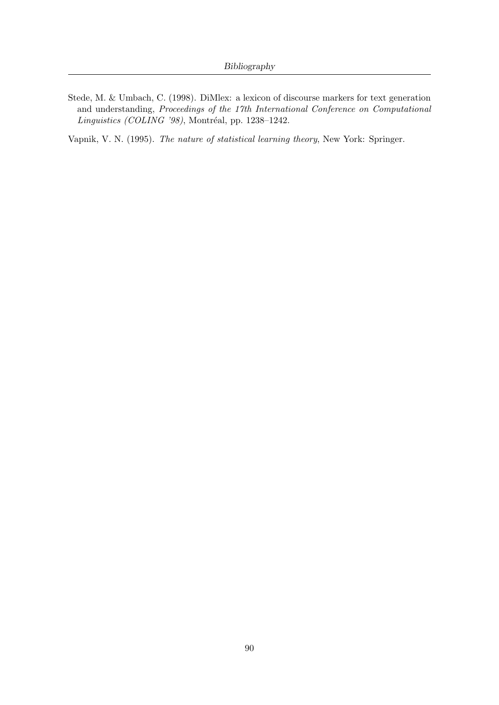Stede, M. & Umbach, C. (1998). DiMlex: a lexicon of discourse markers for text generation and understanding, Proceedings of the 17th International Conference on Computational  $Linguistics (COLING '98)$ , Montréal, pp. 1238-1242.

Vapnik, V. N. (1995). The nature of statistical learning theory, New York: Springer.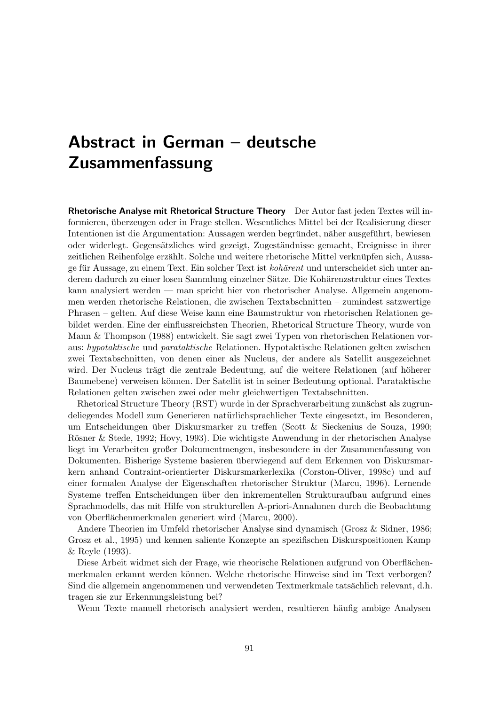# Abstract in German – deutsche Zusammenfassung

Rhetorische Analyse mit Rhetorical Structure Theory Der Autor fast jeden Textes will informieren, überzeugen oder in Frage stellen. Wesentliches Mittel bei der Realisierung dieser Intentionen ist die Argumentation: Aussagen werden begründet, näher ausgeführt, bewiesen oder widerlegt. Gegensätzliches wird gezeigt, Zugeständnisse gemacht, Ereignisse in ihrer zeitlichen Reihenfolge erzählt. Solche und weitere rhetorische Mittel verknüpfen sich, Aussage für Aussage, zu einem Text. Ein solcher Text ist kohärent und unterscheidet sich unter anderem dadurch zu einer losen Sammlung einzelner Sätze. Die Kohärenzstruktur eines Textes kann analysiert werden — man spricht hier von rhetorischer Analyse. Allgemein angenommen werden rhetorische Relationen, die zwischen Textabschnitten – zumindest satzwertige Phrasen – gelten. Auf diese Weise kann eine Baumstruktur von rhetorischen Relationen gebildet werden. Eine der einflussreichsten Theorien, Rhetorical Structure Theory, wurde von Mann & Thompson (1988) entwickelt. Sie sagt zwei Typen von rhetorischen Relationen voraus: hypotaktische und parataktische Relationen. Hypotaktische Relationen gelten zwischen zwei Textabschnitten, von denen einer als Nucleus, der andere als Satellit ausgezeichnet wird. Der Nucleus trägt die zentrale Bedeutung, auf die weitere Relationen (auf höherer Baumebene) verweisen können. Der Satellit ist in seiner Bedeutung optional. Parataktische Relationen gelten zwischen zwei oder mehr gleichwertigen Textabschnitten.

Rhetorical Structure Theory (RST) wurde in der Sprachverarbeitung zunächst als zugrundeliegendes Modell zum Generieren naturlichsprachlicher Texte eingesetzt, im Besonderen, ¨ um Entscheidungen über Diskursmarker zu treffen (Scott & Sieckenius de Souza, 1990; Rösner & Stede, 1992; Hovy, 1993). Die wichtigste Anwendung in der rhetorischen Analyse liegt im Verarbeiten großer Dokumentmengen, insbesondere in der Zusammenfassung von Dokumenten. Bisherige Systeme basieren uberwiegend auf dem Erkennen von Diskursmar- ¨ kern anhand Contraint-orientierter Diskursmarkerlexika (Corston-Oliver, 1998c) und auf einer formalen Analyse der Eigenschaften rhetorischer Struktur (Marcu, 1996). Lernende Systeme treffen Entscheidungen über den inkrementellen Strukturaufbau aufgrund eines Sprachmodells, das mit Hilfe von strukturellen A-priori-Annahmen durch die Beobachtung von Oberflächenmerkmalen generiert wird (Marcu, 2000).

Andere Theorien im Umfeld rhetorischer Analyse sind dynamisch (Grosz & Sidner, 1986; Grosz et al., 1995) und kennen saliente Konzepte an spezifischen Diskurspositionen Kamp & Reyle (1993).

Diese Arbeit widmet sich der Frage, wie rheorische Relationen aufgrund von Oberflächenmerkmalen erkannt werden können. Welche rhetorische Hinweise sind im Text verborgen? Sind die allgemein angenommenen und verwendeten Textmerkmale tatsächlich relevant, d.h. tragen sie zur Erkennungsleistung bei?

Wenn Texte manuell rhetorisch analysiert werden, resultieren häufig ambige Analysen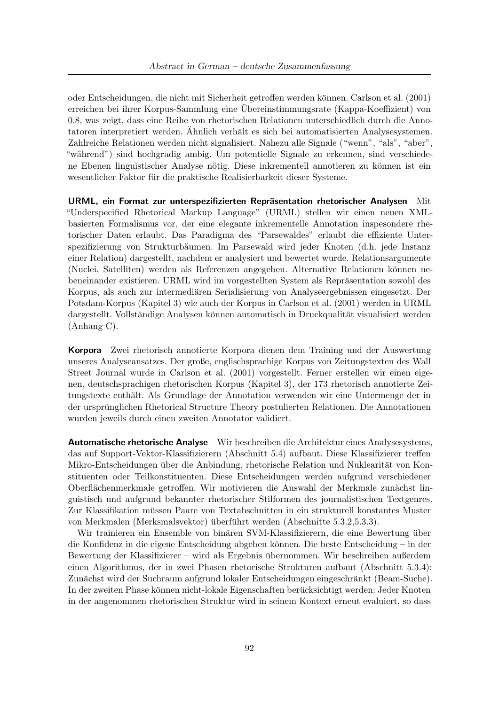oder Entscheidungen, die nicht mit Sicherheit getroffen werden k¨onnen. Carlson et al. (2001) erreichen bei ihrer Korpus-Sammlung eine Ubereinstimmungsrate (Kappa-Koeffizient) von ¨ 0.8, was zeigt, dass eine Reihe von rhetorischen Relationen unterschiedlich durch die Annotatoren interpretiert werden. Ähnlich verhält es sich bei automatisierten Analysesystemen. Zahlreiche Relationen werden nicht signalisiert. Nahezu alle Signale ("wenn", "als", "aber", "während") sind hochgradig ambig. Um potentielle Signale zu erkennen, sind verschiedene Ebenen linguistischer Analyse nötig. Diese inkrementell annotieren zu können ist ein wesentlicher Faktor für die praktische Realisierbarkeit dieser Systeme.

URML, ein Format zur unterspezifizierten Repräsentation rhetorischer Analysen Mit "Underspecified Rhetorical Markup Language" (URML) stellen wir einen neuen XMLbasierten Formalismus vor, der eine elegante inkrementelle Annotation inspesondere rhetorischer Daten erlaubt. Das Paradigma des "Parsewaldes" erlaubt die effiziente Unterspezifizierung von Strukturbäumen. Im Parsewald wird jeder Knoten (d.h. jede Instanz einer Relation) dargestellt, nachdem er analysiert und bewertet wurde. Relationsargumente (Nuclei, Satelliten) werden als Referenzen angegeben. Alternative Relationen können nebeneinander existieren. URML wird im vorgestellten System als Repräsentation sowohl des Korpus, als auch zur intermediären Serialisierung von Analyseergebnissen eingesetzt. Der Potsdam-Korpus (Kapitel 3) wie auch der Korpus in Carlson et al. (2001) werden in URML dargestellt. Vollständige Analysen können automatisch in Druckqualität visualisiert werden (Anhang C).

Korpora Zwei rhetorisch annotierte Korpora dienen dem Training und der Auswertung unseres Analyseansatzes. Der große, englischsprachige Korpus von Zeitungstexten des Wall Street Journal wurde in Carlson et al. (2001) vorgestellt. Ferner erstellen wir einen eigenen, deutschsprachigen rhetorischen Korpus (Kapitel 3), der 173 rhetorisch annotierte Zeitungstexte enthält. Als Grundlage der Annotation verwenden wir eine Untermenge der in der ursprünglichen Rhetorical Structure Theory postulierten Relationen. Die Annotationen wurden jeweils durch einen zweiten Annotator validiert.

Automatische rhetorische Analyse Wir beschreiben die Architektur eines Analysesystems, das auf Support-Vektor-Klassifizierern (Abschnitt 5.4) aufbaut. Diese Klassifizierer treffen Mikro-Entscheidungen über die Anbindung, rhetorische Relation und Nuklearität von Konstituenten oder Teilkonstituenten. Diese Entscheidungen werden aufgrund verschiedener Oberflächenmerkmale getroffen. Wir motivieren die Auswahl der Merkmale zunächst linguistisch und aufgrund bekannter rhetorischer Stilformen des journalistischen Textgenres. Zur Klassifikation müssen Paare von Textabschnitten in ein strukturell konstantes Muster von Merkmalen (Merksmalsvektor) überführt werden (Abschnitte  $5.3.2, 5.3.3$ ).

Wir trainieren ein Ensemble von binären SVM-Klassifizierern, die eine Bewertung über die Konfidenz in die eigene Entscheidung abgeben können. Die beste Entscheidung – in der Bewertung der Klassifizierer – wird als Ergebnis übernommen. Wir beschreiben außerdem einen Algorithmus, der in zwei Phasen rhetorische Strukturen aufbaut (Abschnitt 5.3.4): Zunächst wird der Suchraum aufgrund lokaler Entscheidungen eingeschränkt (Beam-Suche). In der zweiten Phase können nicht-lokale Eigenschaften berücksichtigt werden: Jeder Knoten in der angenommen rhetorischen Struktur wird in seinem Kontext erneut evaluiert, so dass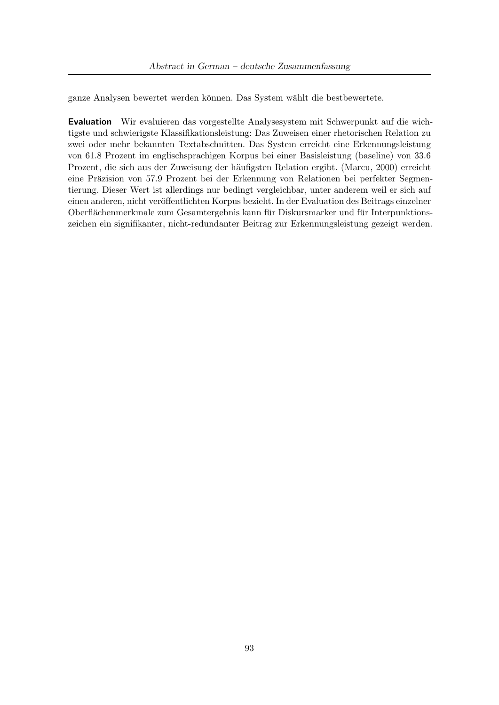ganze Analysen bewertet werden können. Das System wählt die bestbewertete.

Evaluation Wir evaluieren das vorgestellte Analysesystem mit Schwerpunkt auf die wichtigste und schwierigste Klassifikationsleistung: Das Zuweisen einer rhetorischen Relation zu zwei oder mehr bekannten Textabschnitten. Das System erreicht eine Erkennungsleistung von 61.8 Prozent im englischsprachigen Korpus bei einer Basisleistung (baseline) von 33.6 Prozent, die sich aus der Zuweisung der häufigsten Relation ergibt. (Marcu, 2000) erreicht eine Präzision von 57.9 Prozent bei der Erkennung von Relationen bei perfekter Segmentierung. Dieser Wert ist allerdings nur bedingt vergleichbar, unter anderem weil er sich auf einen anderen, nicht veröffentlichten Korpus bezieht. In der Evaluation des Beitrags einzelner Oberflächenmerkmale zum Gesamtergebnis kann für Diskursmarker und für Interpunktionszeichen ein signifikanter, nicht-redundanter Beitrag zur Erkennungsleistung gezeigt werden.